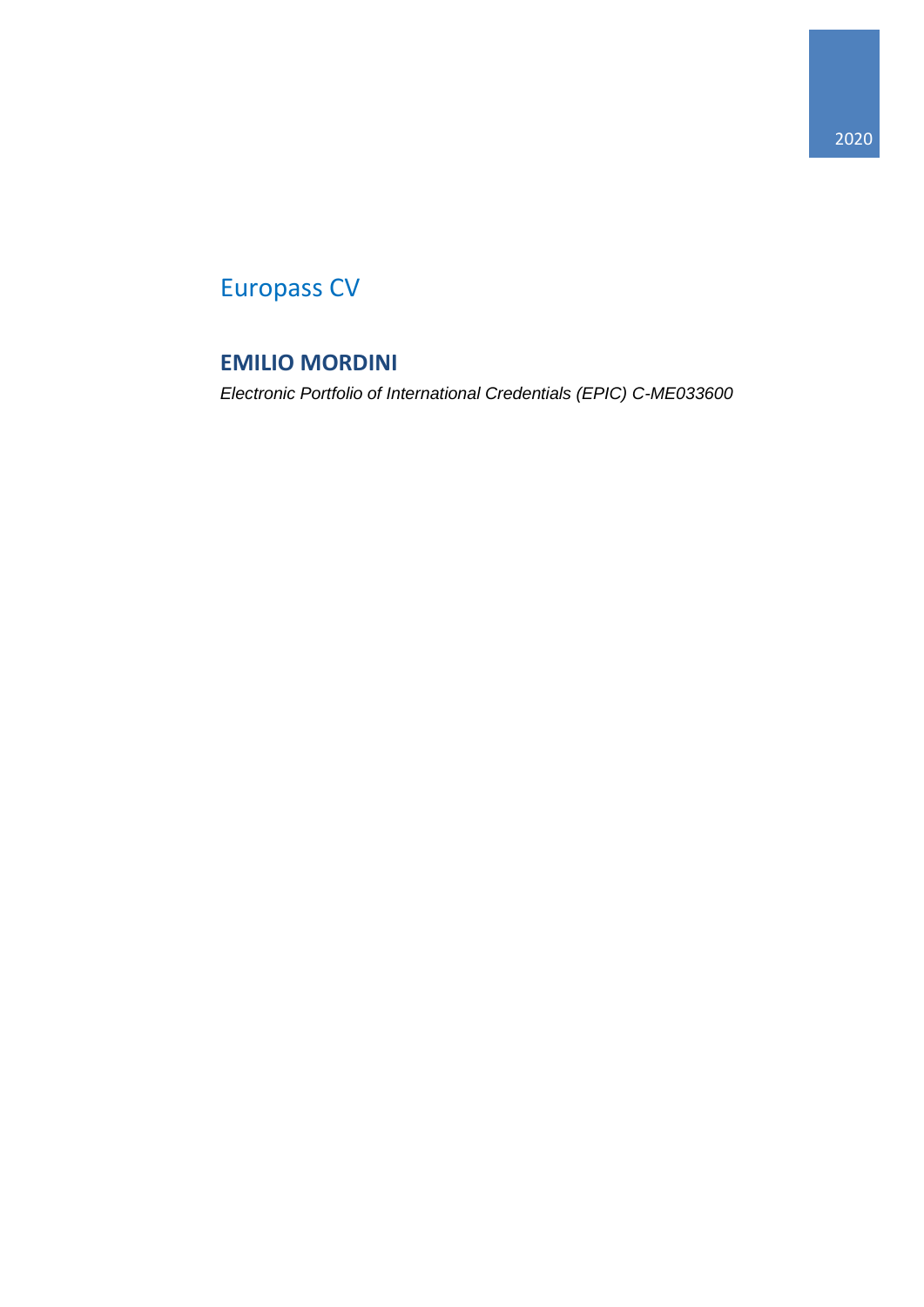# Europass CV

## **EMILIO MORDINI**

*Electronic Portfolio of International Credentials (EPIC) C-ME033600*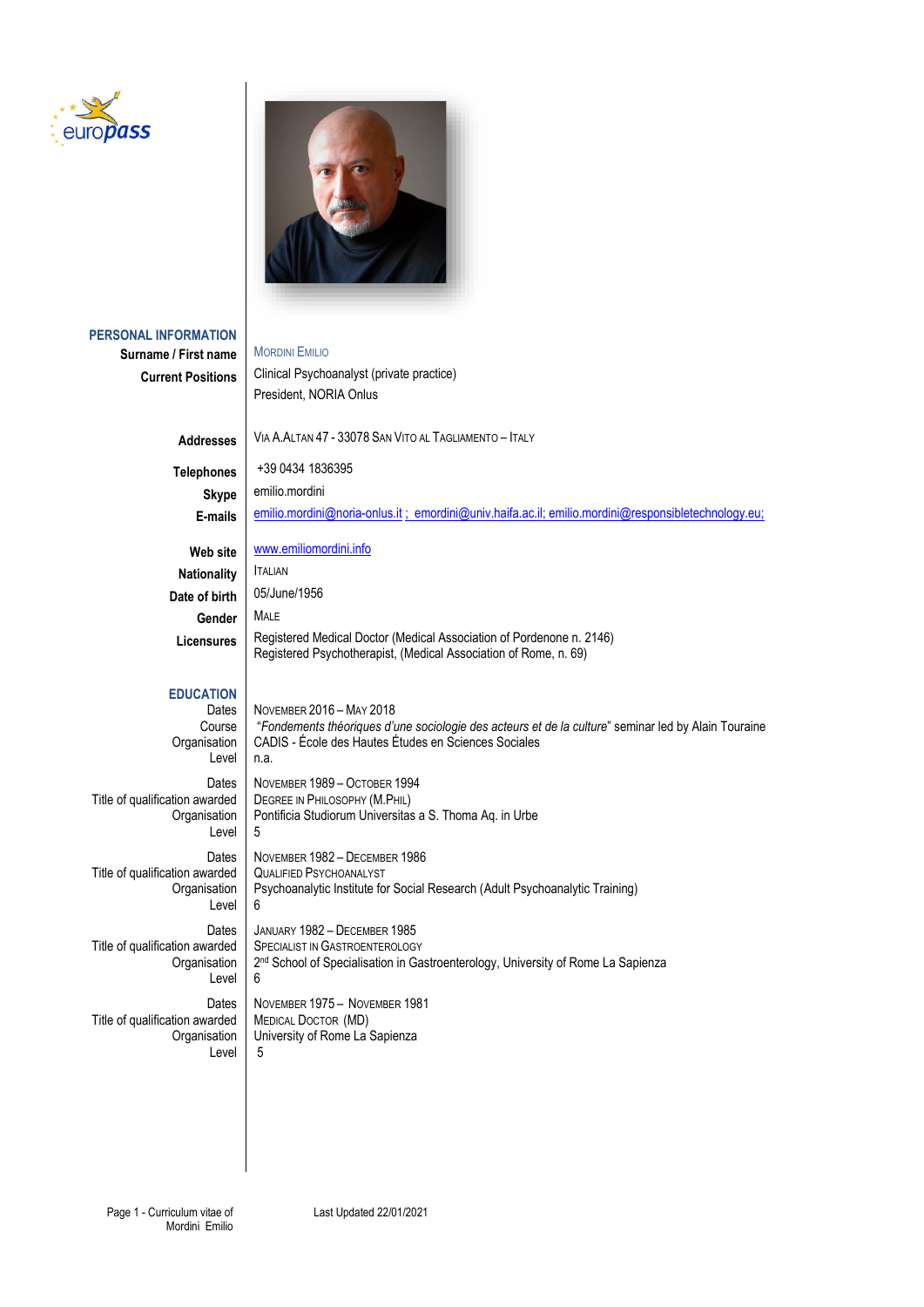



## **PERSONAL INFORMATION Surname / First name | MORDINI EMILIO Current Positions** | Clinical Psychoanalyst (private practice) President, NORIA Onlus **Addresses** VIA A.ALTAN 47 - 33078 SAN VITO AL TAGLIAMENTO – ITALY **Telephones** +39 0434 1836395 Skype emilio.mordini E-mails | [emilio.mordini@noria-onlus.it](mailto:emilio.mordini@noria-onlus.it) ; [emordini@univ.haifa.ac.il;](mailto:emordini@univ.haifa.ac.il) emilio.mordini@responsibletechnology.eu; Web site | [www.emiliomordini.info](http://www.emiliomordini.info/) **Nationality ITALIAN Date of birth** 05/June/1956 **Gender** MALE Licensures | Registered Medical Doctor (Medical Association of Pordenone n. 2146) Registered Psychotherapist, (Medical Association of Rome, n. 69) **EDUCATION** Dates | NOVEMBER 2016 – MAY 2018 Course "*Fondements théoriques d'une sociologie des acteurs et de la culture*" seminar led by Alain Touraine CADIS - École des Hautes Études en Sciences Sociales Level n.a. Dates NOVEMBER 1989 – OCTOBER 1994<br>Title of qualification awarded DEGREE IN PHILOSOPHY (M.PHIL) The of automated DEGREE IN PHILOSOPHY (M.PHIL)<br>Organisation Pontificia Studiorum Universitas Pontificia Studiorum Universitas a S. Thoma Aq. in Urbe Level 5 Dates | NOVEMBER 1982 – DECEMBER 1986<br>varded | QUALIFIED PSYCHOANALYST Title of qualification awarded Organisation | Psychoanalytic Institute for Social Research (Adult Psychoanalytic Training) Level 6 Dates | JANUARY 1982 – DECEMBER 1985<br>Title of qualification awarded | SPECIALIST IN GASTROENTEROLOG SPECIALIST IN GASTROENTEROLOGY **Organisation** 2<sup>nd</sup> School of Specialisation in Gastroenterology, University of Rome La Sapienza Level 6 Dates | NOVEMBER 1975 – NOVEMBER 1981<br>varded | MEDICAL DOCTOR (MD) Title of qualification awarded Organisation University of Rome La Sapienza Level  $\frac{1}{5}$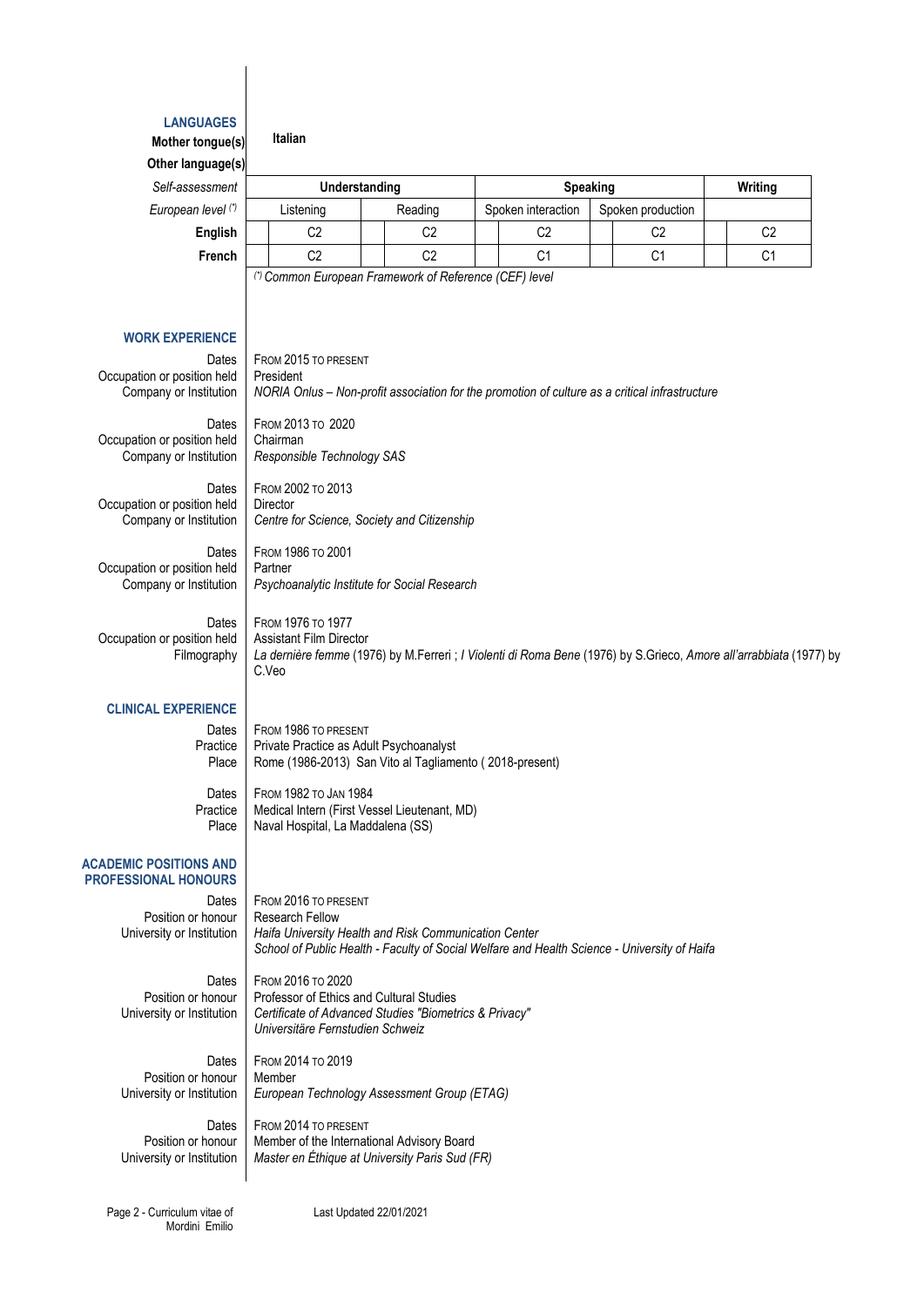### **LANGUAGES**

| Mother tongue(s)                                               | Italian                                                                                                                                                                                                 |                |  |                    |  |                   |                                                                                                                    |
|----------------------------------------------------------------|---------------------------------------------------------------------------------------------------------------------------------------------------------------------------------------------------------|----------------|--|--------------------|--|-------------------|--------------------------------------------------------------------------------------------------------------------|
| Other language(s)                                              |                                                                                                                                                                                                         |                |  |                    |  |                   |                                                                                                                    |
| Self-assessment                                                |                                                                                                                                                                                                         | Understanding  |  | Speaking           |  |                   | Writing                                                                                                            |
| European level (*)                                             | Listening                                                                                                                                                                                               | Reading        |  | Spoken interaction |  | Spoken production |                                                                                                                    |
| English                                                        | C <sub>2</sub>                                                                                                                                                                                          | C <sub>2</sub> |  | C <sub>2</sub>     |  | C <sub>2</sub>    | C <sub>2</sub>                                                                                                     |
| French                                                         | C <sub>2</sub>                                                                                                                                                                                          | C <sub>2</sub> |  | C <sub>1</sub>     |  | C <sub>1</sub>    | C <sub>1</sub>                                                                                                     |
|                                                                | (*) Common European Framework of Reference (CEF) level                                                                                                                                                  |                |  |                    |  |                   |                                                                                                                    |
|                                                                |                                                                                                                                                                                                         |                |  |                    |  |                   |                                                                                                                    |
| <b>WORK EXPERIENCE</b>                                         |                                                                                                                                                                                                         |                |  |                    |  |                   |                                                                                                                    |
| Dates<br>Occupation or position held<br>Company or Institution | FROM 2015 TO PRESENT<br>President<br>NORIA Onlus - Non-profit association for the promotion of culture as a critical infrastructure                                                                     |                |  |                    |  |                   |                                                                                                                    |
| Dates<br>Occupation or position held<br>Company or Institution | FROM 2013 TO 2020<br>Chairman<br>Responsible Technology SAS                                                                                                                                             |                |  |                    |  |                   |                                                                                                                    |
| Dates<br>Occupation or position held<br>Company or Institution | FROM 2002 TO 2013<br>Director<br>Centre for Science, Society and Citizenship                                                                                                                            |                |  |                    |  |                   |                                                                                                                    |
| Dates<br>Occupation or position held<br>Company or Institution | <b>FROM 1986 ТО 2001</b><br>Partner<br>Psychoanalytic Institute for Social Research                                                                                                                     |                |  |                    |  |                   |                                                                                                                    |
| Dates<br>Occupation or position held<br>Filmography            | <b>FROM 1976 ТО 1977</b><br><b>Assistant Film Director</b><br>C.Veo                                                                                                                                     |                |  |                    |  |                   | La dernière femme (1976) by M.Ferreri ; I Violenti di Roma Bene (1976) by S.Grieco, Amore all'arrabbiata (1977) by |
| <b>CLINICAL EXPERIENCE</b>                                     |                                                                                                                                                                                                         |                |  |                    |  |                   |                                                                                                                    |
| Dates<br>Practice<br>Place                                     | FROM 1986 TO PRESENT<br>Private Practice as Adult Psychoanalyst<br>Rome (1986-2013) San Vito al Tagliamento (2018-present)                                                                              |                |  |                    |  |                   |                                                                                                                    |
| Dates<br>Practice<br>Place                                     | FROM 1982 TO JAN 1984<br>Medical Intern (First Vessel Lieutenant, MD)<br>Naval Hospital, La Maddalena (SS)                                                                                              |                |  |                    |  |                   |                                                                                                                    |
| <b>ACADEMIC POSITIONS AND</b><br><b>PROFESSIONAL HONOURS</b>   |                                                                                                                                                                                                         |                |  |                    |  |                   |                                                                                                                    |
| Dates<br>Position or honour<br>University or Institution       | FROM 2016 TO PRESENT<br><b>Research Fellow</b><br>Haifa University Health and Risk Communication Center<br>School of Public Health - Faculty of Social Welfare and Health Science - University of Haifa |                |  |                    |  |                   |                                                                                                                    |
| Datos I                                                        | $E_{\text{DOM}}$ 2016 To 2020                                                                                                                                                                           |                |  |                    |  |                   |                                                                                                                    |

Dates | FROM 2016 TO 2020<br>Position or honour | Professor of Ethics Position or honour<br>
Professor of Ethics and Cultural Studies<br>
University or Institution<br>
Certificate of Advanced Studies "Biometricate"

*Universitäre Fernstudien Schweiz* Dates | FROM 2014 TO 2019<br>
Nonour | Member Position or honour<br>University or Institution European Technology Assessment Group (ETAG)

Dates | FROM 2014 TO PRESENT<br>Position or honour | Member of the Internati Member of the International Advisory Board University or Institution *Master en Éthique at University Paris Sud (FR)*

Page 2 - Curriculum vitae of Mordini Emilio Last Updated 22/01/2021

University or Institution *Certificate of Advanced Studies "Biometrics & Privacy"*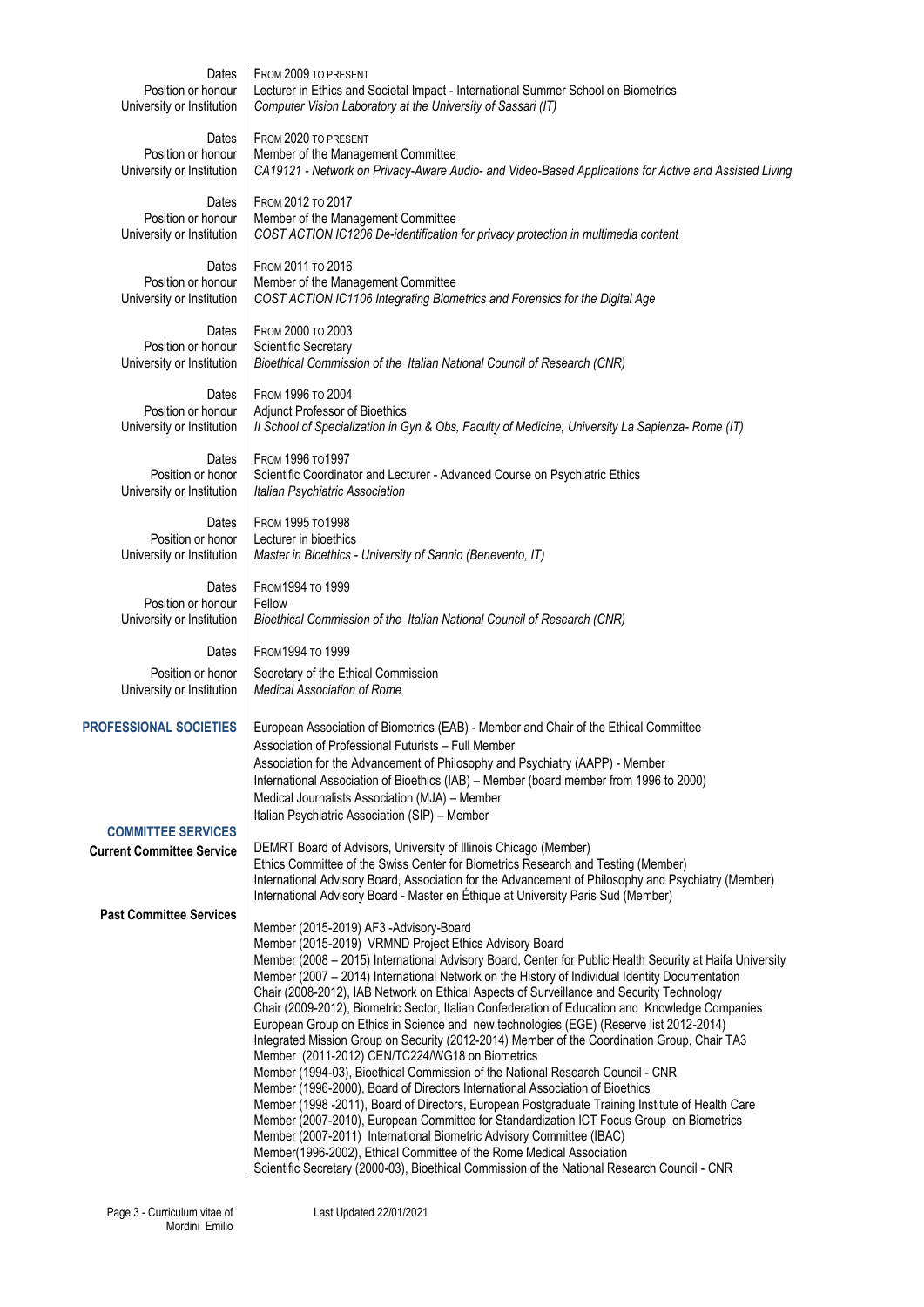| Dates                                                         | FROM 2009 TO PRESENT                                                                                                                                                                                                                                                                                                                                                                                                                                                                                                                                                                                                                                                                                                                                                                                                                                                                                                                                                                                                                                                                                                                                                                                                                                                                                                                                                            |
|---------------------------------------------------------------|---------------------------------------------------------------------------------------------------------------------------------------------------------------------------------------------------------------------------------------------------------------------------------------------------------------------------------------------------------------------------------------------------------------------------------------------------------------------------------------------------------------------------------------------------------------------------------------------------------------------------------------------------------------------------------------------------------------------------------------------------------------------------------------------------------------------------------------------------------------------------------------------------------------------------------------------------------------------------------------------------------------------------------------------------------------------------------------------------------------------------------------------------------------------------------------------------------------------------------------------------------------------------------------------------------------------------------------------------------------------------------|
| Position or honour                                            | Lecturer in Ethics and Societal Impact - International Summer School on Biometrics                                                                                                                                                                                                                                                                                                                                                                                                                                                                                                                                                                                                                                                                                                                                                                                                                                                                                                                                                                                                                                                                                                                                                                                                                                                                                              |
| University or Institution                                     | Computer Vision Laboratory at the University of Sassari (IT)                                                                                                                                                                                                                                                                                                                                                                                                                                                                                                                                                                                                                                                                                                                                                                                                                                                                                                                                                                                                                                                                                                                                                                                                                                                                                                                    |
| Dates                                                         | FROM 2020 TO PRESENT                                                                                                                                                                                                                                                                                                                                                                                                                                                                                                                                                                                                                                                                                                                                                                                                                                                                                                                                                                                                                                                                                                                                                                                                                                                                                                                                                            |
| Position or honour                                            | Member of the Management Committee                                                                                                                                                                                                                                                                                                                                                                                                                                                                                                                                                                                                                                                                                                                                                                                                                                                                                                                                                                                                                                                                                                                                                                                                                                                                                                                                              |
| University or Institution                                     | CA19121 - Network on Privacy-Aware Audio- and Video-Based Applications for Active and Assisted Living                                                                                                                                                                                                                                                                                                                                                                                                                                                                                                                                                                                                                                                                                                                                                                                                                                                                                                                                                                                                                                                                                                                                                                                                                                                                           |
| Dates                                                         | FROM 2012 TO 2017                                                                                                                                                                                                                                                                                                                                                                                                                                                                                                                                                                                                                                                                                                                                                                                                                                                                                                                                                                                                                                                                                                                                                                                                                                                                                                                                                               |
| Position or honour                                            | Member of the Management Committee                                                                                                                                                                                                                                                                                                                                                                                                                                                                                                                                                                                                                                                                                                                                                                                                                                                                                                                                                                                                                                                                                                                                                                                                                                                                                                                                              |
| University or Institution                                     | COST ACTION IC1206 De-identification for privacy protection in multimedia content                                                                                                                                                                                                                                                                                                                                                                                                                                                                                                                                                                                                                                                                                                                                                                                                                                                                                                                                                                                                                                                                                                                                                                                                                                                                                               |
| Dates                                                         | FROM 2011 TO 2016                                                                                                                                                                                                                                                                                                                                                                                                                                                                                                                                                                                                                                                                                                                                                                                                                                                                                                                                                                                                                                                                                                                                                                                                                                                                                                                                                               |
| Position or honour                                            | Member of the Management Committee                                                                                                                                                                                                                                                                                                                                                                                                                                                                                                                                                                                                                                                                                                                                                                                                                                                                                                                                                                                                                                                                                                                                                                                                                                                                                                                                              |
| University or Institution                                     | COST ACTION IC1106 Integrating Biometrics and Forensics for the Digital Age                                                                                                                                                                                                                                                                                                                                                                                                                                                                                                                                                                                                                                                                                                                                                                                                                                                                                                                                                                                                                                                                                                                                                                                                                                                                                                     |
| Dates                                                         | FROM 2000 TO 2003                                                                                                                                                                                                                                                                                                                                                                                                                                                                                                                                                                                                                                                                                                                                                                                                                                                                                                                                                                                                                                                                                                                                                                                                                                                                                                                                                               |
| Position or honour                                            | Scientific Secretary                                                                                                                                                                                                                                                                                                                                                                                                                                                                                                                                                                                                                                                                                                                                                                                                                                                                                                                                                                                                                                                                                                                                                                                                                                                                                                                                                            |
| University or Institution                                     | Bioethical Commission of the Italian National Council of Research (CNR)                                                                                                                                                                                                                                                                                                                                                                                                                                                                                                                                                                                                                                                                                                                                                                                                                                                                                                                                                                                                                                                                                                                                                                                                                                                                                                         |
| Dates                                                         | FROM 1996 TO 2004                                                                                                                                                                                                                                                                                                                                                                                                                                                                                                                                                                                                                                                                                                                                                                                                                                                                                                                                                                                                                                                                                                                                                                                                                                                                                                                                                               |
| Position or honour                                            | Adjunct Professor of Bioethics                                                                                                                                                                                                                                                                                                                                                                                                                                                                                                                                                                                                                                                                                                                                                                                                                                                                                                                                                                                                                                                                                                                                                                                                                                                                                                                                                  |
| University or Institution                                     | Il School of Specialization in Gyn & Obs, Faculty of Medicine, University La Sapienza- Rome (IT)                                                                                                                                                                                                                                                                                                                                                                                                                                                                                                                                                                                                                                                                                                                                                                                                                                                                                                                                                                                                                                                                                                                                                                                                                                                                                |
| Dates                                                         | <b>FROM 1996 то 1997</b>                                                                                                                                                                                                                                                                                                                                                                                                                                                                                                                                                                                                                                                                                                                                                                                                                                                                                                                                                                                                                                                                                                                                                                                                                                                                                                                                                        |
| Position or honor                                             | Scientific Coordinator and Lecturer - Advanced Course on Psychiatric Ethics                                                                                                                                                                                                                                                                                                                                                                                                                                                                                                                                                                                                                                                                                                                                                                                                                                                                                                                                                                                                                                                                                                                                                                                                                                                                                                     |
| University or Institution                                     | Italian Psychiatric Association                                                                                                                                                                                                                                                                                                                                                                                                                                                                                                                                                                                                                                                                                                                                                                                                                                                                                                                                                                                                                                                                                                                                                                                                                                                                                                                                                 |
| Dates                                                         | FROM 1995 TO 1998                                                                                                                                                                                                                                                                                                                                                                                                                                                                                                                                                                                                                                                                                                                                                                                                                                                                                                                                                                                                                                                                                                                                                                                                                                                                                                                                                               |
| Position or honor                                             | Lecturer in bioethics                                                                                                                                                                                                                                                                                                                                                                                                                                                                                                                                                                                                                                                                                                                                                                                                                                                                                                                                                                                                                                                                                                                                                                                                                                                                                                                                                           |
| University or Institution                                     | Master in Bioethics - University of Sannio (Benevento, IT)                                                                                                                                                                                                                                                                                                                                                                                                                                                                                                                                                                                                                                                                                                                                                                                                                                                                                                                                                                                                                                                                                                                                                                                                                                                                                                                      |
| Dates                                                         | <b>FROM1994 то 1999</b>                                                                                                                                                                                                                                                                                                                                                                                                                                                                                                                                                                                                                                                                                                                                                                                                                                                                                                                                                                                                                                                                                                                                                                                                                                                                                                                                                         |
| Position or honour                                            | Fellow                                                                                                                                                                                                                                                                                                                                                                                                                                                                                                                                                                                                                                                                                                                                                                                                                                                                                                                                                                                                                                                                                                                                                                                                                                                                                                                                                                          |
| University or Institution                                     | Bioethical Commission of the Italian National Council of Research (CNR)                                                                                                                                                                                                                                                                                                                                                                                                                                                                                                                                                                                                                                                                                                                                                                                                                                                                                                                                                                                                                                                                                                                                                                                                                                                                                                         |
| Dates                                                         | FROM 1994 TO 1999                                                                                                                                                                                                                                                                                                                                                                                                                                                                                                                                                                                                                                                                                                                                                                                                                                                                                                                                                                                                                                                                                                                                                                                                                                                                                                                                                               |
| Position or honor                                             | Secretary of the Ethical Commission                                                                                                                                                                                                                                                                                                                                                                                                                                                                                                                                                                                                                                                                                                                                                                                                                                                                                                                                                                                                                                                                                                                                                                                                                                                                                                                                             |
| University or Institution                                     | <b>Medical Association of Rome</b>                                                                                                                                                                                                                                                                                                                                                                                                                                                                                                                                                                                                                                                                                                                                                                                                                                                                                                                                                                                                                                                                                                                                                                                                                                                                                                                                              |
| <b>PROFESSIONAL SOCIETIES</b>                                 | European Association of Biometrics (EAB) - Member and Chair of the Ethical Committee<br>Association of Professional Futurists - Full Member<br>Association for the Advancement of Philosophy and Psychiatry (AAPP) - Member<br>International Association of Bioethics (IAB) - Member (board member from 1996 to 2000)<br>Medical Journalists Association (MJA) - Member<br>Italian Psychiatric Association (SIP) - Member                                                                                                                                                                                                                                                                                                                                                                                                                                                                                                                                                                                                                                                                                                                                                                                                                                                                                                                                                       |
| <b>COMMITTEE SERVICES</b><br><b>Current Committee Service</b> | DEMRT Board of Advisors, University of Illinois Chicago (Member)<br>Ethics Committee of the Swiss Center for Biometrics Research and Testing (Member)<br>International Advisory Board, Association for the Advancement of Philosophy and Psychiatry (Member)<br>International Advisory Board - Master en Éthique at University Paris Sud (Member)                                                                                                                                                                                                                                                                                                                                                                                                                                                                                                                                                                                                                                                                                                                                                                                                                                                                                                                                                                                                                               |
| <b>Past Committee Services</b>                                | Member (2015-2019) AF3 -Advisory-Board<br>Member (2015-2019) VRMND Project Ethics Advisory Board<br>Member (2008 - 2015) International Advisory Board, Center for Public Health Security at Haifa University<br>Member (2007 - 2014) International Network on the History of Individual Identity Documentation<br>Chair (2008-2012), IAB Network on Ethical Aspects of Surveillance and Security Technology<br>Chair (2009-2012), Biometric Sector, Italian Confederation of Education and Knowledge Companies<br>European Group on Ethics in Science and new technologies (EGE) (Reserve list 2012-2014)<br>Integrated Mission Group on Security (2012-2014) Member of the Coordination Group, Chair TA3<br>Member (2011-2012) CEN/TC224/WG18 on Biometrics<br>Member (1994-03), Bioethical Commission of the National Research Council - CNR<br>Member (1996-2000), Board of Directors International Association of Bioethics<br>Member (1998 -2011), Board of Directors, European Postgraduate Training Institute of Health Care<br>Member (2007-2010), European Committee for Standardization ICT Focus Group on Biometrics<br>Member (2007-2011) International Biometric Advisory Committee (IBAC)<br>Member(1996-2002), Ethical Committee of the Rome Medical Association<br>Scientific Secretary (2000-03), Bioethical Commission of the National Research Council - CNR |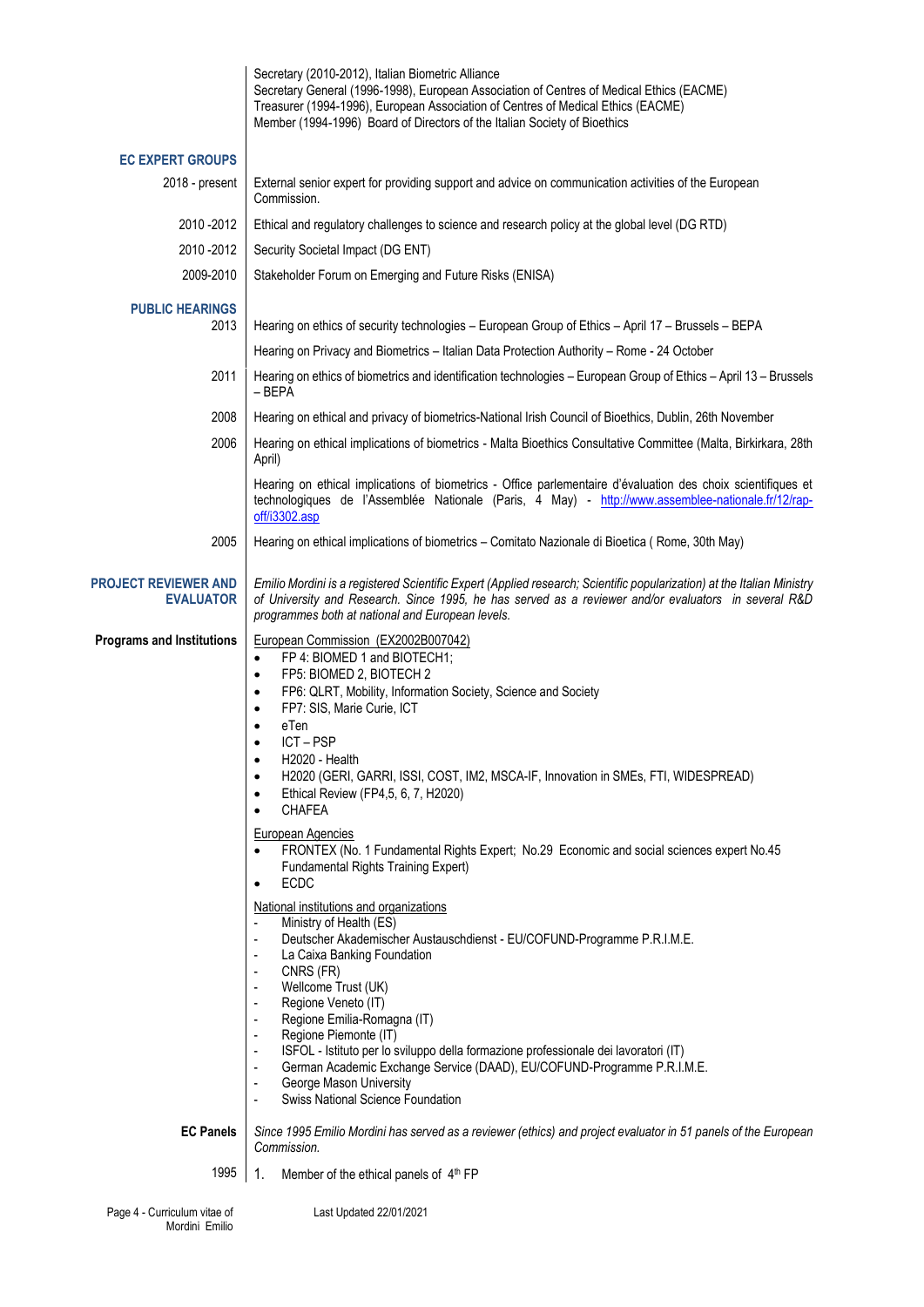|                                                 | Secretary (2010-2012), Italian Biometric Alliance<br>Secretary General (1996-1998), European Association of Centres of Medical Ethics (EACME)<br>Treasurer (1994-1996), European Association of Centres of Medical Ethics (EACME)<br>Member (1994-1996) Board of Directors of the Italian Society of Bioethics                                                                                                                                                                                                                                                                                                                                                                                                                                                                                                                                                                                                                                                                                                                                                                                                                                                                                                                                                      |
|-------------------------------------------------|---------------------------------------------------------------------------------------------------------------------------------------------------------------------------------------------------------------------------------------------------------------------------------------------------------------------------------------------------------------------------------------------------------------------------------------------------------------------------------------------------------------------------------------------------------------------------------------------------------------------------------------------------------------------------------------------------------------------------------------------------------------------------------------------------------------------------------------------------------------------------------------------------------------------------------------------------------------------------------------------------------------------------------------------------------------------------------------------------------------------------------------------------------------------------------------------------------------------------------------------------------------------|
| <b>EC EXPERT GROUPS</b>                         |                                                                                                                                                                                                                                                                                                                                                                                                                                                                                                                                                                                                                                                                                                                                                                                                                                                                                                                                                                                                                                                                                                                                                                                                                                                                     |
| 2018 - present                                  | External senior expert for providing support and advice on communication activities of the European<br>Commission.                                                                                                                                                                                                                                                                                                                                                                                                                                                                                                                                                                                                                                                                                                                                                                                                                                                                                                                                                                                                                                                                                                                                                  |
| 2010 - 2012                                     | Ethical and regulatory challenges to science and research policy at the global level (DG RTD)                                                                                                                                                                                                                                                                                                                                                                                                                                                                                                                                                                                                                                                                                                                                                                                                                                                                                                                                                                                                                                                                                                                                                                       |
| 2010 - 2012                                     | Security Societal Impact (DG ENT)                                                                                                                                                                                                                                                                                                                                                                                                                                                                                                                                                                                                                                                                                                                                                                                                                                                                                                                                                                                                                                                                                                                                                                                                                                   |
| 2009-2010                                       | Stakeholder Forum on Emerging and Future Risks (ENISA)                                                                                                                                                                                                                                                                                                                                                                                                                                                                                                                                                                                                                                                                                                                                                                                                                                                                                                                                                                                                                                                                                                                                                                                                              |
| <b>PUBLIC HEARINGS</b><br>2013                  | Hearing on ethics of security technologies – European Group of Ethics – April 17 – Brussels – BEPA                                                                                                                                                                                                                                                                                                                                                                                                                                                                                                                                                                                                                                                                                                                                                                                                                                                                                                                                                                                                                                                                                                                                                                  |
|                                                 | Hearing on Privacy and Biometrics - Italian Data Protection Authority - Rome - 24 October                                                                                                                                                                                                                                                                                                                                                                                                                                                                                                                                                                                                                                                                                                                                                                                                                                                                                                                                                                                                                                                                                                                                                                           |
| 2011                                            | Hearing on ethics of biometrics and identification technologies – European Group of Ethics – April 13 – Brussels<br>$-$ BEPA                                                                                                                                                                                                                                                                                                                                                                                                                                                                                                                                                                                                                                                                                                                                                                                                                                                                                                                                                                                                                                                                                                                                        |
| 2008                                            | Hearing on ethical and privacy of biometrics-National Irish Council of Bioethics, Dublin, 26th November                                                                                                                                                                                                                                                                                                                                                                                                                                                                                                                                                                                                                                                                                                                                                                                                                                                                                                                                                                                                                                                                                                                                                             |
| 2006                                            | Hearing on ethical implications of biometrics - Malta Bioethics Consultative Committee (Malta, Birkirkara, 28th<br>April)                                                                                                                                                                                                                                                                                                                                                                                                                                                                                                                                                                                                                                                                                                                                                                                                                                                                                                                                                                                                                                                                                                                                           |
|                                                 | Hearing on ethical implications of biometrics - Office parlementaire d'évaluation des choix scientifiques et<br>technologiques de l'Assemblée Nationale (Paris, 4 May) - http://www.assemblee-nationale.fr/12/rap-<br>off/i3302.asp                                                                                                                                                                                                                                                                                                                                                                                                                                                                                                                                                                                                                                                                                                                                                                                                                                                                                                                                                                                                                                 |
| 2005                                            | Hearing on ethical implications of biometrics - Comitato Nazionale di Bioetica (Rome, 30th May)                                                                                                                                                                                                                                                                                                                                                                                                                                                                                                                                                                                                                                                                                                                                                                                                                                                                                                                                                                                                                                                                                                                                                                     |
| <b>PROJECT REVIEWER AND</b><br><b>EVALUATOR</b> | Emilio Mordini is a registered Scientific Expert (Applied research; Scientific popularization) at the Italian Ministry<br>of University and Research. Since 1995, he has served as a reviewer and/or evaluators in several R&D<br>programmes both at national and European levels.                                                                                                                                                                                                                                                                                                                                                                                                                                                                                                                                                                                                                                                                                                                                                                                                                                                                                                                                                                                  |
| <b>Programs and Institutions</b>                | European Commission (EX2002B007042)<br>FP 4: BIOMED 1 and BIOTECH1;<br>$\bullet$<br>FP5: BIOMED 2, BIOTECH 2<br>$\bullet$<br>FP6: QLRT, Mobility, Information Society, Science and Society<br>$\bullet$<br>FP7: SIS, Marie Curie, ICT<br>$\bullet$<br>eTen<br>$\bullet$<br>ICT-PSP<br>H2020 - Health<br>H2020 (GERI, GARRI, ISSI, COST, IM2, MSCA-IF, Innovation in SMEs, FTI, WIDESPREAD)<br>$\bullet$<br>Ethical Review (FP4,5, 6, 7, H2020)<br>$\bullet$<br><b>CHAFEA</b><br>$\bullet$<br><b>European Agencies</b><br>FRONTEX (No. 1 Fundamental Rights Expert; No.29 Economic and social sciences expert No.45<br>$\bullet$<br>Fundamental Rights Training Expert)<br><b>ECDC</b><br>$\bullet$<br>National institutions and organizations<br>Ministry of Health (ES)<br>Deutscher Akademischer Austauschdienst - EU/COFUND-Programme P.R.I.M.E.<br>La Caixa Banking Foundation<br>CNRS (FR)<br>Wellcome Trust (UK)<br>$\overline{\phantom{a}}$<br>Regione Veneto (IT)<br>Regione Emilia-Romagna (IT)<br>Regione Piemonte (IT)<br>ISFOL - Istituto per lo sviluppo della formazione professionale dei lavoratori (IT)<br>German Academic Exchange Service (DAAD), EU/COFUND-Programme P.R.I.M.E.<br>George Mason University<br>Swiss National Science Foundation |
| <b>EC Panels</b>                                | Since 1995 Emilio Mordini has served as a reviewer (ethics) and project evaluator in 51 panels of the European<br>Commission.                                                                                                                                                                                                                                                                                                                                                                                                                                                                                                                                                                                                                                                                                                                                                                                                                                                                                                                                                                                                                                                                                                                                       |
| 1995                                            | Member of the ethical panels of 4th FP<br>1.                                                                                                                                                                                                                                                                                                                                                                                                                                                                                                                                                                                                                                                                                                                                                                                                                                                                                                                                                                                                                                                                                                                                                                                                                        |
| Page 4 - Curriculum vitae of<br>Mordini Emilio  | Last Updated 22/01/2021                                                                                                                                                                                                                                                                                                                                                                                                                                                                                                                                                                                                                                                                                                                                                                                                                                                                                                                                                                                                                                                                                                                                                                                                                                             |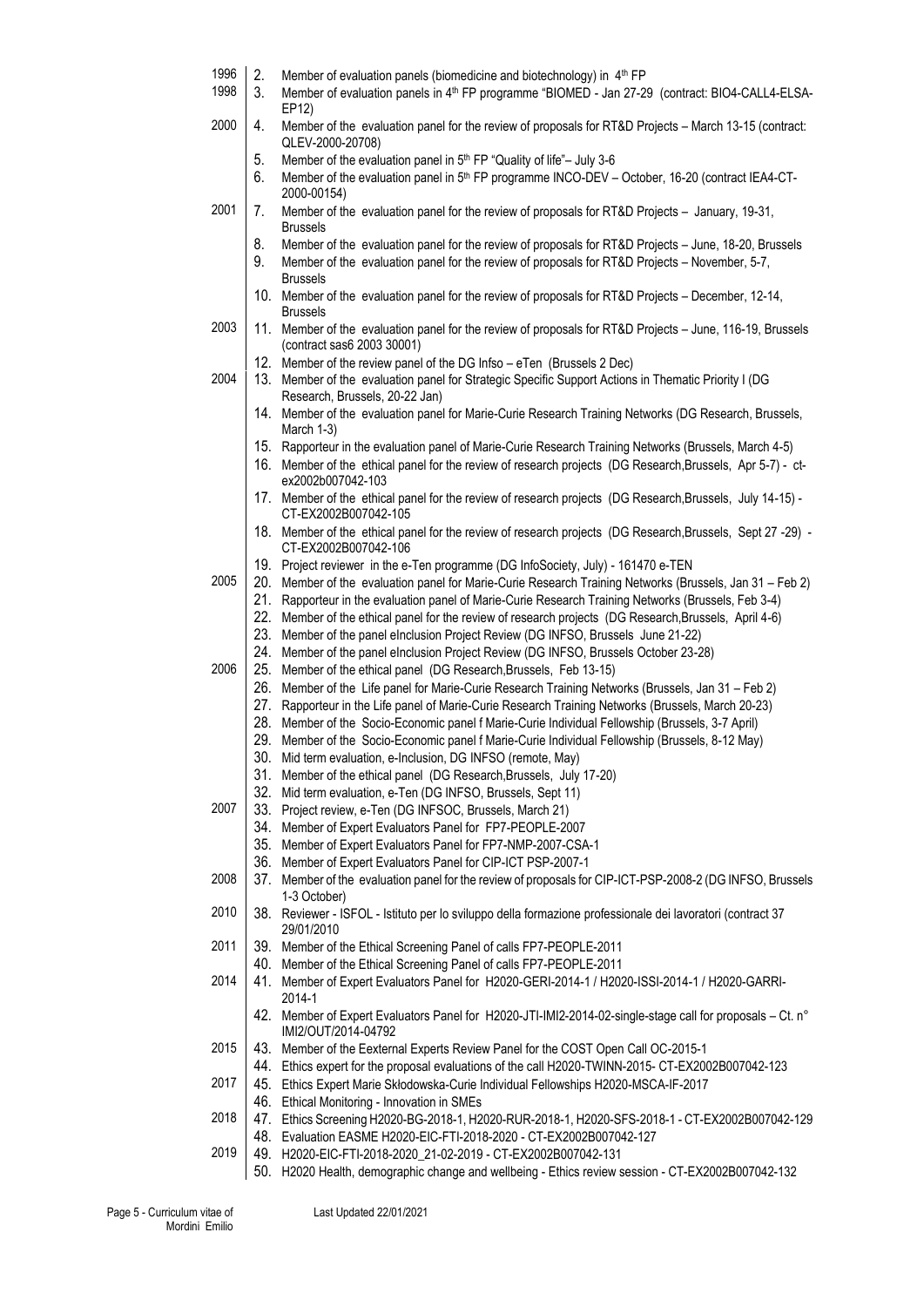|  |  | 1996 $\vert$ 2. Member of evaluation panels (biomedicine and biotechnology) in $4th FP$ |  |  |  |  |
|--|--|-----------------------------------------------------------------------------------------|--|--|--|--|
|--|--|-----------------------------------------------------------------------------------------|--|--|--|--|

- 1998 3. Member of evaluation panels in 4th FP programme "BIOMED Jan 27-29 (contract: BIO4-CALL4-ELSA-EP12)
- 2000 4. Member of the evaluation panel for the review of proposals for RT&D Projects March 13-15 (contract: QLEV-2000-20708)
	- 5. Member of the evaluation panel in 5<sup>th</sup> FP "Quality of life"- July 3-6
	- 6. Member of the evaluation panel in 5<sup>th</sup> FP programme INCO-DEV October, 16-20 (contract IEA4-CT-2000-00154)
- 2001 7. Member of the evaluation panel for the review of proposals for RT&D Projects January, 19-31, Brussels
	- 8. Member of the evaluation panel for the review of proposals for RT&D Projects June, 18-20, Brussels
	- 9. Member of the evaluation panel for the review of proposals for RT&D Projects November, 5-7, Brussels
	- 10. Member of the evaluation panel for the review of proposals for RT&D Projects December, 12-14, Brussels
- 2003 | 11. Member of the evaluation panel for the review of proposals for RT&D Projects June, 116-19, Brussels (contract sas6 2003 30001)
	- 12. Member of the review panel of the DG Infso eTen (Brussels 2 Dec)
- 2004 | 13. Member of the evaluation panel for Strategic Specific Support Actions in Thematic Priority I (DG Research, Brussels, 20-22 Jan)
	- 14. Member of the evaluation panel for Marie-Curie Research Training Networks (DG Research, Brussels, March 1-3)
	- 15. Rapporteur in the evaluation panel of Marie-Curie Research Training Networks (Brussels, March 4-5)
	- 16. Member of the ethical panel for the review of research projects (DG Research,Brussels, Apr 5-7) ctex2002b007042-103
	- 17. Member of the ethical panel for the review of research projects (DG Research,Brussels, July 14-15) CT-EX2002B007042-105
	- 18. Member of the ethical panel for the review of research projects (DG Research,Brussels, Sept 27 -29) CT-EX2002B007042-106
	- 19. Project reviewer in the e-Ten programme (DG InfoSociety, July) 161470 e-TEN
- 2005 20. Member of the evaluation panel for Marie-Curie Research Training Networks (Brussels, Jan 31 Feb 2)
	- 21. Rapporteur in the evaluation panel of Marie-Curie Research Training Networks (Brussels, Feb 3-4)
	- 22. Member of the ethical panel for the review of research projects (DG Research,Brussels, April 4-6)
	- 23. Member of the panel eInclusion Project Review (DG INFSO, Brussels June 21-22)
	- 24. Member of the panel eInclusion Project Review (DG INFSO, Brussels October 23-28)
- 2006 25. Member of the ethical panel (DG Research,Brussels, Feb 13-15)
	- 26. Member of the Life panel for Marie-Curie Research Training Networks (Brussels, Jan 31 Feb 2)
	- 27. Rapporteur in the Life panel of Marie-Curie Research Training Networks (Brussels, March 20-23)
	- 28. Member of the Socio-Economic panel f Marie-Curie Individual Fellowship (Brussels, 3-7 April)
	- 29. Member of the Socio-Economic panel f Marie-Curie Individual Fellowship (Brussels, 8-12 May)
	- 30. Mid term evaluation, e-Inclusion, DG INFSO (remote, May)
	- 31. Member of the ethical panel (DG Research,Brussels, July 17-20)
	- 32. Mid term evaluation, e-Ten (DG INFSO, Brussels, Sept 11)
- 2007 33. Project review, e-Ten (DG INFSOC, Brussels, March 21)
	- 34. Member of Expert Evaluators Panel for FP7-PEOPLE-2007
	- 35. Member of Expert Evaluators Panel for FP7-NMP-2007-CSA-1
	- 36. Member of Expert Evaluators Panel for CIP-ICT PSP-2007-1
- 2008 37. Member of the evaluation panel for the review of proposals for CIP-ICT-PSP-2008-2 (DG INFSO, Brussels 1-3 October)
- 2010 38. Reviewer ISFOL Istituto per lo sviluppo della formazione professionale dei lavoratori (contract 37 29/01/2010
- 2011 39. Member of the Ethical Screening Panel of calls FP7-PEOPLE-2011
	- 40. Member of the Ethical Screening Panel of calls FP7-PEOPLE-2011
- 2014 41. Member of Expert Evaluators Panel for H2020-GERI-2014-1 / H2020-ISSI-2014-1 / H2020-GARRI-2014-1
	- 42. Member of Expert Evaluators Panel for H2020-JTI-IMI2-2014-02-single-stage call for proposals Ct. n° IMI2/OUT/2014-04792
- 2015 43. Member of the Eexternal Experts Review Panel for the COST Open Call OC-2015-1
	- 44. Ethics expert for the proposal evaluations of the call H2020-TWINN-2015- CT-EX2002B007042-123
- 2017 45. Ethics Expert Marie Skłodowska-Curie Individual Fellowships H2020-MSCA-IF-2017
- 46. Ethical Monitoring Innovation in SMEs
- 2018 47. Ethics Screening H2020-BG-2018-1, H2020-RUR-2018-1, H2020-SFS-2018-1 CT-EX2002B007042-129 48. Evaluation EASME H2020-EIC-FTI-2018-2020 - CT-EX2002B007042-127
- 2019 49. H2020-EIC-FTI-2018-2020\_21-02-2019 CT-EX2002B007042-131
	- 50. H2020 Health, demographic change and wellbeing Ethics review session CT-EX2002B007042-132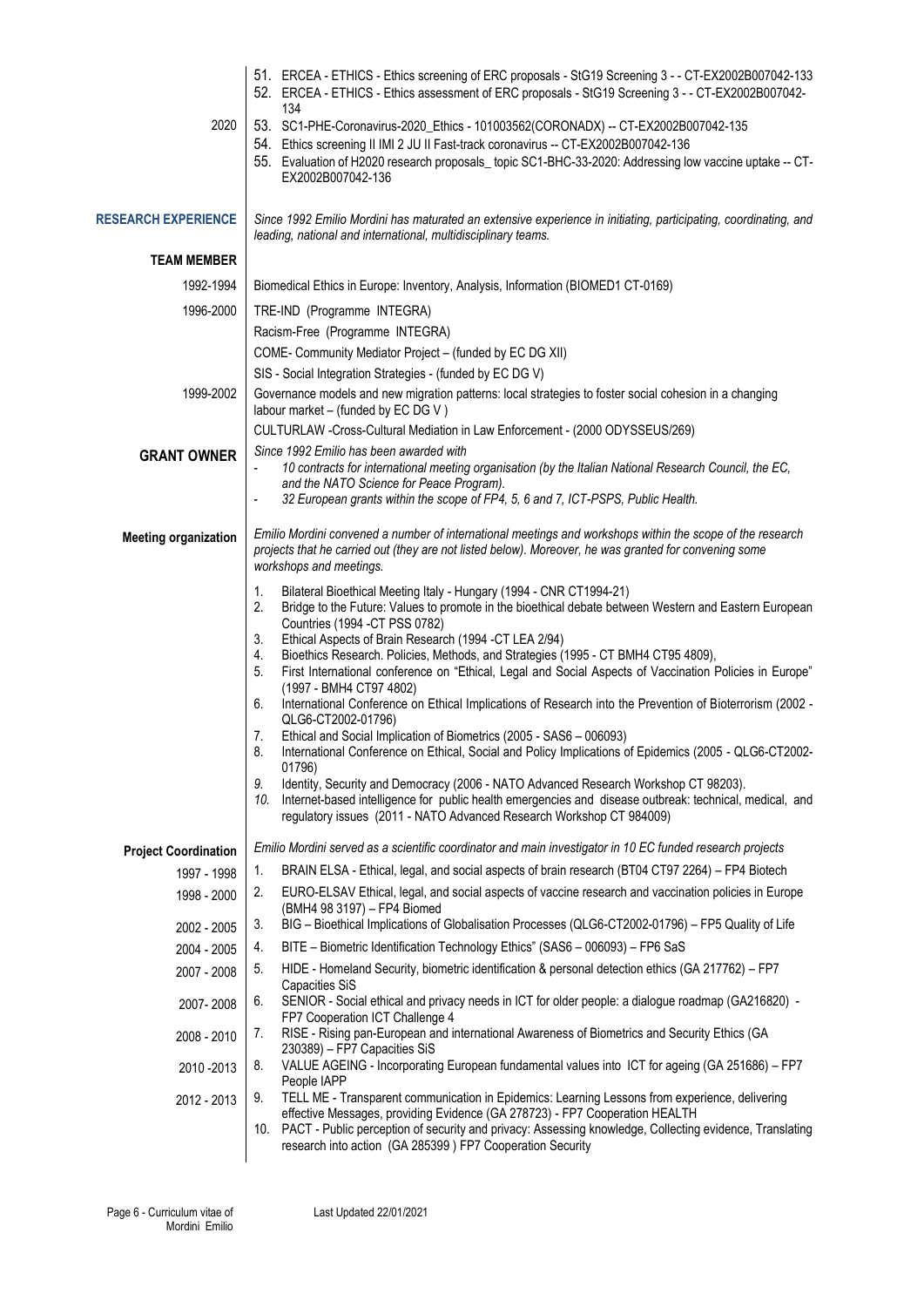|                             | 51. ERCEA - ETHICS - Ethics screening of ERC proposals - StG19 Screening 3 - - CT-EX2002B007042-133<br>52. ERCEA - ETHICS - Ethics assessment of ERC proposals - StG19 Screening 3 - - CT-EX2002B007042-<br>134                                                                                                                                                                                                                                                                                                                                                                                                                                                                                                                                                                                                                                                                                                                                                                                                                                                                                                                                                        |  |  |
|-----------------------------|------------------------------------------------------------------------------------------------------------------------------------------------------------------------------------------------------------------------------------------------------------------------------------------------------------------------------------------------------------------------------------------------------------------------------------------------------------------------------------------------------------------------------------------------------------------------------------------------------------------------------------------------------------------------------------------------------------------------------------------------------------------------------------------------------------------------------------------------------------------------------------------------------------------------------------------------------------------------------------------------------------------------------------------------------------------------------------------------------------------------------------------------------------------------|--|--|
| 2020                        | 53. SC1-PHE-Coronavirus-2020_Ethics - 101003562(CORONADX) -- CT-EX2002B007042-135<br>54. Ethics screening II IMI 2 JU II Fast-track coronavirus -- CT-EX2002B007042-136<br>55. Evaluation of H2020 research proposals_topic SC1-BHC-33-2020: Addressing low vaccine uptake -- CT-<br>EX2002B007042-136                                                                                                                                                                                                                                                                                                                                                                                                                                                                                                                                                                                                                                                                                                                                                                                                                                                                 |  |  |
| <b>RESEARCH EXPERIENCE</b>  | Since 1992 Emilio Mordini has maturated an extensive experience in initiating, participating, coordinating, and<br>leading, national and international, multidisciplinary teams.                                                                                                                                                                                                                                                                                                                                                                                                                                                                                                                                                                                                                                                                                                                                                                                                                                                                                                                                                                                       |  |  |
| <b>TEAM MEMBER</b>          |                                                                                                                                                                                                                                                                                                                                                                                                                                                                                                                                                                                                                                                                                                                                                                                                                                                                                                                                                                                                                                                                                                                                                                        |  |  |
| 1992-1994                   | Biomedical Ethics in Europe: Inventory, Analysis, Information (BIOMED1 CT-0169)                                                                                                                                                                                                                                                                                                                                                                                                                                                                                                                                                                                                                                                                                                                                                                                                                                                                                                                                                                                                                                                                                        |  |  |
| 1996-2000                   | TRE-IND (Programme INTEGRA)                                                                                                                                                                                                                                                                                                                                                                                                                                                                                                                                                                                                                                                                                                                                                                                                                                                                                                                                                                                                                                                                                                                                            |  |  |
|                             | Racism-Free (Programme INTEGRA)                                                                                                                                                                                                                                                                                                                                                                                                                                                                                                                                                                                                                                                                                                                                                                                                                                                                                                                                                                                                                                                                                                                                        |  |  |
|                             | COME- Community Mediator Project - (funded by EC DG XII)                                                                                                                                                                                                                                                                                                                                                                                                                                                                                                                                                                                                                                                                                                                                                                                                                                                                                                                                                                                                                                                                                                               |  |  |
|                             | SIS - Social Integration Strategies - (funded by EC DG V)                                                                                                                                                                                                                                                                                                                                                                                                                                                                                                                                                                                                                                                                                                                                                                                                                                                                                                                                                                                                                                                                                                              |  |  |
| 1999-2002                   | Governance models and new migration patterns: local strategies to foster social cohesion in a changing<br>labour market - (funded by EC DG V)                                                                                                                                                                                                                                                                                                                                                                                                                                                                                                                                                                                                                                                                                                                                                                                                                                                                                                                                                                                                                          |  |  |
|                             | CULTURLAW -Cross-Cultural Mediation in Law Enforcement - (2000 ODYSSEUS/269)<br>Since 1992 Emilio has been awarded with                                                                                                                                                                                                                                                                                                                                                                                                                                                                                                                                                                                                                                                                                                                                                                                                                                                                                                                                                                                                                                                |  |  |
| <b>GRANT OWNER</b>          | 10 contracts for international meeting organisation (by the Italian National Research Council, the EC,<br>and the NATO Science for Peace Program).<br>32 European grants within the scope of FP4, 5, 6 and 7, ICT-PSPS, Public Health.                                                                                                                                                                                                                                                                                                                                                                                                                                                                                                                                                                                                                                                                                                                                                                                                                                                                                                                                 |  |  |
|                             |                                                                                                                                                                                                                                                                                                                                                                                                                                                                                                                                                                                                                                                                                                                                                                                                                                                                                                                                                                                                                                                                                                                                                                        |  |  |
| <b>Meeting organization</b> | Emilio Mordini convened a number of international meetings and workshops within the scope of the research<br>projects that he carried out (they are not listed below). Moreover, he was granted for convening some<br>workshops and meetings.                                                                                                                                                                                                                                                                                                                                                                                                                                                                                                                                                                                                                                                                                                                                                                                                                                                                                                                          |  |  |
|                             | 1.<br>Bilateral Bioethical Meeting Italy - Hungary (1994 - CNR CT1994-21)<br>2.<br>Bridge to the Future: Values to promote in the bioethical debate between Western and Eastern European<br>Countries (1994 - CT PSS 0782)<br>Ethical Aspects of Brain Research (1994 - CT LEA 2/94)<br>3.<br>Bioethics Research. Policies, Methods, and Strategies (1995 - CT BMH4 CT95 4809),<br>4.<br>First International conference on "Ethical, Legal and Social Aspects of Vaccination Policies in Europe"<br>5.<br>(1997 - BMH4 CT97 4802)<br>International Conference on Ethical Implications of Research into the Prevention of Bioterrorism (2002 -<br>6.<br>QLG6-CT2002-01796)<br>Ethical and Social Implication of Biometrics (2005 - SAS6 - 006093)<br>7.<br>8.<br>International Conference on Ethical, Social and Policy Implications of Epidemics (2005 - QLG6-CT2002-<br>01796)<br>9.<br>Identity, Security and Democracy (2006 - NATO Advanced Research Workshop CT 98203).<br>10.<br>Internet-based intelligence for public health emergencies and disease outbreak: technical, medical, and<br>regulatory issues (2011 - NATO Advanced Research Workshop CT 984009) |  |  |
| <b>Project Coordination</b> | Emilio Mordini served as a scientific coordinator and main investigator in 10 EC funded research projects                                                                                                                                                                                                                                                                                                                                                                                                                                                                                                                                                                                                                                                                                                                                                                                                                                                                                                                                                                                                                                                              |  |  |
| 1997 - 1998                 | BRAIN ELSA - Ethical, legal, and social aspects of brain research (BT04 CT97 2264) - FP4 Biotech<br>1.                                                                                                                                                                                                                                                                                                                                                                                                                                                                                                                                                                                                                                                                                                                                                                                                                                                                                                                                                                                                                                                                 |  |  |
| 1998 - 2000                 | 2.<br>EURO-ELSAV Ethical, legal, and social aspects of vaccine research and vaccination policies in Europe<br>(BMH4 98 3197) - FP4 Biomed                                                                                                                                                                                                                                                                                                                                                                                                                                                                                                                                                                                                                                                                                                                                                                                                                                                                                                                                                                                                                              |  |  |
| 2002 - 2005                 | BIG - Bioethical Implications of Globalisation Processes (QLG6-CT2002-01796) - FP5 Quality of Life<br>3.                                                                                                                                                                                                                                                                                                                                                                                                                                                                                                                                                                                                                                                                                                                                                                                                                                                                                                                                                                                                                                                               |  |  |
| 2004 - 2005                 | BITE - Biometric Identification Technology Ethics" (SAS6 - 006093) - FP6 SaS<br>4.                                                                                                                                                                                                                                                                                                                                                                                                                                                                                                                                                                                                                                                                                                                                                                                                                                                                                                                                                                                                                                                                                     |  |  |
| 2007 - 2008                 | HIDE - Homeland Security, biometric identification & personal detection ethics (GA 217762) – FP7<br>5.                                                                                                                                                                                                                                                                                                                                                                                                                                                                                                                                                                                                                                                                                                                                                                                                                                                                                                                                                                                                                                                                 |  |  |
| 2007-2008                   | <b>Capacities SiS</b><br>SENIOR - Social ethical and privacy needs in ICT for older people: a dialogue roadmap (GA216820) -<br>6.<br>FP7 Cooperation ICT Challenge 4                                                                                                                                                                                                                                                                                                                                                                                                                                                                                                                                                                                                                                                                                                                                                                                                                                                                                                                                                                                                   |  |  |
| 2008 - 2010                 | RISE - Rising pan-European and international Awareness of Biometrics and Security Ethics (GA<br>7.                                                                                                                                                                                                                                                                                                                                                                                                                                                                                                                                                                                                                                                                                                                                                                                                                                                                                                                                                                                                                                                                     |  |  |
| 2010 - 2013                 | 230389) - FP7 Capacities SiS<br>VALUE AGEING - Incorporating European fundamental values into ICT for ageing (GA 251686) - FP7<br>8.<br>People IAPP                                                                                                                                                                                                                                                                                                                                                                                                                                                                                                                                                                                                                                                                                                                                                                                                                                                                                                                                                                                                                    |  |  |
| 2012 - 2013                 | 9.<br>TELL ME - Transparent communication in Epidemics: Learning Lessons from experience, delivering<br>effective Messages, providing Evidence (GA 278723) - FP7 Cooperation HEALTH<br>10. PACT - Public perception of security and privacy: Assessing knowledge, Collecting evidence, Translating<br>research into action (GA 285399) FP7 Cooperation Security                                                                                                                                                                                                                                                                                                                                                                                                                                                                                                                                                                                                                                                                                                                                                                                                        |  |  |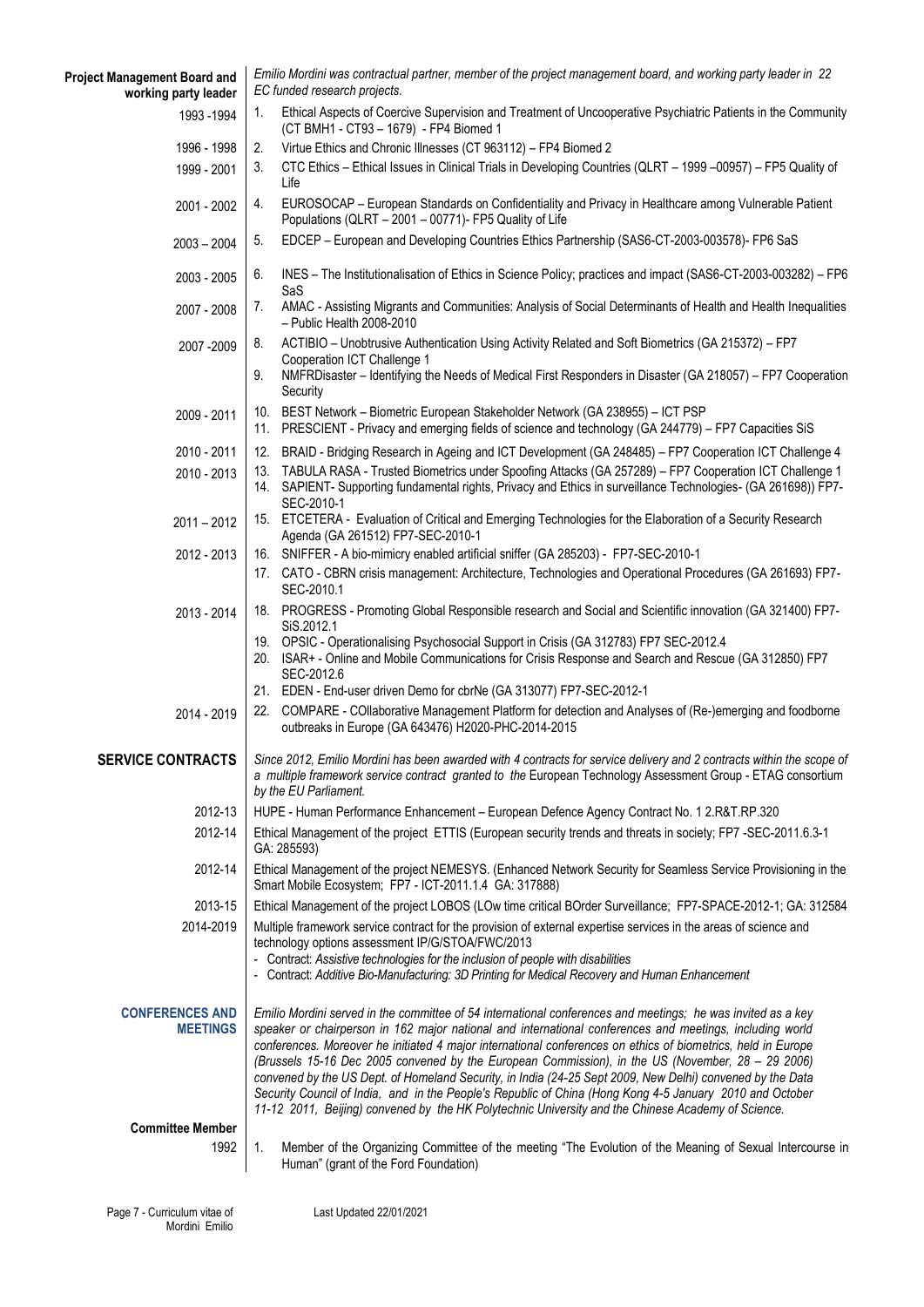| <b>Project Management Board and</b><br>working party leader | Emilio Mordini was contractual partner, member of the project management board, and working party leader in 22<br>EC funded research projects.                                                                                                                                                                                                                                                                                                                                                                                                                                                                                                                                                                                                                               |  |  |
|-------------------------------------------------------------|------------------------------------------------------------------------------------------------------------------------------------------------------------------------------------------------------------------------------------------------------------------------------------------------------------------------------------------------------------------------------------------------------------------------------------------------------------------------------------------------------------------------------------------------------------------------------------------------------------------------------------------------------------------------------------------------------------------------------------------------------------------------------|--|--|
| 1993 - 1994                                                 | Ethical Aspects of Coercive Supervision and Treatment of Uncooperative Psychiatric Patients in the Community<br>1.<br>(CT BMH1 - CT93 - 1679) - FP4 Biomed 1                                                                                                                                                                                                                                                                                                                                                                                                                                                                                                                                                                                                                 |  |  |
| 1996 - 1998                                                 | 2.<br>Virtue Ethics and Chronic Illnesses (CT 963112) - FP4 Biomed 2                                                                                                                                                                                                                                                                                                                                                                                                                                                                                                                                                                                                                                                                                                         |  |  |
| 1999 - 2001                                                 | CTC Ethics - Ethical Issues in Clinical Trials in Developing Countries (QLRT - 1999 -00957) - FP5 Quality of<br>3.<br>Life                                                                                                                                                                                                                                                                                                                                                                                                                                                                                                                                                                                                                                                   |  |  |
| 2001 - 2002                                                 | EUROSOCAP - European Standards on Confidentiality and Privacy in Healthcare among Vulnerable Patient<br>4.<br>Populations (QLRT - 2001 - 00771)- FP5 Quality of Life                                                                                                                                                                                                                                                                                                                                                                                                                                                                                                                                                                                                         |  |  |
| $2003 - 2004$                                               | EDCEP - European and Developing Countries Ethics Partnership (SAS6-CT-2003-003578)- FP6 SaS<br>5.                                                                                                                                                                                                                                                                                                                                                                                                                                                                                                                                                                                                                                                                            |  |  |
| 2003 - 2005                                                 | INES - The Institutionalisation of Ethics in Science Policy; practices and impact (SAS6-CT-2003-003282) - FP6<br>6.<br>SaS                                                                                                                                                                                                                                                                                                                                                                                                                                                                                                                                                                                                                                                   |  |  |
| 2007 - 2008                                                 | 7.<br>AMAC - Assisting Migrants and Communities: Analysis of Social Determinants of Health and Health Inequalities<br>- Public Health 2008-2010                                                                                                                                                                                                                                                                                                                                                                                                                                                                                                                                                                                                                              |  |  |
| 2007 - 2009                                                 | ACTIBIO - Unobtrusive Authentication Using Activity Related and Soft Biometrics (GA 215372) - FP7<br>8.<br>Cooperation ICT Challenge 1<br>NMFRDisaster – Identifying the Needs of Medical First Responders in Disaster (GA 218057) – FP7 Cooperation<br>9.<br>Security                                                                                                                                                                                                                                                                                                                                                                                                                                                                                                       |  |  |
| 2009 - 2011                                                 | 10. BEST Network - Biometric European Stakeholder Network (GA 238955) - ICT PSP<br>11. PRESCIENT - Privacy and emerging fields of science and technology (GA 244779) - FP7 Capacities SiS                                                                                                                                                                                                                                                                                                                                                                                                                                                                                                                                                                                    |  |  |
| 2010 - 2011                                                 | 12. BRAID - Bridging Research in Ageing and ICT Development (GA 248485) - FP7 Cooperation ICT Challenge 4                                                                                                                                                                                                                                                                                                                                                                                                                                                                                                                                                                                                                                                                    |  |  |
| 2010 - 2013                                                 | 13. TABULA RASA - Trusted Biometrics under Spoofing Attacks (GA 257289) - FP7 Cooperation ICT Challenge 1<br>14. SAPIENT- Supporting fundamental rights, Privacy and Ethics in surveillance Technologies- (GA 261698)) FP7-<br>SEC-2010-1                                                                                                                                                                                                                                                                                                                                                                                                                                                                                                                                    |  |  |
| $2011 - 2012$                                               | 15. ETCETERA - Evaluation of Critical and Emerging Technologies for the Elaboration of a Security Research<br>Agenda (GA 261512) FP7-SEC-2010-1                                                                                                                                                                                                                                                                                                                                                                                                                                                                                                                                                                                                                              |  |  |
| 2012 - 2013                                                 | 16. SNIFFER - A bio-mimicry enabled artificial sniffer (GA 285203) - FP7-SEC-2010-1                                                                                                                                                                                                                                                                                                                                                                                                                                                                                                                                                                                                                                                                                          |  |  |
|                                                             | 17. CATO - CBRN crisis management: Architecture, Technologies and Operational Procedures (GA 261693) FP7-<br>SEC-2010.1                                                                                                                                                                                                                                                                                                                                                                                                                                                                                                                                                                                                                                                      |  |  |
| 2013 - 2014                                                 | 18. PROGRESS - Promoting Global Responsible research and Social and Scientific innovation (GA 321400) FP7-<br>SiS.2012.1                                                                                                                                                                                                                                                                                                                                                                                                                                                                                                                                                                                                                                                     |  |  |
|                                                             | 19. OPSIC - Operationalising Psychosocial Support in Crisis (GA 312783) FP7 SEC-2012.4<br>20. ISAR+ - Online and Mobile Communications for Crisis Response and Search and Rescue (GA 312850) FP7<br>SEC-2012.6                                                                                                                                                                                                                                                                                                                                                                                                                                                                                                                                                               |  |  |
|                                                             | 21. EDEN - End-user driven Demo for cbrNe (GA 313077) FP7-SEC-2012-1                                                                                                                                                                                                                                                                                                                                                                                                                                                                                                                                                                                                                                                                                                         |  |  |
| 2014 - 2019                                                 | COMPARE - COllaborative Management Platform for detection and Analyses of (Re-)emerging and foodborne<br>22.<br>outbreaks in Europe (GA 643476) H2020-PHC-2014-2015                                                                                                                                                                                                                                                                                                                                                                                                                                                                                                                                                                                                          |  |  |
|                                                             | SERVICE CONTRACTS   Since 2012, Emilio Mordini has been awarded with 4 contracts for service delivery and 2 contracts within the scope of<br>a multiple framework service contract granted to the European Technology Assessment Group - ETAG consortium<br>by the EU Parliament.                                                                                                                                                                                                                                                                                                                                                                                                                                                                                            |  |  |
| 2012-13                                                     | HUPE - Human Performance Enhancement - European Defence Agency Contract No. 1 2.R&T.RP.320                                                                                                                                                                                                                                                                                                                                                                                                                                                                                                                                                                                                                                                                                   |  |  |
| 2012-14                                                     | Ethical Management of the project ETTIS (European security trends and threats in society; FP7 -SEC-2011.6.3-1<br>GA: 285593)                                                                                                                                                                                                                                                                                                                                                                                                                                                                                                                                                                                                                                                 |  |  |
| 2012-14                                                     | Ethical Management of the project NEMESYS. (Enhanced Network Security for Seamless Service Provisioning in the<br>Smart Mobile Ecosystem; FP7 - ICT-2011.1.4 GA: 317888)                                                                                                                                                                                                                                                                                                                                                                                                                                                                                                                                                                                                     |  |  |
| 2013-15                                                     | Ethical Management of the project LOBOS (LOw time critical BOrder Surveillance; FP7-SPACE-2012-1; GA: 312584                                                                                                                                                                                                                                                                                                                                                                                                                                                                                                                                                                                                                                                                 |  |  |
| 2014-2019                                                   | Multiple framework service contract for the provision of external expertise services in the areas of science and<br>technology options assessment IP/G/STOA/FWC/2013<br>- Contract: Assistive technologies for the inclusion of people with disabilities<br>- Contract: Additive Bio-Manufacturing: 3D Printing for Medical Recovery and Human Enhancement                                                                                                                                                                                                                                                                                                                                                                                                                   |  |  |
| <b>CONFERENCES AND</b><br><b>MEETINGS</b>                   | Emilio Mordini served in the committee of 54 international conferences and meetings; he was invited as a key<br>speaker or chairperson in 162 major national and international conferences and meetings, including world<br>conferences. Moreover he initiated 4 major international conferences on ethics of biometrics, held in Europe<br>(Brussels 15-16 Dec 2005 convened by the European Commission), in the US (November, 28 - 29 2006)<br>convened by the US Dept. of Homeland Security, in India (24-25 Sept 2009, New Delhi) convened by the Data<br>Security Council of India, and in the People's Republic of China (Hong Kong 4-5 January 2010 and October<br>11-12 2011, Beijing) convened by the HK Polytechnic University and the Chinese Academy of Science. |  |  |
| <b>Committee Member</b>                                     |                                                                                                                                                                                                                                                                                                                                                                                                                                                                                                                                                                                                                                                                                                                                                                              |  |  |
| 1992                                                        | $\mathbf{1}$ .<br>Member of the Organizing Committee of the meeting "The Evolution of the Meaning of Sexual Intercourse in<br>Human" (grant of the Ford Foundation)                                                                                                                                                                                                                                                                                                                                                                                                                                                                                                                                                                                                          |  |  |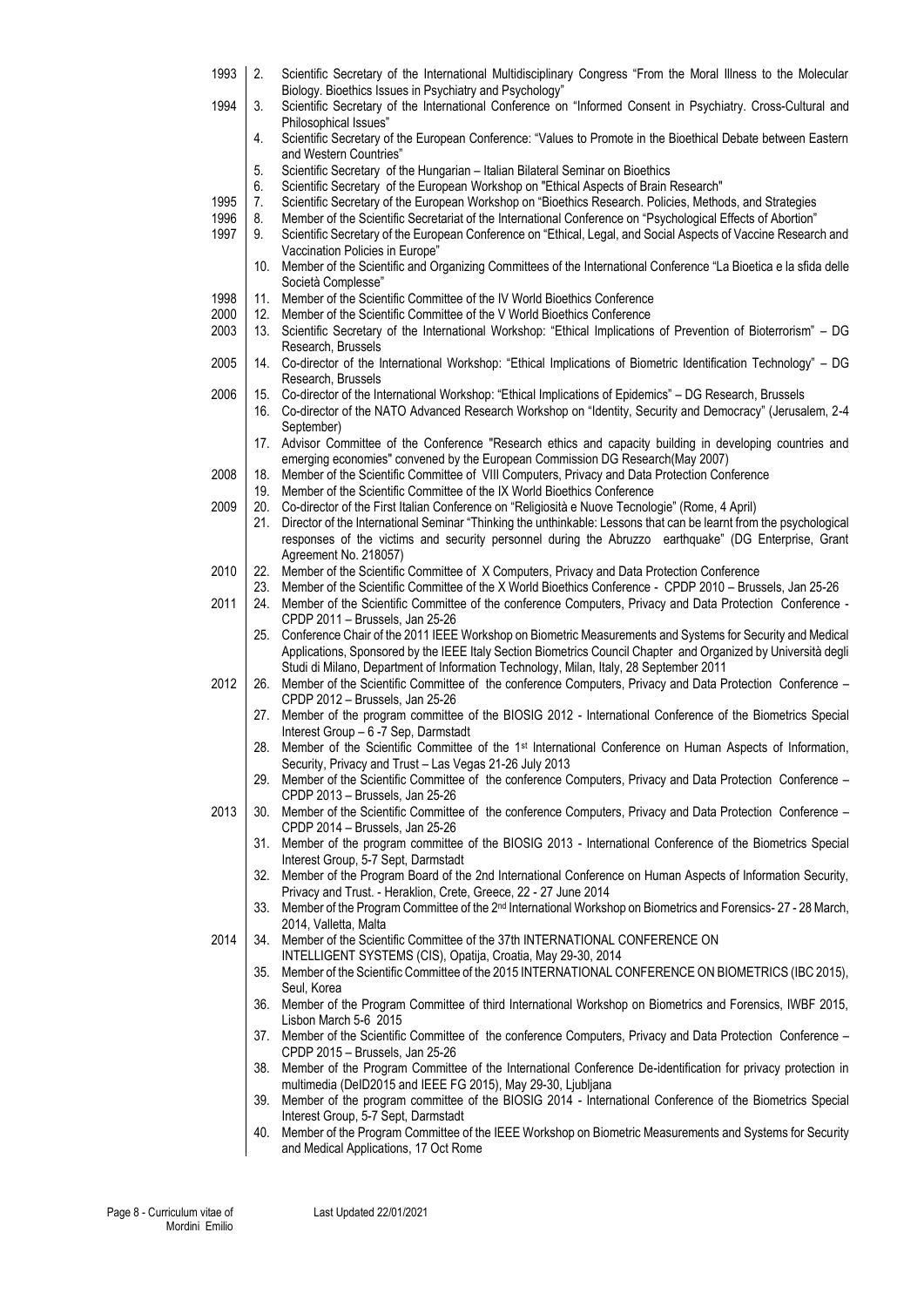1993 2. Scientific Secretary of the International Multidisciplinary Congress "From the Moral Illness to the Molecular Biology. Bioethics Issues in Psychiatry and Psychology" 1994 3. Scientific Secretary of the International Conference on "Informed Consent in Psychiatry. Cross-Cultural and Philosophical Issues" 4. Scientific Secretary of the European Conference: "Values to Promote in the Bioethical Debate between Eastern and Western Countries" 5. Scientific Secretary of the Hungarian – Italian Bilateral Seminar on Bioethics 6. Scientific Secretary of the European Workshop on "Ethical Aspects of Brain Research" 1995 7. Scientific Secretary of the European Workshop on "Bioethics Research. Policies, Methods, and Strategies<br>1996 8. Member of the Scientific Secretariat of the International Conference on "Psychological Effects of Abor 1996 8. Member of the Scientific Secretariat of the International Conference on "Psychological Effects of Abortion" 1997 9. Scientific Secretary of the European Conference on "Ethical, Legal, and Social Aspects of Vaccine Research and Vaccination Policies in Europe" 10. Member of the Scientific and Organizing Committees of the International Conference "La Bioetica e la sfida delle Società Complesse" 1998 11. Member of the Scientific Committee of the IV World Bioethics Conference 2000 | 12. Member of the Scientific Committee of the V World Bioethics Conference 2003 13. Scientific Secretary of the International Workshop: "Ethical Implications of Prevention of Bioterrorism" – DG Research, Brussels 2005 14. Co-director of the International Workshop: "Ethical Implications of Biometric Identification Technology" – DG Research, Brussels 2006 15. Co-director of the International Workshop: "Ethical Implications of Epidemics" – DG Research, Brussels 16. Co-director of the NATO Advanced Research Workshop on "Identity, Security and Democracy" (Jerusalem, 2-4 September) 17. Advisor Committee of the Conference "Research ethics and capacity building in developing countries and emerging economies" convened by the European Commission DG Research(May 2007) 2008 18. Member of the Scientific Committee of VIII Computers, Privacy and Data Protection Conference 19. Member of the Scientific Committee of the IX World Bioethics Conference 2009 | 20. Co-director of the First Italian Conference on "Religiosità e Nuove Tecnologie" (Rome, 4 April) 21. Director of the International Seminar "Thinking the unthinkable: Lessons that can be learnt from the psychological responses of the victims and security personnel during the Abruzzo earthquake" (DG Enterprise, Grant Agreement No. 218057) 2010 22. Member of the Scientific Committee of X Computers, Privacy and Data Protection Conference 23. Member of the Scientific Committee of the X World Bioethics Conference - CPDP 2010 – Brussels, Jan 25-26 2011 24. Member of the Scientific Committee of the conference Computers, Privacy and Data Protection Conference -CPDP 2011 – Brussels, Jan 25-26 25. Conference Chair of the 2011 IEEE Workshop on Biometric Measurements and Systems for Security and Medical Applications, Sponsored by the IEEE Italy Section Biometrics Council Chapter and Organized by Università degli Studi di Milano, Department of Information Technology, Milan, Italy, 28 September 2011 2012 26. Member of the Scientific Committee of the conference Computers, Privacy and Data Protection Conference – CPDP 2012 – Brussels, Jan 25-26 27. Member of the program committee of the BIOSIG 2012 - International Conference of the Biometrics Special Interest Group – 6 -7 Sep, Darmstadt 28. Member of the Scientific Committee of the 1st International Conference on Human Aspects of Information, Security, Privacy and Trust – Las Vegas 21-26 July 2013 29. Member of the Scientific Committee of the conference Computers, Privacy and Data Protection Conference – CPDP 2013 – Brussels, Jan 25-26 2013 30. Member of the Scientific Committee of the conference Computers, Privacy and Data Protection Conference – CPDP 2014 – Brussels, Jan 25-26 31. Member of the program committee of the BIOSIG 2013 - International Conference of the Biometrics Special Interest Group, 5-7 Sept, Darmstadt 32. Member of the Program Board of the 2nd International Conference on Human Aspects of Information Security, Privacy and Trust. - Heraklion, Crete, Greece, 22 - 27 June 2014 33. Member of the Program Committee of the 2<sup>nd</sup> International Workshop on Biometrics and Forensics- 27 - 28 March, 2014, Valletta, Malta 2014 34. Member of the Scientific Committee of the 37th INTERNATIONAL CONFERENCE ON INTELLIGENT SYSTEMS (CIS), Opatija, Croatia, May 29-30, 2014 35. Member of the Scientific Committee of the 2015 INTERNATIONAL CONFERENCE ON BIOMETRICS (IBC 2015), Seul, Korea 36. Member of the Program Committee of third International Workshop on Biometrics and Forensics, IWBF 2015, Lisbon March 5-6 2015 37. Member of the Scientific Committee of the conference Computers, Privacy and Data Protection Conference – CPDP 2015 – Brussels, Jan 25-26 38. Member of the Program Committee of the International Conference De-identification for privacy protection in multimedia (DeID2015 and IEEE FG 2015), May 29-30, Ljubljana 39. Member of the program committee of the BIOSIG 2014 - International Conference of the Biometrics Special Interest Group, 5-7 Sept, Darmstadt 40. Member of the Program Committee of the IEEE Workshop on Biometric Measurements and Systems for Security and Medical Applications, 17 Oct Rome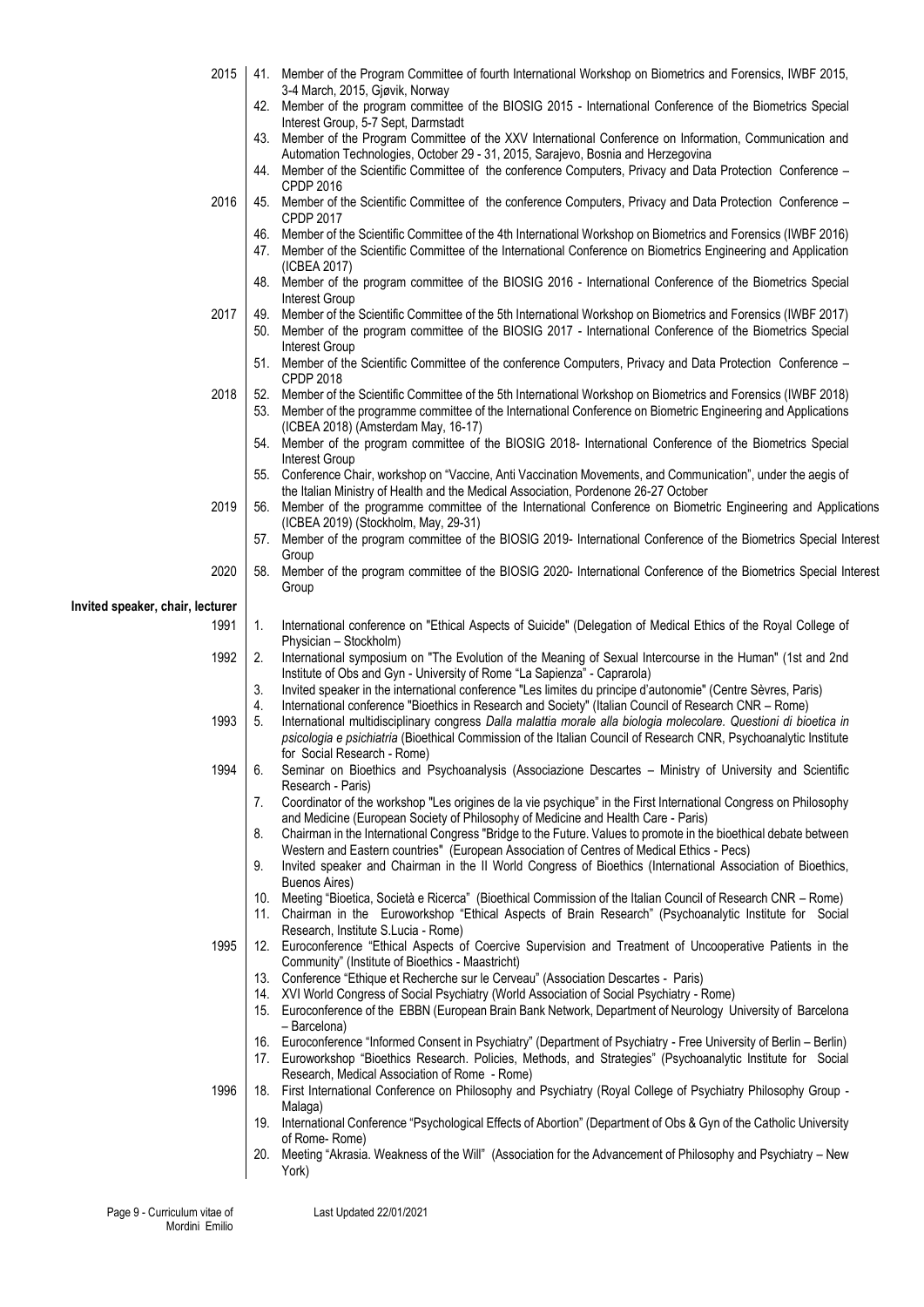| 3-4 March, 2015, Gjøvik, Norway<br>42. Member of the program committee of the BIOSIG 2015 - International Conference of the Biometrics Special<br>Interest Group, 5-7 Sept, Darmstadt<br>43. Member of the Program Committee of the XXV International Conference on Information, Communication and<br>Automation Technologies, October 29 - 31, 2015, Sarajevo, Bosnia and Herzegovina<br>Member of the Scientific Committee of the conference Computers, Privacy and Data Protection Conference -<br>44.<br><b>CPDP 2016</b><br>2016<br>Member of the Scientific Committee of the conference Computers, Privacy and Data Protection Conference -<br>45.<br><b>CPDP 2017</b><br>Member of the Scientific Committee of the 4th International Workshop on Biometrics and Forensics (IWBF 2016)<br>46.<br>47. Member of the Scientific Committee of the International Conference on Biometrics Engineering and Application<br>(ICBEA 2017)<br>Member of the program committee of the BIOSIG 2016 - International Conference of the Biometrics Special<br>48.<br><b>Interest Group</b><br>2017<br>Member of the Scientific Committee of the 5th International Workshop on Biometrics and Forensics (IWBF 2017)<br>49.<br>Member of the program committee of the BIOSIG 2017 - International Conference of the Biometrics Special<br>50.<br>Interest Group<br>51. Member of the Scientific Committee of the conference Computers, Privacy and Data Protection Conference -<br><b>CPDP 2018</b><br>2018<br>52.<br>Member of the Scientific Committee of the 5th International Workshop on Biometrics and Forensics (IWBF 2018)<br>Member of the programme committee of the International Conference on Biometric Engineering and Applications<br>53.<br>(ICBEA 2018) (Amsterdam May, 16-17)<br>54. Member of the program committee of the BIOSIG 2018- International Conference of the Biometrics Special<br>Interest Group<br>55. Conference Chair, workshop on "Vaccine, Anti Vaccination Movements, and Communication", under the aegis of<br>the Italian Ministry of Health and the Medical Association, Pordenone 26-27 October<br>2019<br>Member of the programme committee of the International Conference on Biometric Engineering and Applications<br>56.<br>(ICBEA 2019) (Stockholm, May, 29-31)<br>57. Member of the program committee of the BIOSIG 2019- International Conference of the Biometrics Special Interest<br>Group |  |
|--------------------------------------------------------------------------------------------------------------------------------------------------------------------------------------------------------------------------------------------------------------------------------------------------------------------------------------------------------------------------------------------------------------------------------------------------------------------------------------------------------------------------------------------------------------------------------------------------------------------------------------------------------------------------------------------------------------------------------------------------------------------------------------------------------------------------------------------------------------------------------------------------------------------------------------------------------------------------------------------------------------------------------------------------------------------------------------------------------------------------------------------------------------------------------------------------------------------------------------------------------------------------------------------------------------------------------------------------------------------------------------------------------------------------------------------------------------------------------------------------------------------------------------------------------------------------------------------------------------------------------------------------------------------------------------------------------------------------------------------------------------------------------------------------------------------------------------------------------------------------------------------------------------------------------------------------------------------------------------------------------------------------------------------------------------------------------------------------------------------------------------------------------------------------------------------------------------------------------------------------------------------------------------------------------------------------------------------------------------------------------------------------------------------------------------|--|
|                                                                                                                                                                                                                                                                                                                                                                                                                                                                                                                                                                                                                                                                                                                                                                                                                                                                                                                                                                                                                                                                                                                                                                                                                                                                                                                                                                                                                                                                                                                                                                                                                                                                                                                                                                                                                                                                                                                                                                                                                                                                                                                                                                                                                                                                                                                                                                                                                                      |  |
|                                                                                                                                                                                                                                                                                                                                                                                                                                                                                                                                                                                                                                                                                                                                                                                                                                                                                                                                                                                                                                                                                                                                                                                                                                                                                                                                                                                                                                                                                                                                                                                                                                                                                                                                                                                                                                                                                                                                                                                                                                                                                                                                                                                                                                                                                                                                                                                                                                      |  |
|                                                                                                                                                                                                                                                                                                                                                                                                                                                                                                                                                                                                                                                                                                                                                                                                                                                                                                                                                                                                                                                                                                                                                                                                                                                                                                                                                                                                                                                                                                                                                                                                                                                                                                                                                                                                                                                                                                                                                                                                                                                                                                                                                                                                                                                                                                                                                                                                                                      |  |
|                                                                                                                                                                                                                                                                                                                                                                                                                                                                                                                                                                                                                                                                                                                                                                                                                                                                                                                                                                                                                                                                                                                                                                                                                                                                                                                                                                                                                                                                                                                                                                                                                                                                                                                                                                                                                                                                                                                                                                                                                                                                                                                                                                                                                                                                                                                                                                                                                                      |  |
|                                                                                                                                                                                                                                                                                                                                                                                                                                                                                                                                                                                                                                                                                                                                                                                                                                                                                                                                                                                                                                                                                                                                                                                                                                                                                                                                                                                                                                                                                                                                                                                                                                                                                                                                                                                                                                                                                                                                                                                                                                                                                                                                                                                                                                                                                                                                                                                                                                      |  |
|                                                                                                                                                                                                                                                                                                                                                                                                                                                                                                                                                                                                                                                                                                                                                                                                                                                                                                                                                                                                                                                                                                                                                                                                                                                                                                                                                                                                                                                                                                                                                                                                                                                                                                                                                                                                                                                                                                                                                                                                                                                                                                                                                                                                                                                                                                                                                                                                                                      |  |
|                                                                                                                                                                                                                                                                                                                                                                                                                                                                                                                                                                                                                                                                                                                                                                                                                                                                                                                                                                                                                                                                                                                                                                                                                                                                                                                                                                                                                                                                                                                                                                                                                                                                                                                                                                                                                                                                                                                                                                                                                                                                                                                                                                                                                                                                                                                                                                                                                                      |  |
|                                                                                                                                                                                                                                                                                                                                                                                                                                                                                                                                                                                                                                                                                                                                                                                                                                                                                                                                                                                                                                                                                                                                                                                                                                                                                                                                                                                                                                                                                                                                                                                                                                                                                                                                                                                                                                                                                                                                                                                                                                                                                                                                                                                                                                                                                                                                                                                                                                      |  |
|                                                                                                                                                                                                                                                                                                                                                                                                                                                                                                                                                                                                                                                                                                                                                                                                                                                                                                                                                                                                                                                                                                                                                                                                                                                                                                                                                                                                                                                                                                                                                                                                                                                                                                                                                                                                                                                                                                                                                                                                                                                                                                                                                                                                                                                                                                                                                                                                                                      |  |
|                                                                                                                                                                                                                                                                                                                                                                                                                                                                                                                                                                                                                                                                                                                                                                                                                                                                                                                                                                                                                                                                                                                                                                                                                                                                                                                                                                                                                                                                                                                                                                                                                                                                                                                                                                                                                                                                                                                                                                                                                                                                                                                                                                                                                                                                                                                                                                                                                                      |  |
|                                                                                                                                                                                                                                                                                                                                                                                                                                                                                                                                                                                                                                                                                                                                                                                                                                                                                                                                                                                                                                                                                                                                                                                                                                                                                                                                                                                                                                                                                                                                                                                                                                                                                                                                                                                                                                                                                                                                                                                                                                                                                                                                                                                                                                                                                                                                                                                                                                      |  |
|                                                                                                                                                                                                                                                                                                                                                                                                                                                                                                                                                                                                                                                                                                                                                                                                                                                                                                                                                                                                                                                                                                                                                                                                                                                                                                                                                                                                                                                                                                                                                                                                                                                                                                                                                                                                                                                                                                                                                                                                                                                                                                                                                                                                                                                                                                                                                                                                                                      |  |
|                                                                                                                                                                                                                                                                                                                                                                                                                                                                                                                                                                                                                                                                                                                                                                                                                                                                                                                                                                                                                                                                                                                                                                                                                                                                                                                                                                                                                                                                                                                                                                                                                                                                                                                                                                                                                                                                                                                                                                                                                                                                                                                                                                                                                                                                                                                                                                                                                                      |  |
|                                                                                                                                                                                                                                                                                                                                                                                                                                                                                                                                                                                                                                                                                                                                                                                                                                                                                                                                                                                                                                                                                                                                                                                                                                                                                                                                                                                                                                                                                                                                                                                                                                                                                                                                                                                                                                                                                                                                                                                                                                                                                                                                                                                                                                                                                                                                                                                                                                      |  |
|                                                                                                                                                                                                                                                                                                                                                                                                                                                                                                                                                                                                                                                                                                                                                                                                                                                                                                                                                                                                                                                                                                                                                                                                                                                                                                                                                                                                                                                                                                                                                                                                                                                                                                                                                                                                                                                                                                                                                                                                                                                                                                                                                                                                                                                                                                                                                                                                                                      |  |
|                                                                                                                                                                                                                                                                                                                                                                                                                                                                                                                                                                                                                                                                                                                                                                                                                                                                                                                                                                                                                                                                                                                                                                                                                                                                                                                                                                                                                                                                                                                                                                                                                                                                                                                                                                                                                                                                                                                                                                                                                                                                                                                                                                                                                                                                                                                                                                                                                                      |  |
|                                                                                                                                                                                                                                                                                                                                                                                                                                                                                                                                                                                                                                                                                                                                                                                                                                                                                                                                                                                                                                                                                                                                                                                                                                                                                                                                                                                                                                                                                                                                                                                                                                                                                                                                                                                                                                                                                                                                                                                                                                                                                                                                                                                                                                                                                                                                                                                                                                      |  |
|                                                                                                                                                                                                                                                                                                                                                                                                                                                                                                                                                                                                                                                                                                                                                                                                                                                                                                                                                                                                                                                                                                                                                                                                                                                                                                                                                                                                                                                                                                                                                                                                                                                                                                                                                                                                                                                                                                                                                                                                                                                                                                                                                                                                                                                                                                                                                                                                                                      |  |
|                                                                                                                                                                                                                                                                                                                                                                                                                                                                                                                                                                                                                                                                                                                                                                                                                                                                                                                                                                                                                                                                                                                                                                                                                                                                                                                                                                                                                                                                                                                                                                                                                                                                                                                                                                                                                                                                                                                                                                                                                                                                                                                                                                                                                                                                                                                                                                                                                                      |  |
|                                                                                                                                                                                                                                                                                                                                                                                                                                                                                                                                                                                                                                                                                                                                                                                                                                                                                                                                                                                                                                                                                                                                                                                                                                                                                                                                                                                                                                                                                                                                                                                                                                                                                                                                                                                                                                                                                                                                                                                                                                                                                                                                                                                                                                                                                                                                                                                                                                      |  |
|                                                                                                                                                                                                                                                                                                                                                                                                                                                                                                                                                                                                                                                                                                                                                                                                                                                                                                                                                                                                                                                                                                                                                                                                                                                                                                                                                                                                                                                                                                                                                                                                                                                                                                                                                                                                                                                                                                                                                                                                                                                                                                                                                                                                                                                                                                                                                                                                                                      |  |
|                                                                                                                                                                                                                                                                                                                                                                                                                                                                                                                                                                                                                                                                                                                                                                                                                                                                                                                                                                                                                                                                                                                                                                                                                                                                                                                                                                                                                                                                                                                                                                                                                                                                                                                                                                                                                                                                                                                                                                                                                                                                                                                                                                                                                                                                                                                                                                                                                                      |  |
|                                                                                                                                                                                                                                                                                                                                                                                                                                                                                                                                                                                                                                                                                                                                                                                                                                                                                                                                                                                                                                                                                                                                                                                                                                                                                                                                                                                                                                                                                                                                                                                                                                                                                                                                                                                                                                                                                                                                                                                                                                                                                                                                                                                                                                                                                                                                                                                                                                      |  |
|                                                                                                                                                                                                                                                                                                                                                                                                                                                                                                                                                                                                                                                                                                                                                                                                                                                                                                                                                                                                                                                                                                                                                                                                                                                                                                                                                                                                                                                                                                                                                                                                                                                                                                                                                                                                                                                                                                                                                                                                                                                                                                                                                                                                                                                                                                                                                                                                                                      |  |
| 2020<br>Member of the program committee of the BIOSIG 2020- International Conference of the Biometrics Special Interest<br>58.                                                                                                                                                                                                                                                                                                                                                                                                                                                                                                                                                                                                                                                                                                                                                                                                                                                                                                                                                                                                                                                                                                                                                                                                                                                                                                                                                                                                                                                                                                                                                                                                                                                                                                                                                                                                                                                                                                                                                                                                                                                                                                                                                                                                                                                                                                       |  |
| Group                                                                                                                                                                                                                                                                                                                                                                                                                                                                                                                                                                                                                                                                                                                                                                                                                                                                                                                                                                                                                                                                                                                                                                                                                                                                                                                                                                                                                                                                                                                                                                                                                                                                                                                                                                                                                                                                                                                                                                                                                                                                                                                                                                                                                                                                                                                                                                                                                                |  |
| Invited speaker, chair, lecturer                                                                                                                                                                                                                                                                                                                                                                                                                                                                                                                                                                                                                                                                                                                                                                                                                                                                                                                                                                                                                                                                                                                                                                                                                                                                                                                                                                                                                                                                                                                                                                                                                                                                                                                                                                                                                                                                                                                                                                                                                                                                                                                                                                                                                                                                                                                                                                                                     |  |
| 1991<br>1.<br>International conference on "Ethical Aspects of Suicide" (Delegation of Medical Ethics of the Royal College of<br>Physician - Stockholm)                                                                                                                                                                                                                                                                                                                                                                                                                                                                                                                                                                                                                                                                                                                                                                                                                                                                                                                                                                                                                                                                                                                                                                                                                                                                                                                                                                                                                                                                                                                                                                                                                                                                                                                                                                                                                                                                                                                                                                                                                                                                                                                                                                                                                                                                               |  |
| 1992<br>2.<br>International symposium on "The Evolution of the Meaning of Sexual Intercourse in the Human" (1st and 2nd                                                                                                                                                                                                                                                                                                                                                                                                                                                                                                                                                                                                                                                                                                                                                                                                                                                                                                                                                                                                                                                                                                                                                                                                                                                                                                                                                                                                                                                                                                                                                                                                                                                                                                                                                                                                                                                                                                                                                                                                                                                                                                                                                                                                                                                                                                              |  |
| Institute of Obs and Gyn - University of Rome "La Sapienza" - Caprarola)                                                                                                                                                                                                                                                                                                                                                                                                                                                                                                                                                                                                                                                                                                                                                                                                                                                                                                                                                                                                                                                                                                                                                                                                                                                                                                                                                                                                                                                                                                                                                                                                                                                                                                                                                                                                                                                                                                                                                                                                                                                                                                                                                                                                                                                                                                                                                             |  |
| 3.<br>Invited speaker in the international conference "Les limites du principe d'autonomie" (Centre Sèvres, Paris)                                                                                                                                                                                                                                                                                                                                                                                                                                                                                                                                                                                                                                                                                                                                                                                                                                                                                                                                                                                                                                                                                                                                                                                                                                                                                                                                                                                                                                                                                                                                                                                                                                                                                                                                                                                                                                                                                                                                                                                                                                                                                                                                                                                                                                                                                                                   |  |
| International conference "Bioethics in Research and Society" (Italian Council of Research CNR - Rome)<br>4.<br>International multidisciplinary congress Dalla malattia morale alla biologia molecolare. Questioni di bioetica in<br>1993<br>5.                                                                                                                                                                                                                                                                                                                                                                                                                                                                                                                                                                                                                                                                                                                                                                                                                                                                                                                                                                                                                                                                                                                                                                                                                                                                                                                                                                                                                                                                                                                                                                                                                                                                                                                                                                                                                                                                                                                                                                                                                                                                                                                                                                                       |  |
| psicologia e psichiatria (Bioethical Commission of the Italian Council of Research CNR, Psychoanalytic Institute                                                                                                                                                                                                                                                                                                                                                                                                                                                                                                                                                                                                                                                                                                                                                                                                                                                                                                                                                                                                                                                                                                                                                                                                                                                                                                                                                                                                                                                                                                                                                                                                                                                                                                                                                                                                                                                                                                                                                                                                                                                                                                                                                                                                                                                                                                                     |  |
| for Social Research - Rome)                                                                                                                                                                                                                                                                                                                                                                                                                                                                                                                                                                                                                                                                                                                                                                                                                                                                                                                                                                                                                                                                                                                                                                                                                                                                                                                                                                                                                                                                                                                                                                                                                                                                                                                                                                                                                                                                                                                                                                                                                                                                                                                                                                                                                                                                                                                                                                                                          |  |
| 1994<br>Seminar on Bioethics and Psychoanalysis (Associazione Descartes - Ministry of University and Scientific<br>6.                                                                                                                                                                                                                                                                                                                                                                                                                                                                                                                                                                                                                                                                                                                                                                                                                                                                                                                                                                                                                                                                                                                                                                                                                                                                                                                                                                                                                                                                                                                                                                                                                                                                                                                                                                                                                                                                                                                                                                                                                                                                                                                                                                                                                                                                                                                |  |
| Research - Paris)<br>7.                                                                                                                                                                                                                                                                                                                                                                                                                                                                                                                                                                                                                                                                                                                                                                                                                                                                                                                                                                                                                                                                                                                                                                                                                                                                                                                                                                                                                                                                                                                                                                                                                                                                                                                                                                                                                                                                                                                                                                                                                                                                                                                                                                                                                                                                                                                                                                                                              |  |
| Coordinator of the workshop "Les origines de la vie psychique" in the First International Congress on Philosophy<br>and Medicine (European Society of Philosophy of Medicine and Health Care - Paris)                                                                                                                                                                                                                                                                                                                                                                                                                                                                                                                                                                                                                                                                                                                                                                                                                                                                                                                                                                                                                                                                                                                                                                                                                                                                                                                                                                                                                                                                                                                                                                                                                                                                                                                                                                                                                                                                                                                                                                                                                                                                                                                                                                                                                                |  |
| Chairman in the International Congress "Bridge to the Future. Values to promote in the bioethical debate between<br>8.                                                                                                                                                                                                                                                                                                                                                                                                                                                                                                                                                                                                                                                                                                                                                                                                                                                                                                                                                                                                                                                                                                                                                                                                                                                                                                                                                                                                                                                                                                                                                                                                                                                                                                                                                                                                                                                                                                                                                                                                                                                                                                                                                                                                                                                                                                               |  |
| Western and Eastern countries" (European Association of Centres of Medical Ethics - Pecs)                                                                                                                                                                                                                                                                                                                                                                                                                                                                                                                                                                                                                                                                                                                                                                                                                                                                                                                                                                                                                                                                                                                                                                                                                                                                                                                                                                                                                                                                                                                                                                                                                                                                                                                                                                                                                                                                                                                                                                                                                                                                                                                                                                                                                                                                                                                                            |  |
| Invited speaker and Chairman in the II World Congress of Bioethics (International Association of Bioethics,<br>9.                                                                                                                                                                                                                                                                                                                                                                                                                                                                                                                                                                                                                                                                                                                                                                                                                                                                                                                                                                                                                                                                                                                                                                                                                                                                                                                                                                                                                                                                                                                                                                                                                                                                                                                                                                                                                                                                                                                                                                                                                                                                                                                                                                                                                                                                                                                    |  |
| Buenos Aires)<br>10. Meeting "Bioetica, Società e Ricerca" (Bioethical Commission of the Italian Council of Research CNR - Rome)                                                                                                                                                                                                                                                                                                                                                                                                                                                                                                                                                                                                                                                                                                                                                                                                                                                                                                                                                                                                                                                                                                                                                                                                                                                                                                                                                                                                                                                                                                                                                                                                                                                                                                                                                                                                                                                                                                                                                                                                                                                                                                                                                                                                                                                                                                     |  |
| 11. Chairman in the Euroworkshop "Ethical Aspects of Brain Research" (Psychoanalytic Institute for Social                                                                                                                                                                                                                                                                                                                                                                                                                                                                                                                                                                                                                                                                                                                                                                                                                                                                                                                                                                                                                                                                                                                                                                                                                                                                                                                                                                                                                                                                                                                                                                                                                                                                                                                                                                                                                                                                                                                                                                                                                                                                                                                                                                                                                                                                                                                            |  |
| Research, Institute S.Lucia - Rome)                                                                                                                                                                                                                                                                                                                                                                                                                                                                                                                                                                                                                                                                                                                                                                                                                                                                                                                                                                                                                                                                                                                                                                                                                                                                                                                                                                                                                                                                                                                                                                                                                                                                                                                                                                                                                                                                                                                                                                                                                                                                                                                                                                                                                                                                                                                                                                                                  |  |
| 1995<br>12. Euroconference "Ethical Aspects of Coercive Supervision and Treatment of Uncooperative Patients in the                                                                                                                                                                                                                                                                                                                                                                                                                                                                                                                                                                                                                                                                                                                                                                                                                                                                                                                                                                                                                                                                                                                                                                                                                                                                                                                                                                                                                                                                                                                                                                                                                                                                                                                                                                                                                                                                                                                                                                                                                                                                                                                                                                                                                                                                                                                   |  |
| Community" (Institute of Bioethics - Maastricht)<br>13. Conference "Ethique et Recherche sur le Cerveau" (Association Descartes - Paris)                                                                                                                                                                                                                                                                                                                                                                                                                                                                                                                                                                                                                                                                                                                                                                                                                                                                                                                                                                                                                                                                                                                                                                                                                                                                                                                                                                                                                                                                                                                                                                                                                                                                                                                                                                                                                                                                                                                                                                                                                                                                                                                                                                                                                                                                                             |  |
| 14. XVI World Congress of Social Psychiatry (World Association of Social Psychiatry - Rome)                                                                                                                                                                                                                                                                                                                                                                                                                                                                                                                                                                                                                                                                                                                                                                                                                                                                                                                                                                                                                                                                                                                                                                                                                                                                                                                                                                                                                                                                                                                                                                                                                                                                                                                                                                                                                                                                                                                                                                                                                                                                                                                                                                                                                                                                                                                                          |  |
| 15. Euroconference of the EBBN (European Brain Bank Network, Department of Neurology University of Barcelona                                                                                                                                                                                                                                                                                                                                                                                                                                                                                                                                                                                                                                                                                                                                                                                                                                                                                                                                                                                                                                                                                                                                                                                                                                                                                                                                                                                                                                                                                                                                                                                                                                                                                                                                                                                                                                                                                                                                                                                                                                                                                                                                                                                                                                                                                                                         |  |
| - Barcelona)<br>16. Euroconference "Informed Consent in Psychiatry" (Department of Psychiatry - Free University of Berlin - Berlin)                                                                                                                                                                                                                                                                                                                                                                                                                                                                                                                                                                                                                                                                                                                                                                                                                                                                                                                                                                                                                                                                                                                                                                                                                                                                                                                                                                                                                                                                                                                                                                                                                                                                                                                                                                                                                                                                                                                                                                                                                                                                                                                                                                                                                                                                                                  |  |
| 17. Euroworkshop "Bioethics Research. Policies, Methods, and Strategies" (Psychoanalytic Institute for Social                                                                                                                                                                                                                                                                                                                                                                                                                                                                                                                                                                                                                                                                                                                                                                                                                                                                                                                                                                                                                                                                                                                                                                                                                                                                                                                                                                                                                                                                                                                                                                                                                                                                                                                                                                                                                                                                                                                                                                                                                                                                                                                                                                                                                                                                                                                        |  |
| Research, Medical Association of Rome - Rome)                                                                                                                                                                                                                                                                                                                                                                                                                                                                                                                                                                                                                                                                                                                                                                                                                                                                                                                                                                                                                                                                                                                                                                                                                                                                                                                                                                                                                                                                                                                                                                                                                                                                                                                                                                                                                                                                                                                                                                                                                                                                                                                                                                                                                                                                                                                                                                                        |  |
| 1996<br>First International Conference on Philosophy and Psychiatry (Royal College of Psychiatry Philosophy Group -<br>18.                                                                                                                                                                                                                                                                                                                                                                                                                                                                                                                                                                                                                                                                                                                                                                                                                                                                                                                                                                                                                                                                                                                                                                                                                                                                                                                                                                                                                                                                                                                                                                                                                                                                                                                                                                                                                                                                                                                                                                                                                                                                                                                                                                                                                                                                                                           |  |
| Malaga)                                                                                                                                                                                                                                                                                                                                                                                                                                                                                                                                                                                                                                                                                                                                                                                                                                                                                                                                                                                                                                                                                                                                                                                                                                                                                                                                                                                                                                                                                                                                                                                                                                                                                                                                                                                                                                                                                                                                                                                                                                                                                                                                                                                                                                                                                                                                                                                                                              |  |
| International Conference "Psychological Effects of Abortion" (Department of Obs & Gyn of the Catholic University<br>19.<br>of Rome-Rome)                                                                                                                                                                                                                                                                                                                                                                                                                                                                                                                                                                                                                                                                                                                                                                                                                                                                                                                                                                                                                                                                                                                                                                                                                                                                                                                                                                                                                                                                                                                                                                                                                                                                                                                                                                                                                                                                                                                                                                                                                                                                                                                                                                                                                                                                                             |  |
| Meeting "Akrasia. Weakness of the Will" (Association for the Advancement of Philosophy and Psychiatry – New<br>20.                                                                                                                                                                                                                                                                                                                                                                                                                                                                                                                                                                                                                                                                                                                                                                                                                                                                                                                                                                                                                                                                                                                                                                                                                                                                                                                                                                                                                                                                                                                                                                                                                                                                                                                                                                                                                                                                                                                                                                                                                                                                                                                                                                                                                                                                                                                   |  |
| York)                                                                                                                                                                                                                                                                                                                                                                                                                                                                                                                                                                                                                                                                                                                                                                                                                                                                                                                                                                                                                                                                                                                                                                                                                                                                                                                                                                                                                                                                                                                                                                                                                                                                                                                                                                                                                                                                                                                                                                                                                                                                                                                                                                                                                                                                                                                                                                                                                                |  |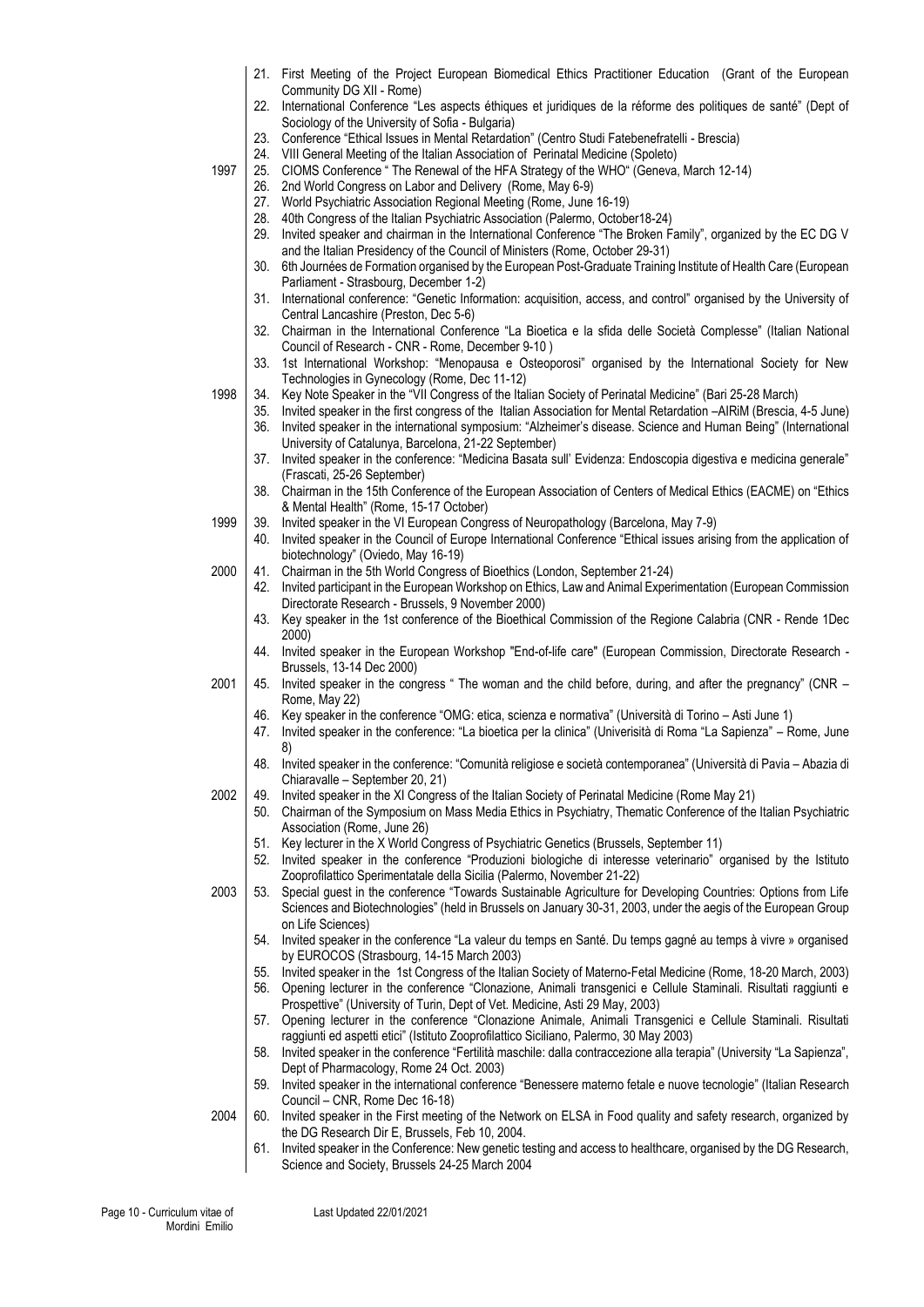|      |            | 21. First Meeting of the Project European Biomedical Ethics Practitioner Education (Grant of the European                                                                                                                                          |
|------|------------|----------------------------------------------------------------------------------------------------------------------------------------------------------------------------------------------------------------------------------------------------|
|      | 22.        | Community DG XII - Rome)<br>International Conference "Les aspects éthiques et juridiques de la réforme des politiques de santé" (Dept of<br>Sociology of the University of Sofia - Bulgaria)                                                       |
|      | 23.        | Conference "Ethical Issues in Mental Retardation" (Centro Studi Fatebenefratelli - Brescia)                                                                                                                                                        |
|      | 24.        | VIII General Meeting of the Italian Association of Perinatal Medicine (Spoleto)                                                                                                                                                                    |
| 1997 | 25.<br>26. | CIOMS Conference " The Renewal of the HFA Strategy of the WHO" (Geneva, March 12-14)                                                                                                                                                               |
|      | 27.        | 2nd World Congress on Labor and Delivery (Rome, May 6-9)<br>World Psychiatric Association Regional Meeting (Rome, June 16-19)                                                                                                                      |
|      | 28.        | 40th Congress of the Italian Psychiatric Association (Palermo, October18-24)                                                                                                                                                                       |
|      | 29.        | Invited speaker and chairman in the International Conference "The Broken Family", organized by the EC DG V<br>and the Italian Presidency of the Council of Ministers (Rome, October 29-31)                                                         |
|      | 30.        | 6th Journées de Formation organised by the European Post-Graduate Training Institute of Health Care (European<br>Parliament - Strasbourg, December 1-2)                                                                                            |
|      | 31.        | International conference: "Genetic Information: acquisition, access, and control" organised by the University of<br>Central Lancashire (Preston, Dec 5-6)                                                                                          |
|      | 32.        | Chairman in the International Conference "La Bioetica e la sfida delle Società Complesse" (Italian National<br>Council of Research - CNR - Rome, December 9-10)                                                                                    |
|      | 33.        | 1st International Workshop: "Menopausa e Osteoporosi" organised by the International Society for New<br>Technologies in Gynecology (Rome, Dec 11-12)                                                                                               |
| 1998 | 34.        | Key Note Speaker in the "VII Congress of the Italian Society of Perinatal Medicine" (Bari 25-28 March)                                                                                                                                             |
|      | 35.<br>36. | Invited speaker in the first congress of the Italian Association for Mental Retardation -AIRIM (Brescia, 4-5 June)<br>Invited speaker in the international symposium: "Alzheimer's disease. Science and Human Being" (International                |
|      | 37.        | University of Catalunya, Barcelona, 21-22 September)<br>Invited speaker in the conference: "Medicina Basata sull' Evidenza: Endoscopia digestiva e medicina generale"<br>(Frascati, 25-26 September)                                               |
|      |            | 38. Chairman in the 15th Conference of the European Association of Centers of Medical Ethics (EACME) on "Ethics<br>& Mental Health" (Rome, 15-17 October)                                                                                          |
| 1999 | 39.        | Invited speaker in the VI European Congress of Neuropathology (Barcelona, May 7-9)                                                                                                                                                                 |
|      | 40.        | Invited speaker in the Council of Europe International Conference "Ethical issues arising from the application of<br>biotechnology" (Oviedo, May 16-19)                                                                                            |
| 2000 | 41.        | Chairman in the 5th World Congress of Bioethics (London, September 21-24)                                                                                                                                                                          |
|      | 42.        | Invited participant in the European Workshop on Ethics, Law and Animal Experimentation (European Commission<br>Directorate Research - Brussels, 9 November 2000)                                                                                   |
|      | 43.        | Key speaker in the 1st conference of the Bioethical Commission of the Regione Calabria (CNR - Rende 1Dec<br>2000)                                                                                                                                  |
|      | 44.        | Invited speaker in the European Workshop "End-of-life care" (European Commission, Directorate Research -<br>Brussels, 13-14 Dec 2000)                                                                                                              |
| 2001 | 45.        | Invited speaker in the congress " The woman and the child before, during, and after the pregnancy" (CNR -<br>Rome, May 22)                                                                                                                         |
|      | 46.<br>47. | Key speaker in the conference "OMG: etica, scienza e normativa" (Università di Torino - Asti June 1)<br>Invited speaker in the conference: "La bioetica per la clinica" (Univerisità di Roma "La Sapienza" – Rome, June<br>8)                      |
|      |            | 48. Invited speaker in the conference: "Comunità religiose e società contemporanea" (Università di Pavia - Abazia di<br>Chiaravalle - September 20, 21)                                                                                            |
| 2002 | 49.<br>50. | Invited speaker in the XI Congress of the Italian Society of Perinatal Medicine (Rome May 21)<br>Chairman of the Symposium on Mass Media Ethics in Psychiatry, Thematic Conference of the Italian Psychiatric                                      |
|      | 51.        | Association (Rome, June 26)<br>Key lecturer in the X World Congress of Psychiatric Genetics (Brussels, September 11)                                                                                                                               |
|      | 52.        | Invited speaker in the conference "Produzioni biologiche di interesse veterinario" organised by the Istituto<br>Zooprofilattico Sperimentatale della Sicilia (Palermo, November 21-22)                                                             |
| 2003 | 53.        | Special guest in the conference "Towards Sustainable Agriculture for Developing Countries: Options from Life<br>Sciences and Biotechnologies" (held in Brussels on January 30-31, 2003, under the aegis of the European Group<br>on Life Sciences) |
|      | 54.        | Invited speaker in the conference "La valeur du temps en Santé. Du temps gagné au temps à vivre » organised<br>by EUROCOS (Strasbourg, 14-15 March 2003)                                                                                           |
|      | 55.        | Invited speaker in the 1st Congress of the Italian Society of Materno-Fetal Medicine (Rome, 18-20 March, 2003)                                                                                                                                     |
|      | 56.        | Opening lecturer in the conference "Clonazione, Animali transgenici e Cellule Staminali. Risultati raggiunti e<br>Prospettive" (University of Turin, Dept of Vet. Medicine, Asti 29 May, 2003)                                                     |
|      | 57.        | Opening lecturer in the conference "Clonazione Animale, Animali Transgenici e Cellule Staminali. Risultati<br>raggiunti ed aspetti etici" (Istituto Zooprofilattico Siciliano, Palermo, 30 May 2003)                                               |
|      | 58.        | Invited speaker in the conference "Fertilità maschile: dalla contraccezione alla terapia" (University "La Sapienza",<br>Dept of Pharmacology, Rome 24 Oct. 2003)                                                                                   |
|      | 59.        | Invited speaker in the international conference "Benessere materno fetale e nuove tecnologie" (Italian Research<br>Council - CNR, Rome Dec 16-18)                                                                                                  |
| 2004 | 60.        | Invited speaker in the First meeting of the Network on ELSA in Food quality and safety research, organized by<br>the DG Research Dir E, Brussels, Feb 10, 2004.                                                                                    |
|      | 61.        | Invited speaker in the Conference: New genetic testing and access to healthcare, organised by the DG Research,<br>Science and Society, Brussels 24-25 March 2004                                                                                   |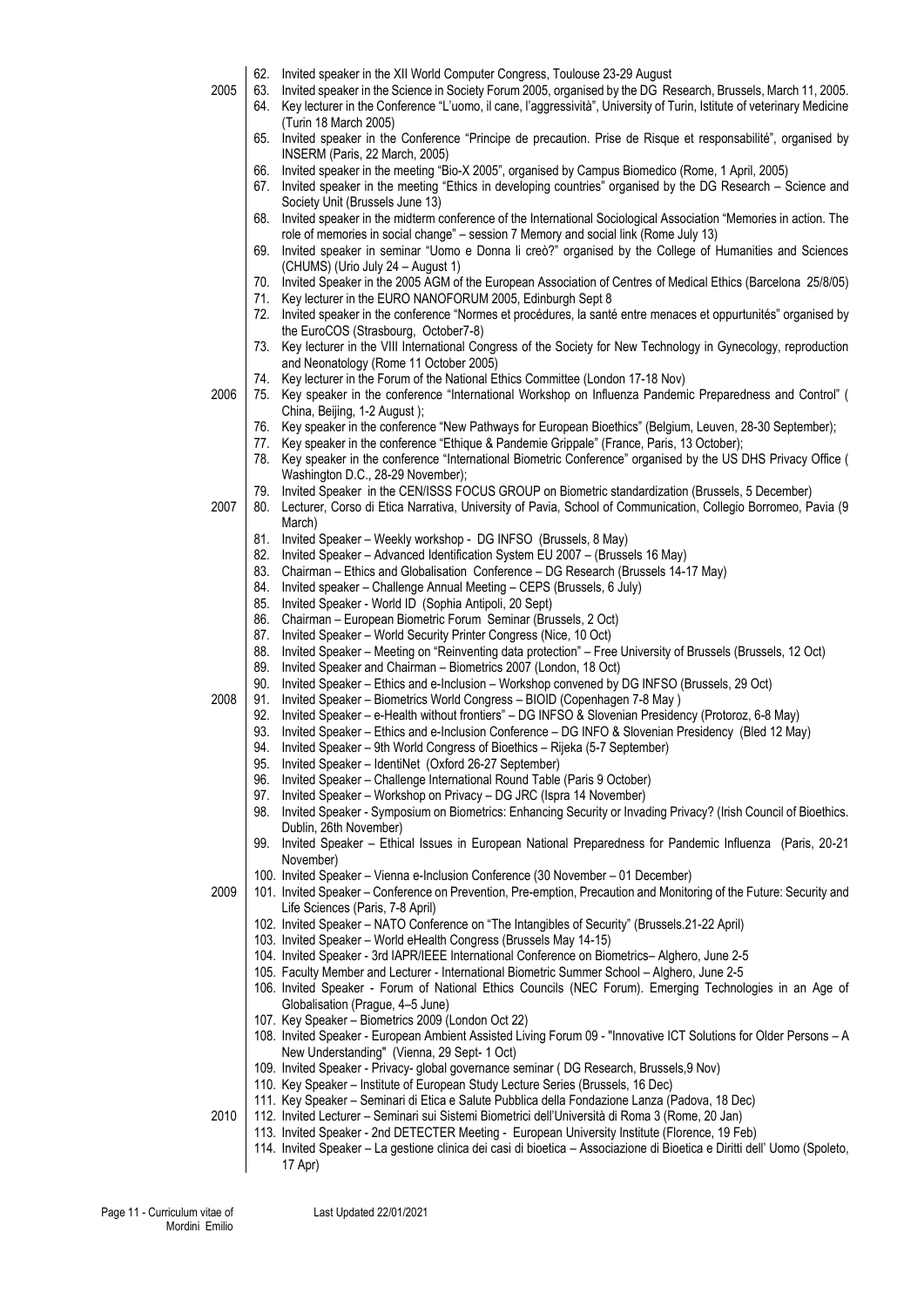| 2005 | 62.<br>63.<br>64. | Invited speaker in the XII World Computer Congress, Toulouse 23-29 August<br>Invited speaker in the Science in Society Forum 2005, organised by the DG Research, Brussels, March 11, 2005.<br>Key lecturer in the Conference "L'uomo, il cane, l'aggressività", University of Turin, Istitute of veterinary Medicine |
|------|-------------------|----------------------------------------------------------------------------------------------------------------------------------------------------------------------------------------------------------------------------------------------------------------------------------------------------------------------|
|      | 65.               | (Turin 18 March 2005)<br>Invited speaker in the Conference "Principe de precaution. Prise de Risque et responsabilité", organised by<br>INSERM (Paris, 22 March, 2005)                                                                                                                                               |
|      | 66.<br>67.        | Invited speaker in the meeting "Bio-X 2005", organised by Campus Biomedico (Rome, 1 April, 2005)<br>Invited speaker in the meeting "Ethics in developing countries" organised by the DG Research - Science and<br>Society Unit (Brussels June 13)                                                                    |
|      | 68.               | Invited speaker in the midterm conference of the International Sociological Association "Memories in action. The<br>role of memories in social change" - session 7 Memory and social link (Rome July 13)                                                                                                             |
|      | 69.               | Invited speaker in seminar "Uomo e Donna li creò?" organised by the College of Humanities and Sciences<br>(CHUMS) (Urio July 24 - August 1)                                                                                                                                                                          |
|      | 70.<br>71.        | Invited Speaker in the 2005 AGM of the European Association of Centres of Medical Ethics (Barcelona 25/8/05)<br>Key lecturer in the EURO NANOFORUM 2005, Edinburgh Sept 8                                                                                                                                            |
|      | 72.<br>73.        | Invited speaker in the conference "Normes et procédures, la santé entre menaces et oppurtunités" organised by<br>the EuroCOS (Strasbourg, October7-8)<br>Key lecturer in the VIII International Congress of the Society for New Technology in Gynecology, reproduction                                               |
|      | 74.               | and Neonatology (Rome 11 October 2005)<br>Key lecturer in the Forum of the National Ethics Committee (London 17-18 Nov)                                                                                                                                                                                              |
| 2006 | 75.               | Key speaker in the conference "International Workshop on Influenza Pandemic Preparedness and Control" (<br>China, Beijing, 1-2 August);                                                                                                                                                                              |
|      | 76.<br>77.        | Key speaker in the conference "New Pathways for European Bioethics" (Belgium, Leuven, 28-30 September);<br>Key speaker in the conference "Ethique & Pandemie Grippale" (France, Paris, 13 October);                                                                                                                  |
|      | 78.               | Key speaker in the conference "International Biometric Conference" organised by the US DHS Privacy Office (<br>Washington D.C., 28-29 November);                                                                                                                                                                     |
| 2007 | 79.<br>80.        | Invited Speaker in the CEN/ISSS FOCUS GROUP on Biometric standardization (Brussels, 5 December)<br>Lecturer, Corso di Etica Narrativa, University of Pavia, School of Communication, Collegio Borromeo, Pavia (9<br>March)                                                                                           |
|      | 81.<br>82.        | Invited Speaker - Weekly workshop - DG INFSO (Brussels, 8 May)<br>Invited Speaker - Advanced Identification System EU 2007 - (Brussels 16 May)                                                                                                                                                                       |
|      | 83.<br>84.        | Chairman – Ethics and Globalisation Conference – DG Research (Brussels 14-17 May)<br>Invited speaker - Challenge Annual Meeting - CEPS (Brussels, 6 July)                                                                                                                                                            |
|      | 85.<br>86.        | Invited Speaker - World ID (Sophia Antipoli, 20 Sept)<br>Chairman - European Biometric Forum Seminar (Brussels, 2 Oct)                                                                                                                                                                                               |
|      | 87.<br>88.        | Invited Speaker - World Security Printer Congress (Nice, 10 Oct)<br>Invited Speaker - Meeting on "Reinventing data protection" - Free University of Brussels (Brussels, 12 Oct)                                                                                                                                      |
|      | 89.<br>90.        | Invited Speaker and Chairman - Biometrics 2007 (London, 18 Oct)<br>Invited Speaker - Ethics and e-Inclusion - Workshop convened by DG INFSO (Brussels, 29 Oct)                                                                                                                                                       |
| 2008 | 91.<br>92.        | Invited Speaker - Biometrics World Congress - BIOID (Copenhagen 7-8 May)<br>Invited Speaker - e-Health without frontiers" - DG INFSO & Slovenian Presidency (Protoroz, 6-8 May)                                                                                                                                      |
|      | 93.<br>94.<br>95. | Invited Speaker - Ethics and e-Inclusion Conference - DG INFO & Slovenian Presidency (Bled 12 May)<br>Invited Speaker - 9th World Congress of Bioethics - Rijeka (5-7 September)<br>Invited Speaker - IdentiNet (Oxford 26-27 September)                                                                             |
|      | 96.<br>97.        | Invited Speaker - Challenge International Round Table (Paris 9 October)                                                                                                                                                                                                                                              |
|      | 98.               | Invited Speaker - Workshop on Privacy - DG JRC (Ispra 14 November)<br>Invited Speaker - Symposium on Biometrics: Enhancing Security or Invading Privacy? (Irish Council of Bioethics.<br>Dublin, 26th November)                                                                                                      |
|      | 99.               | Invited Speaker - Ethical Issues in European National Preparedness for Pandemic Influenza (Paris, 20-21<br>November)                                                                                                                                                                                                 |
| 2009 |                   | 100. Invited Speaker - Vienna e-Inclusion Conference (30 November - 01 December)<br>101. Invited Speaker - Conference on Prevention, Pre-emption, Precaution and Monitoring of the Future: Security and<br>Life Sciences (Paris, 7-8 April)                                                                          |
|      |                   | 102. Invited Speaker - NATO Conference on "The Intangibles of Security" (Brussels.21-22 April)<br>103. Invited Speaker - World eHealth Congress (Brussels May 14-15)                                                                                                                                                 |
|      |                   | 104. Invited Speaker - 3rd IAPR/IEEE International Conference on Biometrics-Alghero, June 2-5                                                                                                                                                                                                                        |
|      |                   | 105. Faculty Member and Lecturer - International Biometric Summer School - Alghero, June 2-5<br>106. Invited Speaker - Forum of National Ethics Councils (NEC Forum). Emerging Technologies in an Age of<br>Globalisation (Prague, 4-5 June)                                                                         |
|      |                   | 107. Key Speaker - Biometrics 2009 (London Oct 22)<br>108. Invited Speaker - European Ambient Assisted Living Forum 09 - "Innovative ICT Solutions for Older Persons - A<br>New Understanding" (Vienna, 29 Sept- 1 Oct)                                                                                              |
|      |                   | 109. Invited Speaker - Privacy- global governance seminar (DG Research, Brussels, 9 Nov)<br>110. Key Speaker - Institute of European Study Lecture Series (Brussels, 16 Dec)                                                                                                                                         |
|      |                   | 111. Key Speaker - Seminari di Etica e Salute Pubblica della Fondazione Lanza (Padova, 18 Dec)                                                                                                                                                                                                                       |
| 2010 |                   | 112. Invited Lecturer - Seminari sui Sistemi Biometrici dell'Università di Roma 3 (Rome, 20 Jan)<br>113. Invited Speaker - 2nd DETECTER Meeting - European University Institute (Florence, 19 Feb)                                                                                                                   |
|      |                   | 114. Invited Speaker - La gestione clinica dei casi di bioetica - Associazione di Bioetica e Diritti dell' Uomo (Spoleto,<br>17 Apr)                                                                                                                                                                                 |
|      |                   |                                                                                                                                                                                                                                                                                                                      |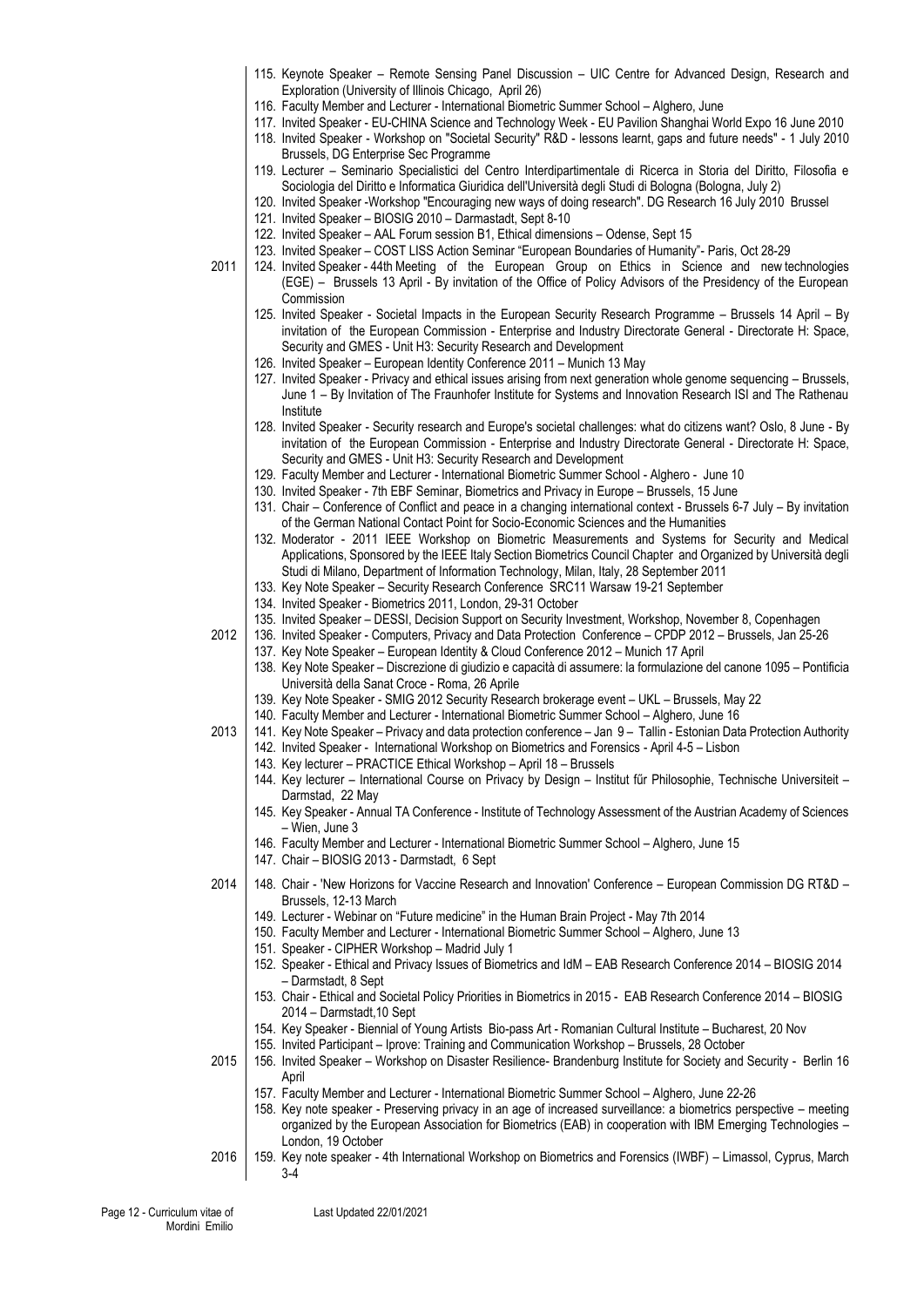- 115. Keynote Speaker Remote Sensing Panel Discussion UIC Centre for Advanced Design, Research and Exploration (University of Illinois Chicago, April 26)
- 116. Faculty Member and Lecturer International Biometric Summer School Alghero, June
- 117. Invited Speaker EU-CHINA Science and Technology Week EU Pavilion Shanghai World Expo 16 June 2010
- 118. Invited Speaker Workshop on "Societal Security" R&D lessons learnt, gaps and future needs" 1 July 2010 Brussels, DG Enterprise Sec Programme
- 119. Lecturer Seminario Specialistici del Centro Interdipartimentale di Ricerca in Storia del Diritto, Filosofia e Sociologia del Diritto e Informatica Giuridica dell'Università degli Studi di Bologna (Bologna, July 2)
- 120. Invited Speaker -Workshop "Encouraging new ways of doing research". DG Research 16 July 2010 Brussel
- 121. Invited Speaker BIOSIG 2010 Darmastadt, Sept 8-10
- 122. Invited Speaker AAL Forum session B1, Ethical dimensions Odense, Sept 15

123. Invited Speaker – COST LISS Action Seminar "European Boundaries of Humanity"- Paris, Oct 28-29

- 2011 124. Invited Speaker 44th Meeting of the European Group on Ethics in Science and new technologies (EGE) – Brussels 13 April - By invitation of the Office of Policy Advisors of the Presidency of the European Commission
	- 125. Invited Speaker Societal Impacts in the European Security Research Programme Brussels 14 April By invitation of the European Commission - Enterprise and Industry Directorate General - Directorate H: Space, Security and GMES - Unit H3: Security Research and Development
	- 126. Invited Speaker European Identity Conference 2011 Munich 13 May
	- 127. Invited Speaker Privacy and ethical issues arising from next generation whole genome sequencing Brussels, June 1 – By Invitation of The Fraunhofer Institute for Systems and Innovation Research ISI and The Rathenau Institute
	- 128. Invited Speaker Security research and Europe's societal challenges: what do citizens want? Oslo, 8 June By invitation of the European Commission - Enterprise and Industry Directorate General - Directorate H: Space, Security and GMES - Unit H3: Security Research and Development
	- 129. Faculty Member and Lecturer International Biometric Summer School Alghero June 10
	- 130. Invited Speaker 7th EBF Seminar, Biometrics and Privacy in Europe Brussels, 15 June
	- 131. Chair Conference of Conflict and peace in a changing international context Brussels 6-7 July By invitation of the German National Contact Point for Socio-Economic Sciences and the Humanities
	- 132. Moderator 2011 IEEE Workshop on Biometric Measurements and Systems for Security and Medical Applications, Sponsored by the IEEE Italy Section Biometrics Council Chapter and Organized by Università degli Studi di Milano, Department of Information Technology, Milan, Italy, 28 September 2011
	- 133. Key Note Speaker Security Research Conference SRC11 Warsaw 19-21 September
	- 134. Invited Speaker Biometrics 2011, London, 29-31 October
	- 135. Invited Speaker DESSI, Decision Support on Security Investment, Workshop, November 8, Copenhagen
- 2012 136. Invited Speaker Computers, Privacy and Data Protection Conference CPDP 2012 Brussels, Jan 25-26
	- 137. Key Note Speaker European Identity & Cloud Conference 2012 Munich 17 April
	- 138. Key Note Speaker Discrezione di giudizio e capacità di assumere: la formulazione del canone 1095 Pontificia Università della Sanat Croce - Roma, 26 Aprile
	- 139. Key Note Speaker SMIG 2012 Security Research brokerage event UKL Brussels, May 22
	- 140. Faculty Member and Lecturer International Biometric Summer School Alghero, June 16
- 2013 141. Key Note Speaker Privacy and data protection conference Jan 9 Tallin Estonian Data Protection Authority
	- 142. Invited Speaker International Workshop on Biometrics and Forensics April 4-5 Lisbon
	- 143. Key lecturer PRACTICE Ethical Workshop April 18 Brussels
	- 144. Key lecturer International Course on Privacy by Design Institut fűr Philosophie, Technische Universiteit Darmstad, 22 May
	- 145. Key Speaker Annual TA Conference Institute of Technology Assessment of the Austrian Academy of Sciences – Wien, June 3
	- 146. Faculty Member and Lecturer International Biometric Summer School Alghero, June 15
	- 147. Chair BIOSIG 2013 Darmstadt, 6 Sept
- 2014 148. Chair 'New Horizons for Vaccine Research and Innovation' Conference European Commission DG RT&D Brussels, 12-13 March
	- 149. Lecturer Webinar on "Future medicine" in the Human Brain Project May 7th 2014
	- 150. Faculty Member and Lecturer International Biometric Summer School Alghero, June 13
	- 151. Speaker CIPHER Workshop Madrid July 1
	- 152. Speaker Ethical and Privacy Issues of Biometrics and IdM EAB Research Conference 2014 BIOSIG 2014 – Darmstadt, 8 Sept
	- 153. Chair Ethical and Societal Policy Priorities in Biometrics in 2015 EAB Research Conference 2014 BIOSIG 2014 – Darmstadt,10 Sept
	- 154. Key Speaker Biennial of Young Artists Bio-pass Art Romanian Cultural Institute Bucharest, 20 Nov
	- 155. Invited Participant Iprove: Training and Communication Workshop Brussels, 28 October
- 2015 156. Invited Speaker Workshop on Disaster Resilience- Brandenburg Institute for Society and Security Berlin 16 April
	- 157. Faculty Member and Lecturer International Biometric Summer School Alghero, June 22-26
	- 158. Key note speaker Preserving privacy in an age of increased surveillance: a biometrics perspective meeting organized by the European Association for Biometrics (EAB) in cooperation with IBM Emerging Technologies – London, 19 October
- 2016 159. Key note speaker 4th International Workshop on Biometrics and Forensics (IWBF) Limassol, Cyprus, March 3-4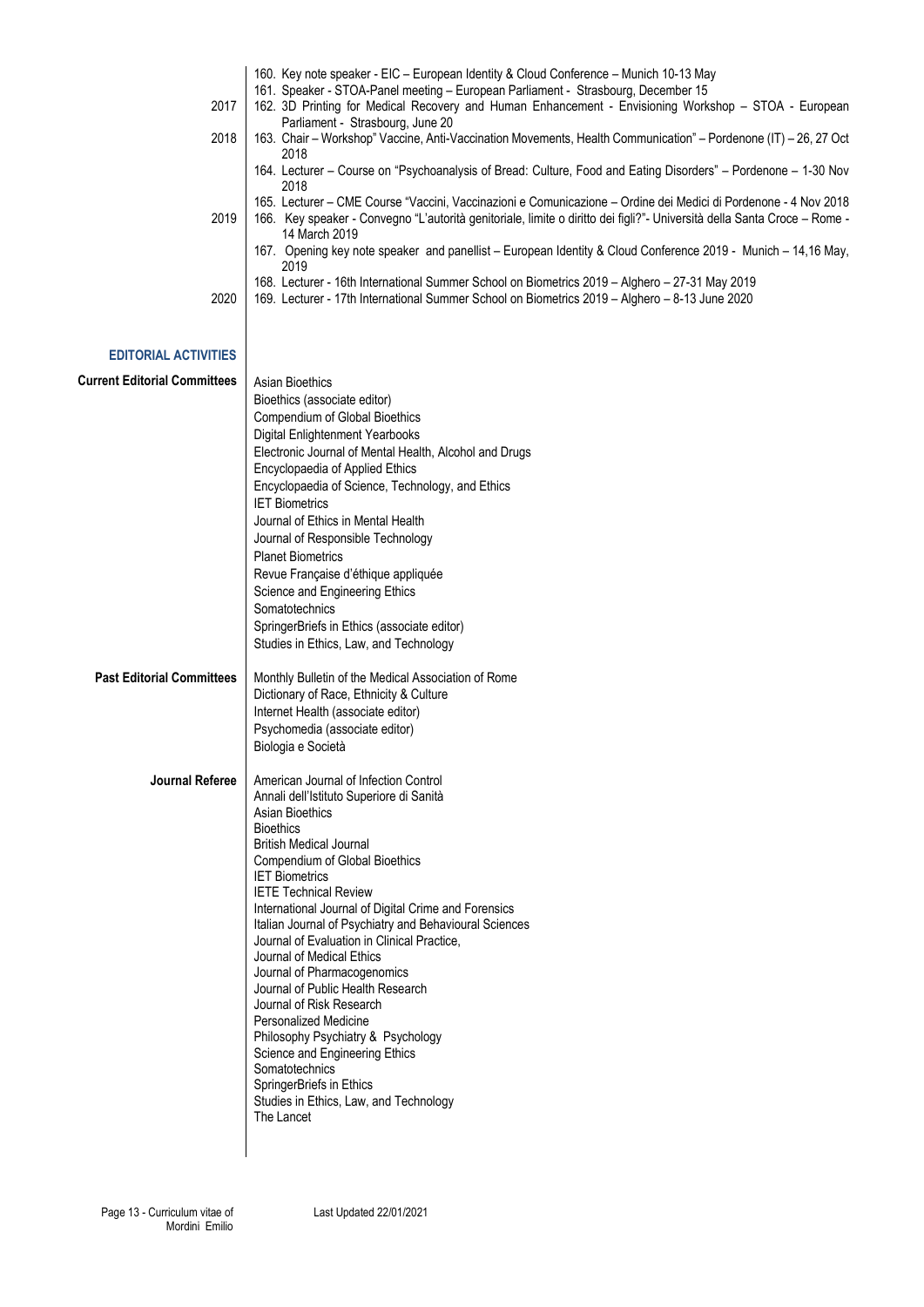|      | 160. Key note speaker - EIC – European Identity & Cloud Conference – Munich 10-13 May                                    |
|------|--------------------------------------------------------------------------------------------------------------------------|
|      | 161. Speaker - STOA-Panel meeting - European Parliament - Strasbourg, December 15                                        |
| 2017 | 162. 3D Printing for Medical Recovery and Human Enhancement - Envisioning Workshop – STOA - European                     |
|      | Parliament - Strasbourg, June 20                                                                                         |
| 2018 | 163. Chair – Workshop" Vaccine, Anti-Vaccination Movements, Health Communication" – Pordenone (IT) – 26, 27 Oct          |
|      | 2018                                                                                                                     |
|      | 164. Lecturer – Course on "Psychoanalysis of Bread: Culture, Food and Eating Disorders" – Pordenone – 1-30 Nov           |
|      | 2018                                                                                                                     |
|      | 165. Lecturer – CME Course "Vaccini, Vaccinazioni e Comunicazione – Ordine dei Medici di Pordenone - 4 Nov 2018          |
| 2019 | 166. Key speaker - Convegno "L'autorità genitoriale, limite o diritto dei figli?"- Università della Santa Croce – Rome - |
|      | 14 March 2019                                                                                                            |
|      | 167. Opening key note speaker and panellist – European Identity & Cloud Conference 2019 - Munich – 14,16 May,            |
|      | 2019                                                                                                                     |
|      | 168. Lecturer - 16th International Summer School on Biometrics 2019 - Alghero - 27-31 May 2019                           |
| 2020 | 169. Lecturer - 17th International Summer School on Biometrics 2019 – Alghero – 8-13 June 2020                           |
|      |                                                                                                                          |

| <b>Current Editorial Committees</b> | Asian Bioethics<br>Bioethics (associate editor)<br>Compendium of Global Bioethics<br>Digital Enlightenment Yearbooks<br>Electronic Journal of Mental Health, Alcohol and Drugs<br>Encyclopaedia of Applied Ethics<br>Encyclopaedia of Science, Technology, and Ethics<br><b>IET Biometrics</b><br>Journal of Ethics in Mental Health<br>Journal of Responsible Technology<br><b>Planet Biometrics</b><br>Revue Française d'éthique appliquée<br>Science and Engineering Ethics<br>Somatotechnics<br>SpringerBriefs in Ethics (associate editor)<br>Studies in Ethics, Law, and Technology                                                            |
|-------------------------------------|------------------------------------------------------------------------------------------------------------------------------------------------------------------------------------------------------------------------------------------------------------------------------------------------------------------------------------------------------------------------------------------------------------------------------------------------------------------------------------------------------------------------------------------------------------------------------------------------------------------------------------------------------|
| <b>Past Editorial Committees</b>    | Monthly Bulletin of the Medical Association of Rome<br>Dictionary of Race, Ethnicity & Culture<br>Internet Health (associate editor)<br>Psychomedia (associate editor)<br>Biologia e Società                                                                                                                                                                                                                                                                                                                                                                                                                                                         |
| Journal Referee                     | American Journal of Infection Control<br>Annali dell'Istituto Superiore di Sanità<br>Asian Bioethics<br><b>Bioethics</b><br><b>British Medical Journal</b><br>Compendium of Global Bioethics<br><b>IET Biometrics</b><br><b>IETE Technical Review</b><br>International Journal of Digital Crime and Forensics<br>Italian Journal of Psychiatry and Behavioural Sciences<br>Journal of Evaluation in Clinical Practice,<br>Journal of Medical Ethics<br>Journal of Pharmacogenomics<br>Journal of Public Health Research<br>Journal of Risk Research<br>Personalized Medicine<br>Philosophy Psychiatry & Psychology<br>Science and Engineering Ethics |

Somatotechnics SpringerBriefs in Ethics

The Lancet

**EDITORIAL ACTIVITIES**

Last Updated 22/01/2021

Studies in Ethics, Law, and Technology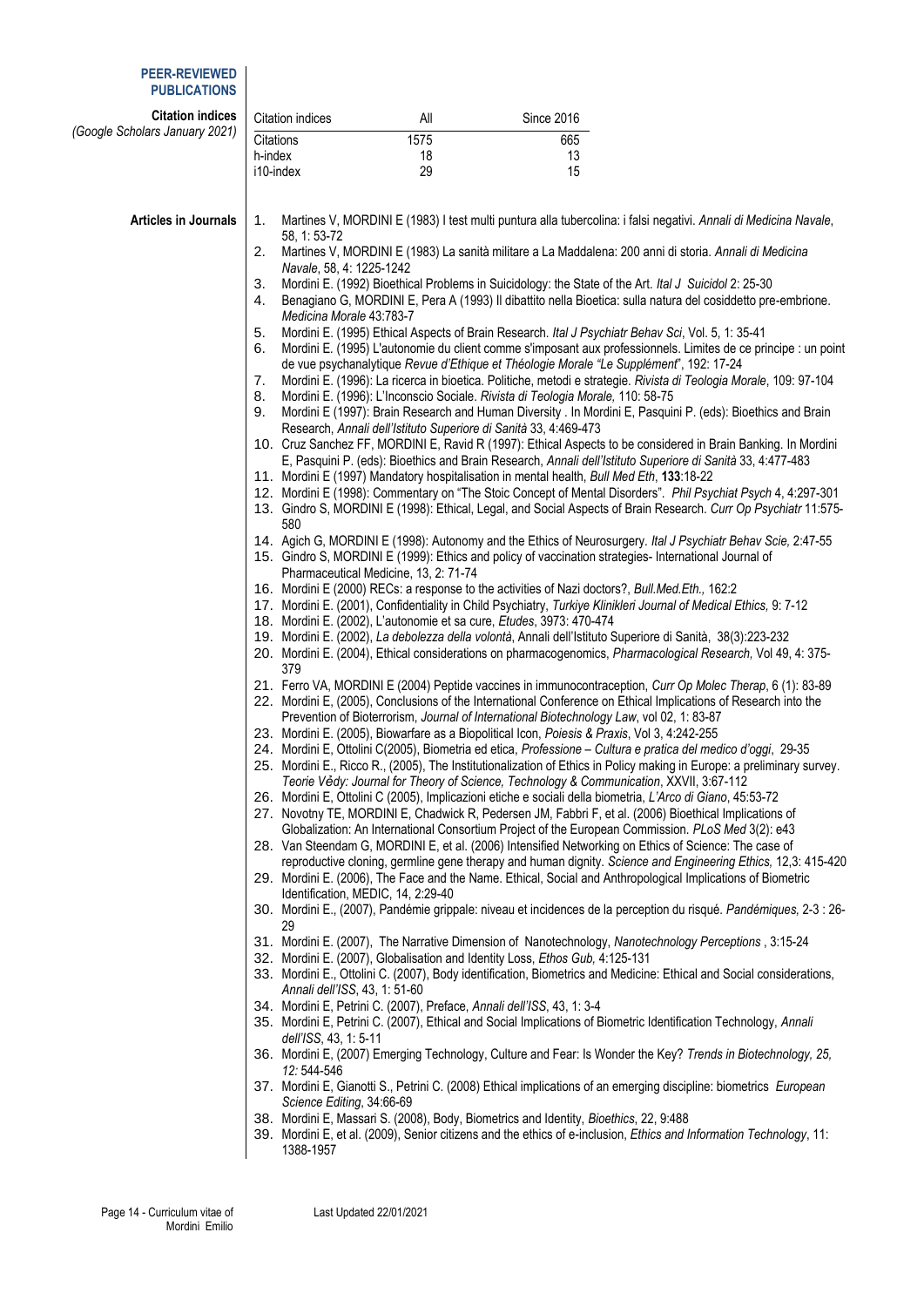#### **PEER-REVIEWED PUBLICATIONS**

| <b>Citation indices</b>        | Citation indices                     | All                                   | <b>Since 2016</b>                                                                                                                                                                                                                       |  |
|--------------------------------|--------------------------------------|---------------------------------------|-----------------------------------------------------------------------------------------------------------------------------------------------------------------------------------------------------------------------------------------|--|
| (Google Scholars January 2021) | Citations                            | 1575                                  | 665                                                                                                                                                                                                                                     |  |
|                                | h-index                              | 18                                    | 13                                                                                                                                                                                                                                      |  |
|                                | i10-index                            | 29                                    | 15                                                                                                                                                                                                                                      |  |
|                                |                                      |                                       |                                                                                                                                                                                                                                         |  |
| Articles in Journals           | 1.                                   |                                       | Martines V, MORDINI E (1983) I test multi puntura alla tubercolina: i falsi negativi. Annali di Medicina Navale,                                                                                                                        |  |
|                                | 58, 1:53-72<br>2.                    |                                       | Martines V, MORDINI E (1983) La sanità militare a La Maddalena: 200 anni di storia. Annali di Medicina                                                                                                                                  |  |
|                                | Navale, 58, 4: 1225-1242             |                                       |                                                                                                                                                                                                                                         |  |
|                                | 3.                                   |                                       | Mordini E. (1992) Bioethical Problems in Suicidology: the State of the Art. Ital J Suicidol 2: 25-30                                                                                                                                    |  |
|                                | 4.                                   |                                       | Benagiano G, MORDINI E, Pera A (1993) Il dibattito nella Bioetica: sulla natura del cosiddetto pre-embrione.                                                                                                                            |  |
|                                | Medicina Morale 43:783-7             |                                       |                                                                                                                                                                                                                                         |  |
|                                | 5.                                   |                                       | Mordini E. (1995) Ethical Aspects of Brain Research. Ital J Psychiatr Behav Sci, Vol. 5, 1: 35-41                                                                                                                                       |  |
|                                | 6.                                   |                                       | Mordini E. (1995) L'autonomie du client comme s'imposant aux professionnels. Limites de ce principe : un point<br>de vue psychanalytique Revue d'Ethique et Théologie Morale "Le Supplément", 192: 17-24                                |  |
|                                | 7.                                   |                                       | Mordini E. (1996): La ricerca in bioetica. Politiche, metodi e strategie. Rivista di Teologia Morale, 109: 97-104                                                                                                                       |  |
|                                | 8.                                   |                                       | Mordini E. (1996): L'Inconscio Sociale. Rivista di Teologia Morale, 110: 58-75                                                                                                                                                          |  |
|                                | 9.                                   |                                       | Mordini E (1997): Brain Research and Human Diversity . In Mordini E, Pasquini P. (eds): Bioethics and Brain                                                                                                                             |  |
|                                |                                      |                                       | Research, Annali dell'Istituto Superiore di Sanità 33, 4:469-473                                                                                                                                                                        |  |
|                                |                                      |                                       | 10. Cruz Sanchez FF, MORDINI E, Ravid R (1997): Ethical Aspects to be considered in Brain Banking. In Mordini                                                                                                                           |  |
|                                |                                      |                                       | E, Pasquini P. (eds): Bioethics and Brain Research, Annali dell'Istituto Superiore di Sanità 33, 4:477-483<br>11. Mordini E (1997) Mandatory hospitalisation in mental health, Bull Med Eth, 133:18-22                                  |  |
|                                |                                      |                                       | 12. Mordini E (1998): Commentary on "The Stoic Concept of Mental Disorders". Phil Psychiat Psych 4, 4:297-301                                                                                                                           |  |
|                                | 580                                  |                                       | 13. Gindro S, MORDINI E (1998): Ethical, Legal, and Social Aspects of Brain Research. Curr Op Psychiatr 11:575-                                                                                                                         |  |
|                                |                                      |                                       | 14. Agich G, MORDINI E (1998): Autonomy and the Ethics of Neurosurgery. Ital J Psychiatr Behav Scie, 2:47-55                                                                                                                            |  |
|                                |                                      |                                       | 15. Gindro S, MORDINI E (1999): Ethics and policy of vaccination strategies- International Journal of                                                                                                                                   |  |
|                                |                                      | Pharmaceutical Medicine, 13, 2: 71-74 |                                                                                                                                                                                                                                         |  |
|                                |                                      |                                       | 16. Mordini E (2000) RECs: a response to the activities of Nazi doctors?, Bull.Med.Eth., 162:2                                                                                                                                          |  |
|                                |                                      |                                       | 17. Mordini E. (2001), Confidentiality in Child Psychiatry, Turkiye Klinikleri Journal of Medical Ethics, 9: 7-12<br>18. Mordini E. (2002), L'autonomie et sa cure, Etudes, 3973: 470-474                                               |  |
|                                |                                      |                                       | 19. Mordini E. (2002), La debolezza della volontà, Annali dell'Istituto Superiore di Sanità, 38(3):223-232                                                                                                                              |  |
|                                | 379                                  |                                       | 20. Mordini E. (2004), Ethical considerations on pharmacogenomics, Pharmacological Research, Vol 49, 4: 375-                                                                                                                            |  |
|                                |                                      |                                       | 21. Ferro VA, MORDINI E (2004) Peptide vaccines in immunocontraception, Curr Op Molec Therap, 6 (1): 83-89                                                                                                                              |  |
|                                |                                      |                                       | 22. Mordini E, (2005), Conclusions of the International Conference on Ethical Implications of Research into the                                                                                                                         |  |
|                                |                                      |                                       | Prevention of Bioterrorism, Journal of International Biotechnology Law, vol 02, 1: 83-87                                                                                                                                                |  |
|                                |                                      |                                       | 23. Mordini E. (2005), Biowarfare as a Biopolitical Icon, Poiesis & Praxis, Vol 3, 4:242-255                                                                                                                                            |  |
|                                |                                      |                                       | 24. Mordini E, Ottolini C(2005), Biometria ed etica, Professione - Cultura e pratica del medico d'oggi, 29-35<br>25. Mordini E., Ricco R., (2005), The Institutionalization of Ethics in Policy making in Europe: a preliminary survey. |  |
|                                |                                      |                                       | Teorie Vedy: Journal for Theory of Science, Technology & Communication, XXVII, 3:67-112                                                                                                                                                 |  |
|                                |                                      |                                       | 26. Mordini E, Ottolini C (2005), Implicazioni etiche e sociali della biometria, L'Arco di Giano, 45:53-72                                                                                                                              |  |
|                                |                                      |                                       | 27. Novotny TE, MORDINI E, Chadwick R, Pedersen JM, Fabbri F, et al. (2006) Bioethical Implications of                                                                                                                                  |  |
|                                |                                      |                                       | Globalization: An International Consortium Project of the European Commission. PLoS Med 3(2): e43                                                                                                                                       |  |
|                                |                                      |                                       | 28. Van Steendam G, MORDINI E, et al. (2006) Intensified Networking on Ethics of Science: The case of                                                                                                                                   |  |
|                                |                                      |                                       | reproductive cloning, germline gene therapy and human dignity. Science and Engineering Ethics, 12,3: 415-420<br>29. Mordini E. (2006), The Face and the Name. Ethical, Social and Anthropological Implications of Biometric             |  |
|                                | Identification, MEDIC, 14, 2:29-40   |                                       |                                                                                                                                                                                                                                         |  |
|                                | 29                                   |                                       | 30. Mordini E., (2007), Pandémie grippale: niveau et incidences de la perception du risqué. Pandémiques, 2-3 : 26-                                                                                                                      |  |
|                                |                                      |                                       | 31. Mordini E. (2007), The Narrative Dimension of Nanotechnology, Nanotechnology Perceptions, 3:15-24                                                                                                                                   |  |
|                                |                                      |                                       | 32. Mordini E. (2007), Globalisation and Identity Loss, Ethos Gub, 4:125-131                                                                                                                                                            |  |
|                                |                                      |                                       | 33. Mordini E., Ottolini C. (2007), Body identification, Biometrics and Medicine: Ethical and Social considerations,                                                                                                                    |  |
|                                | Annali dell'ISS, 43, 1: 51-60        |                                       |                                                                                                                                                                                                                                         |  |
|                                |                                      |                                       | 34. Mordini E, Petrini C. (2007), Preface, Annali dell'ISS, 43, 1: 3-4<br>35. Mordini E, Petrini C. (2007), Ethical and Social Implications of Biometric Identification Technology, Annali                                              |  |
|                                | dell'ISS, 43, 1: 5-11<br>12: 544-546 |                                       | 36. Mordini E, (2007) Emerging Technology, Culture and Fear: Is Wonder the Key? Trends in Biotechnology, 25,                                                                                                                            |  |
|                                | Science Editing, 34:66-69            |                                       | 37. Mordini E, Gianotti S., Petrini C. (2008) Ethical implications of an emerging discipline: biometrics European                                                                                                                       |  |
|                                |                                      |                                       | 38. Mordini E, Massari S. (2008), Body, Biometrics and Identity, Bioethics, 22, 9:488                                                                                                                                                   |  |
|                                |                                      |                                       | 39. Mordini E, et al. (2009), Senior citizens and the ethics of e-inclusion, Ethics and Information Technology, 11:                                                                                                                     |  |
|                                | 1388-1957                            |                                       |                                                                                                                                                                                                                                         |  |
|                                |                                      |                                       |                                                                                                                                                                                                                                         |  |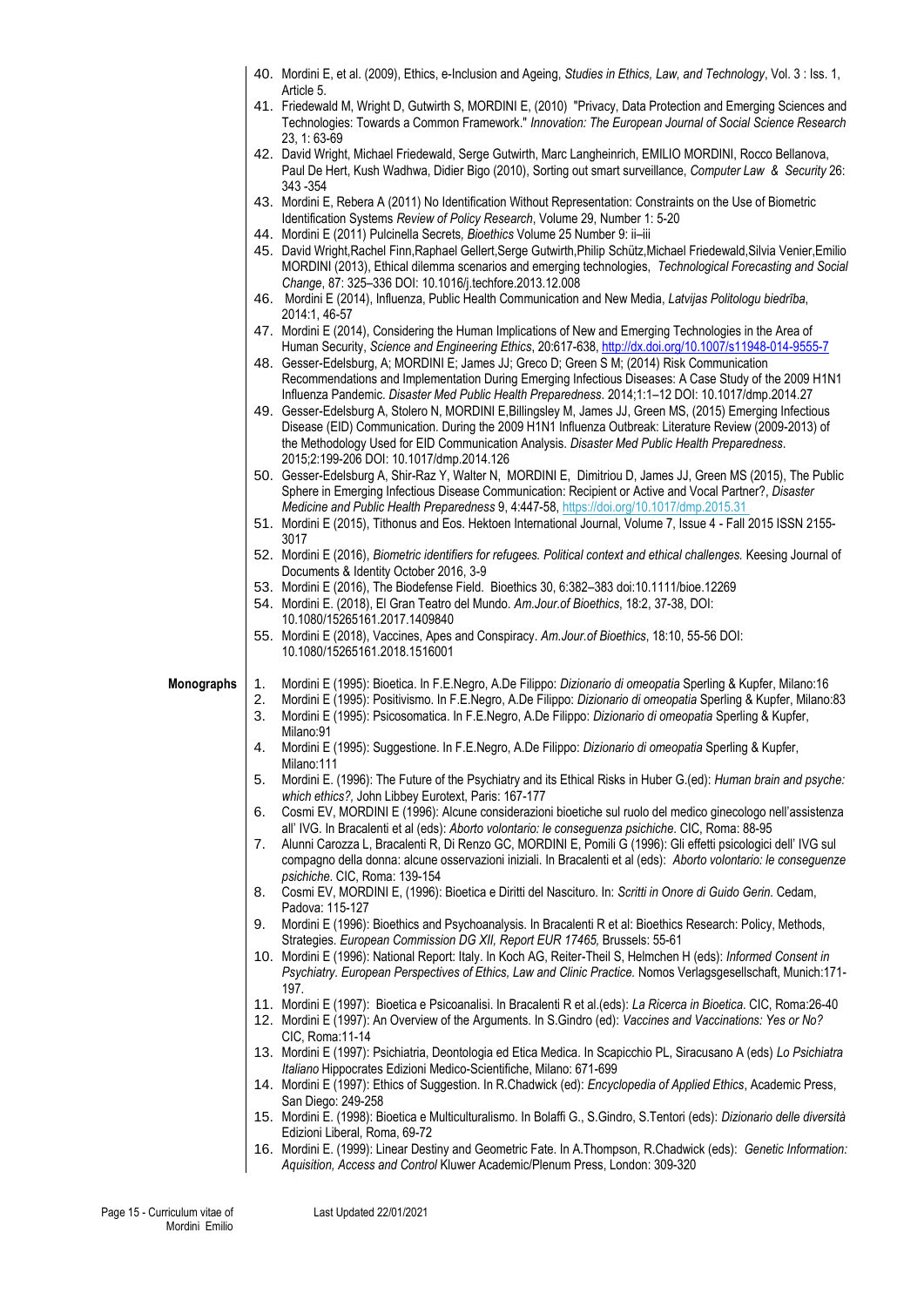|            |          | 40. Mordini E, et al. (2009), Ethics, e-Inclusion and Ageing, Studies in Ethics, Law, and Technology, Vol. 3: lss. 1,<br>Article 5.                                                                                                 |
|------------|----------|-------------------------------------------------------------------------------------------------------------------------------------------------------------------------------------------------------------------------------------|
|            |          | 41. Friedewald M, Wright D, Gutwirth S, MORDINI E, (2010) "Privacy, Data Protection and Emerging Sciences and                                                                                                                       |
|            |          | Technologies: Towards a Common Framework." Innovation: The European Journal of Social Science Research<br>23, 1:63-69                                                                                                               |
|            |          | 42. David Wright, Michael Friedewald, Serge Gutwirth, Marc Langheinrich, EMILIO MORDINI, Rocco Bellanova,                                                                                                                           |
|            |          | Paul De Hert, Kush Wadhwa, Didier Bigo (2010), Sorting out smart surveillance, Computer Law & Security 26:<br>343 - 354                                                                                                             |
|            |          | 43. Mordini E, Rebera A (2011) No Identification Without Representation: Constraints on the Use of Biometric                                                                                                                        |
|            |          | Identification Systems Review of Policy Research, Volume 29, Number 1: 5-20                                                                                                                                                         |
|            |          | 44. Mordini E (2011) Pulcinella Secrets, Bioethics Volume 25 Number 9: ii-iii<br>45. David Wright, Rachel Finn, Raphael Gellert, Serge Gutwirth, Philip Schütz, Michael Friedewald, Silvia Venier, Emilio                           |
|            |          | MORDINI (2013), Ethical dilemma scenarios and emerging technologies, Technological Forecasting and Social                                                                                                                           |
|            |          | Change, 87: 325-336 DOI: 10.1016/j.techfore.2013.12.008<br>46. Mordini E (2014), Influenza, Public Health Communication and New Media, Latvijas Politologu biedrība,                                                                |
|            |          | 2014:1, 46-57                                                                                                                                                                                                                       |
|            |          | 47. Mordini E (2014), Considering the Human Implications of New and Emerging Technologies in the Area of                                                                                                                            |
|            |          | Human Security, Science and Engineering Ethics, 20:617-638, http://dx.doi.org/10.1007/s11948-014-9555-7<br>48. Gesser-Edelsburg, A; MORDINI E; James JJ; Greco D; Green S M; (2014) Risk Communication                              |
|            |          | Recommendations and Implementation During Emerging Infectious Diseases: A Case Study of the 2009 H1N1                                                                                                                               |
|            |          | Influenza Pandemic. Disaster Med Public Health Preparedness. 2014;1:1-12 DOI: 10.1017/dmp.2014.27<br>49. Gesser-Edelsburg A, Stolero N, MORDINI E, Billingsley M, James JJ, Green MS, (2015) Emerging Infectious                    |
|            |          | Disease (EID) Communication. During the 2009 H1N1 Influenza Outbreak: Literature Review (2009-2013) of                                                                                                                              |
|            |          | the Methodology Used for EID Communication Analysis. Disaster Med Public Health Preparedness.<br>2015;2:199-206 DOI: 10.1017/dmp.2014.126                                                                                           |
|            |          | 50. Gesser-Edelsburg A, Shir-Raz Y, Walter N, MORDINI E, Dimitriou D, James JJ, Green MS (2015), The Public                                                                                                                         |
|            |          | Sphere in Emerging Infectious Disease Communication: Recipient or Active and Vocal Partner?, Disaster<br>Medicine and Public Health Preparedness 9, 4:447-58, https://doi.org/10.1017/dmp.2015.31                                   |
|            |          | 51. Mordini E (2015), Tithonus and Eos. Hektoen International Journal, Volume 7, Issue 4 - Fall 2015 ISSN 2155-                                                                                                                     |
|            |          | 3017<br>52. Mordini E (2016), Biometric identifiers for refugees. Political context and ethical challenges. Keesing Journal of                                                                                                      |
|            |          | Documents & Identity October 2016, 3-9                                                                                                                                                                                              |
|            |          | 53. Mordini E (2016), The Biodefense Field. Bioethics 30, 6:382-383 doi:10.1111/bioe.12269<br>54. Mordini E. (2018), El Gran Teatro del Mundo. Am.Jour.of Bioethics, 18:2, 37-38, DOI:                                              |
|            |          | 10.1080/15265161.2017.1409840                                                                                                                                                                                                       |
|            |          | 55. Mordini E (2018), Vaccines, Apes and Conspiracy. Am.Jour.of Bioethics, 18:10, 55-56 DOI:                                                                                                                                        |
|            |          |                                                                                                                                                                                                                                     |
|            |          | 10.1080/15265161.2018.1516001                                                                                                                                                                                                       |
| Monographs | 1.       | Mordini E (1995): Bioetica. In F.E.Negro, A.De Filippo: Dizionario di omeopatia Sperling & Kupfer, Milano:16                                                                                                                        |
|            | 2.<br>3. | Mordini E (1995): Positivismo. In F.E.Negro, A.De Filippo: Dizionario di omeopatia Sperling & Kupfer, Milano:83<br>Mordini E (1995): Psicosomatica. In F.E.Negro, A.De Filippo: Dizionario di omeopatia Sperling & Kupfer,          |
|            |          | Milano:91                                                                                                                                                                                                                           |
|            | 4.       | Mordini E (1995): Suggestione. In F.E.Negro, A.De Filippo: Dizionario di omeopatia Sperling & Kupfer,<br>Milano:111                                                                                                                 |
|            | 5.       | Mordini E. (1996): The Future of the Psychiatry and its Ethical Risks in Huber G.(ed): Human brain and psyche:                                                                                                                      |
|            | 6.       | which ethics?, John Libbey Eurotext, Paris: 167-177<br>Cosmi EV, MORDINI E (1996): Alcune considerazioni bioetiche sul ruolo del medico ginecologo nell'assistenza                                                                  |
|            |          | all' IVG. In Bracalenti et al (eds): Aborto volontario: le conseguenza psichiche. CIC, Roma: 88-95                                                                                                                                  |
|            | 7.       | Alunni Carozza L, Bracalenti R, Di Renzo GC, MORDINI E, Pomili G (1996): Gli effetti psicologici dell' IVG sul<br>compagno della donna: alcune osservazioni iniziali. In Bracalenti et al (eds): Aborto volontario: le conseguenze  |
|            |          | psichiche. CIC, Roma: 139-154                                                                                                                                                                                                       |
|            | 8.       | Cosmi EV, MORDINI E, (1996): Bioetica e Diritti del Nascituro. In: Scritti in Onore di Guido Gerin. Cedam,<br>Padova: 115-127                                                                                                       |
|            | 9.       | Mordini E (1996): Bioethics and Psychoanalysis. In Bracalenti R et al: Bioethics Research: Policy, Methods,                                                                                                                         |
|            |          | Strategies. European Commission DG XII, Report EUR 17465, Brussels: 55-61<br>10. Mordini E (1996): National Report: Italy. In Koch AG, Reiter-Theil S, Helmchen H (eds): Informed Consent in                                        |
|            |          | Psychiatry. European Perspectives of Ethics, Law and Clinic Practice. Nomos Verlagsgesellschaft, Munich:171-                                                                                                                        |
|            |          | 197.                                                                                                                                                                                                                                |
|            |          | 11. Mordini E (1997): Bioetica e Psicoanalisi. In Bracalenti R et al. (eds): La Ricerca in Bioetica. CIC, Roma:26-40<br>12. Mordini E (1997): An Overview of the Arguments. In S.Gindro (ed): Vaccines and Vaccinations: Yes or No? |
|            |          | CIC, Roma: 11-14                                                                                                                                                                                                                    |
|            |          | 13. Mordini E (1997): Psichiatria, Deontologia ed Etica Medica. In Scapicchio PL, Siracusano A (eds) Lo Psichiatra<br>Italiano Hippocrates Edizioni Medico-Scientifiche, Milano: 671-699                                            |
|            |          | 14. Mordini E (1997): Ethics of Suggestion. In R.Chadwick (ed): Encyclopedia of Applied Ethics, Academic Press,                                                                                                                     |
|            |          | San Diego: 249-258<br>15. Mordini E. (1998): Bioetica e Multiculturalismo. In Bolaffi G., S.Gindro, S.Tentori (eds): Dizionario delle diversità                                                                                     |
|            |          | Edizioni Liberal, Roma, 69-72                                                                                                                                                                                                       |
|            |          | 16. Mordini E. (1999): Linear Destiny and Geometric Fate. In A.Thompson, R.Chadwick (eds): Genetic Information:<br>Aquisition, Access and Control Kluwer Academic/Plenum Press, London: 309-320                                     |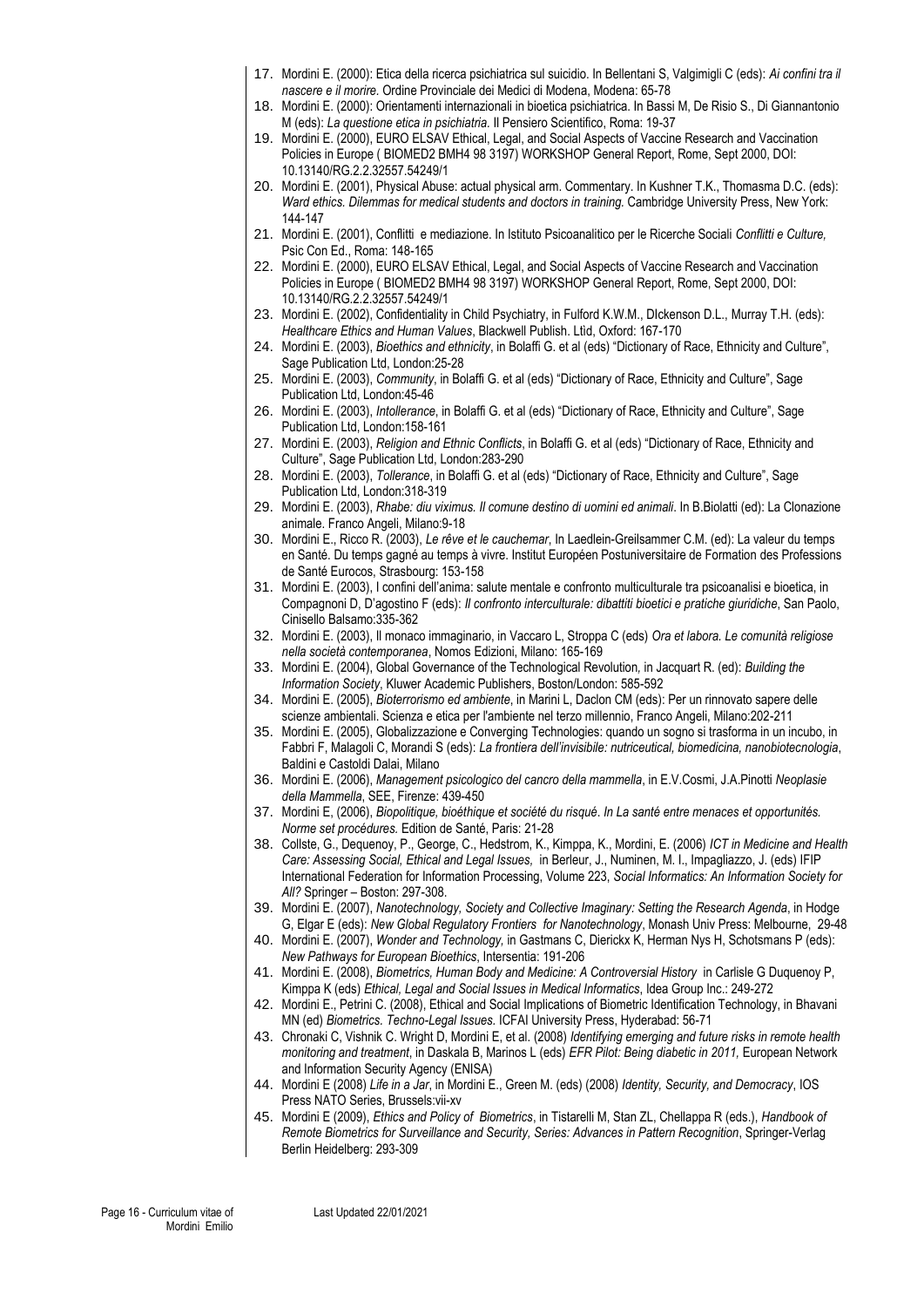- 17. Mordini E. (2000): Etica della ricerca psichiatrica sul suicidio. In Bellentani S, Valgimigli C (eds): *Ai confini tra il nascere e il morire.* Ordine Provinciale dei Medici di Modena, Modena: 65-78
- 18. Mordini E. (2000): Orientamenti internazionali in bioetica psichiatrica. In Bassi M, De Risio S., Di Giannantonio M (eds): *La questione etica in psichiatria.* Il Pensiero Scientifico, Roma: 19-37
- 19. Mordini E. (2000), EURO ELSAV Ethical, Legal, and Social Aspects of Vaccine Research and Vaccination Policies in Europe ( BIOMED2 BMH4 98 3197) WORKSHOP General Report, Rome, Sept 2000, DOI: 10.13140/RG.2.2.32557.54249/1
- 20. Mordini E. (2001), Physical Abuse: actual physical arm. Commentary. In Kushner T.K., Thomasma D.C. (eds): *Ward ethics. Dilemmas for medical students and doctors in training.* Cambridge University Press, New York: 144-147
- 21. Mordini E. (2001), Conflitti e mediazione. In Istituto Psicoanalitico per le Ricerche Sociali *Conflitti e Culture,*  Psic Con Ed., Roma: 148-165
- 22. Mordini E. (2000), EURO ELSAV Ethical, Legal, and Social Aspects of Vaccine Research and Vaccination Policies in Europe ( BIOMED2 BMH4 98 3197) WORKSHOP General Report, Rome, Sept 2000, DOI: 10.13140/RG.2.2.32557.54249/1
- 23. Mordini E. (2002), Confidentiality in Child Psychiatry, in Fulford K.W.M., DIckenson D.L., Murray T.H. (eds): *Healthcare Ethics and Human Values*, Blackwell Publish. Ltìd, Oxford: 167-170
- 24. Mordini E. (2003), *Bioethics and ethnicity*, in Bolaffi G. et al (eds) "Dictionary of Race, Ethnicity and Culture", Sage Publication Ltd, London:25-28
- 25. Mordini E. (2003), *Community*, in Bolaffi G. et al (eds) "Dictionary of Race, Ethnicity and Culture", Sage Publication Ltd, London:45-46
- 26. Mordini E. (2003), *Intollerance*, in Bolaffi G. et al (eds) "Dictionary of Race, Ethnicity and Culture", Sage Publication Ltd, London:158-161
- 27. Mordini E. (2003), *Religion and Ethnic Conflicts*, in Bolaffi G. et al (eds) "Dictionary of Race, Ethnicity and Culture", Sage Publication Ltd, London:283-290
- 28. Mordini E. (2003), *Tollerance*, in Bolaffi G. et al (eds) "Dictionary of Race, Ethnicity and Culture", Sage Publication Ltd, London:318-319
- 29. Mordini E. (2003), *Rhabe: diu viximus. Il comune destino di uomini ed animali*. In B.Biolatti (ed): La Clonazione animale. Franco Angeli, Milano:9-18
- 30. Mordini E., Ricco R. (2003), *Le rêve et le cauchemar*, In Laedlein-Greilsammer C.M. (ed): La valeur du temps en Santé. Du temps gagné au temps à vivre. Institut Européen Postuniversitaire de Formation des Professions de Santé Eurocos, Strasbourg: 153-158
- 31. Mordini E. (2003), I confini dell'anima: salute mentale e confronto multiculturale tra psicoanalisi e bioetica, in Compagnoni D, D'agostino F (eds): *Il confronto interculturale: dibattiti bioetici e pratiche giuridiche*, San Paolo, Cinisello Balsamo:335-362
- 32. Mordini E. (2003), Il monaco immaginario, in Vaccaro L, Stroppa C (eds) *Ora et labora. Le comunità religiose nella società contemporanea*, Nomos Edizioni, Milano: 165-169
- 33. Mordini E. (2004), Global Governance of the Technological Revolution*,* in Jacquart R. (ed): *Building the Information Society*, Kluwer Academic Publishers, Boston/London: 585-592
- 34. Mordini E. (2005), *Bioterrorismo ed ambiente*, in Marini L, Daclon CM (eds): Per un rinnovato sapere delle scienze ambientali. Scienza e etica per l'ambiente nel terzo millennio, Franco Angeli, Milano:202-211
- 35. Mordini E. (2005), Globalizzazione e Converging Technologies: quando un sogno si trasforma in un incubo, in Fabbri F, Malagoli C, Morandi S (eds): *La frontiera dell'invisibile: nutriceutical, biomedicina, nanobiotecnologia*, Baldini e Castoldi Dalai, Milano
- 36. Mordini E. (2006), *Management psicologico del cancro della mammella*, in E.V.Cosmi, J.A.Pinotti *Neoplasie della Mammella*, SEE, Firenze: 439-450
- 37. Mordini E, (2006), *Biopolitique, bioéthique et société du risqué*. *In La santé entre menaces et opportunités. Norme set procédures.* Edition de Santé, Paris: 21-28
- 38. Collste, G., Dequenoy, P., George, C., Hedstrom, K., Kimppa, K., Mordini, E. (2006) *ICT in Medicine and Health Care: Assessing Social, Ethical and Legal Issues,* in Berleur, J., Numinen, M. I., Impagliazzo, J. (eds) IFIP International Federation for Information Processing, Volume 223, *Social Informatics: An Information Society for All?* Springer – Boston: 297-308.
- 39. Mordini E. (2007), *Nanotechnology, Society and Collective Imaginary: Setting the Research Agenda*, in Hodge G, Elgar E (eds): *New Global Regulatory Frontiers for Nanotechnology*, Monash Univ Press: Melbourne, 29-48
- 40. Mordini E. (2007), *Wonder and Technology,* in Gastmans C, Dierickx K, Herman Nys H, Schotsmans P (eds): *New Pathways for European Bioethics*, Intersentia: 191-206
- 41. Mordini E. (2008), *Biometrics, Human Body and Medicine: A Controversial History* in Carlisle G Duquenoy P, Kimppa K (eds) *Ethical, Legal and Social Issues in Medical Informatics*, Idea Group Inc.: 249-272
- 42. Mordini E., Petrini C. (2008), Ethical and Social Implications of Biometric Identification Technology, in Bhavani MN (ed) *Biometrics. Techno-Legal Issues.* ICFAI University Press, Hyderabad: 56-71
- 43. Chronaki C, Vishnik C. Wright D, Mordini E, et al. (2008) *Identifying emerging and future risks in remote health monitoring and treatment*, in Daskala B, Marinos L (eds) *EFR Pilot: Being diabetic in 2011,* European Network and Information Security Agency (ENISA)
- 44. Mordini E (2008) *Life in a Jar*, in Mordini E., Green M. (eds) (2008) *Identity, Security, and Democracy*, IOS Press NATO Series, Brussels:vii-xv
- 45. Mordini E (2009), *Ethics and Policy of Biometrics*, in Tistarelli M, Stan ZL, Chellappa R (eds.), *Handbook of Remote Biometrics for Surveillance and Security, Series: Advances in Pattern Recognition*, Springer-Verlag Berlin Heidelberg: 293-309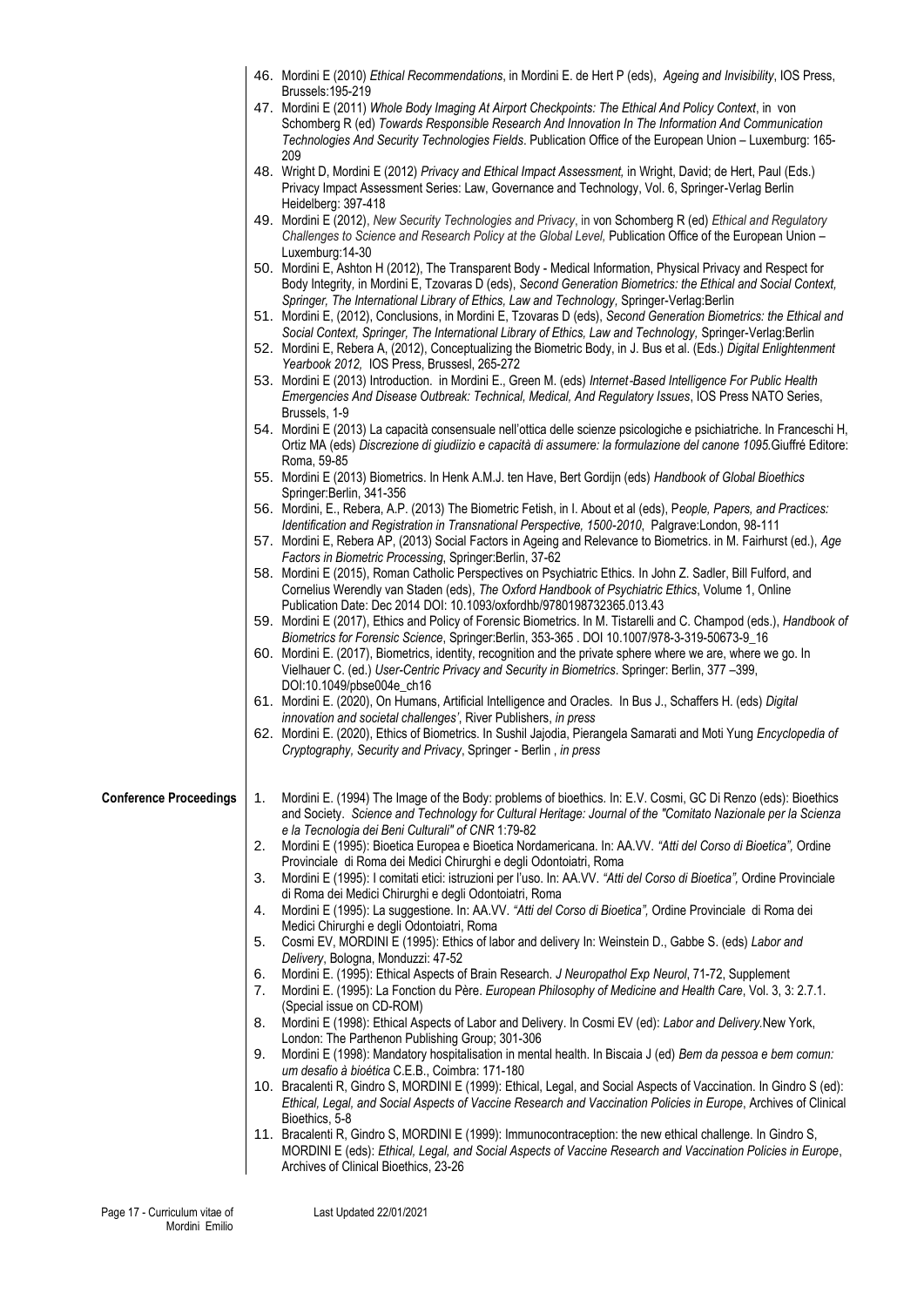|                               |    | 46. Mordini E (2010) Ethical Recommendations, in Mordini E. de Hert P (eds), Ageing and Invisibility, IOS Press,                                                                                                                                                                                                                              |
|-------------------------------|----|-----------------------------------------------------------------------------------------------------------------------------------------------------------------------------------------------------------------------------------------------------------------------------------------------------------------------------------------------|
|                               |    | Brussels: 195-219<br>47. Mordini E (2011) Whole Body Imaging At Airport Checkpoints: The Ethical And Policy Context, in von<br>Schomberg R (ed) Towards Responsible Research And Innovation In The Information And Communication<br>Technologies And Security Technologies Fields. Publication Office of the European Union - Luxemburg: 165- |
|                               |    | 209                                                                                                                                                                                                                                                                                                                                           |
|                               |    | 48. Wright D, Mordini E (2012) Privacy and Ethical Impact Assessment, in Wright, David; de Hert, Paul (Eds.)<br>Privacy Impact Assessment Series: Law, Governance and Technology, Vol. 6, Springer-Verlag Berlin<br>Heidelberg: 397-418                                                                                                       |
|                               |    | 49. Mordini E (2012), New Security Technologies and Privacy, in von Schomberg R (ed) Ethical and Regulatory<br>Challenges to Science and Research Policy at the Global Level, Publication Office of the European Union -                                                                                                                      |
|                               |    | Luxemburg: 14-30<br>50. Mordini E, Ashton H (2012), The Transparent Body - Medical Information, Physical Privacy and Respect for<br>Body Integrity, in Mordini E, Tzovaras D (eds), Second Generation Biometrics: the Ethical and Social Context,                                                                                             |
|                               |    | Springer, The International Library of Ethics, Law and Technology, Springer-Verlag:Berlin<br>51. Mordini E, (2012), Conclusions, in Mordini E, Tzovaras D (eds), Second Generation Biometrics: the Ethical and                                                                                                                                |
|                               |    | Social Context, Springer, The International Library of Ethics, Law and Technology, Springer-Verlag:Berlin<br>52. Mordini E, Rebera A, (2012), Conceptualizing the Biometric Body, in J. Bus et al. (Eds.) Digital Enlightenment                                                                                                               |
|                               |    | Yearbook 2012, IOS Press, Brussesl, 265-272                                                                                                                                                                                                                                                                                                   |
|                               |    | 53. Mordini E (2013) Introduction. in Mordini E., Green M. (eds) Internet-Based Intelligence For Public Health<br>Emergencies And Disease Outbreak: Technical, Medical, And Regulatory Issues, IOS Press NATO Series,<br>Brussels, 1-9                                                                                                        |
|                               |    | 54. Mordini E (2013) La capacità consensuale nell'ottica delle scienze psicologiche e psichiatriche. In Franceschi H,<br>Ortiz MA (eds) Discrezione di giudiizio e capacità di assumere: la formulazione del canone 1095. Giuffré Editore:                                                                                                    |
|                               |    | Roma, 59-85<br>55. Mordini E (2013) Biometrics. In Henk A.M.J. ten Have, Bert Gordijn (eds) Handbook of Global Bioethics<br>Springer:Berlin, 341-356                                                                                                                                                                                          |
|                               |    | 56. Mordini, E., Rebera, A.P. (2013) The Biometric Fetish, in I. About et al (eds), People, Papers, and Practices:<br>Identification and Registration in Transnational Perspective, 1500-2010, Palgrave:London, 98-111                                                                                                                        |
|                               |    | 57. Mordini E, Rebera AP, (2013) Social Factors in Ageing and Relevance to Biometrics. in M. Fairhurst (ed.), Age<br>Factors in Biometric Processing, Springer: Berlin, 37-62                                                                                                                                                                 |
|                               |    | 58. Mordini E (2015), Roman Catholic Perspectives on Psychiatric Ethics. In John Z. Sadler, Bill Fulford, and<br>Cornelius Werendly van Staden (eds), The Oxford Handbook of Psychiatric Ethics, Volume 1, Online                                                                                                                             |
|                               |    | Publication Date: Dec 2014 DOI: 10.1093/oxfordhb/9780198732365.013.43<br>59. Mordini E (2017), Ethics and Policy of Forensic Biometrics. In M. Tistarelli and C. Champod (eds.), Handbook of                                                                                                                                                  |
|                               |    | Biometrics for Forensic Science, Springer:Berlin, 353-365 . DOI 10.1007/978-3-319-50673-9_16<br>60. Mordini E. (2017), Biometrics, identity, recognition and the private sphere where we are, where we go. In<br>Vielhauer C. (ed.) User-Centric Privacy and Security in Biometrics. Springer: Berlin, 377 -399,                              |
|                               |    | DOI:10.1049/pbse004e_ch16<br>61. Mordini E. (2020), On Humans, Artificial Intelligence and Oracles. In Bus J., Schaffers H. (eds) Digital                                                                                                                                                                                                     |
|                               |    | innovation and societal challenges', River Publishers, in press<br>62. Mordini E. (2020), Ethics of Biometrics. In Sushil Jajodia, Pierangela Samarati and Moti Yung Encyclopedia of                                                                                                                                                          |
|                               |    | Cryptography, Security and Privacy, Springer - Berlin, in press                                                                                                                                                                                                                                                                               |
| <b>Conference Proceedings</b> | 1. | Mordini E. (1994) The Image of the Body: problems of bioethics. In: E.V. Cosmi, GC Di Renzo (eds): Bioethics<br>and Society. Science and Technology for Cultural Heritage: Journal of the "Comitato Nazionale per la Scienza                                                                                                                  |
|                               | 2. | e la Tecnologia dei Beni Culturali" of CNR 1:79-82<br>Mordini E (1995): Bioetica Europea e Bioetica Nordamericana. In: AA.VV. "Atti del Corso di Bioetica", Ordine                                                                                                                                                                            |
|                               | 3. | Provinciale di Roma dei Medici Chirurghi e degli Odontoiatri, Roma<br>Mordini E (1995): I comitati etici: istruzioni per l'uso. In: AA.VV. "Atti del Corso di Bioetica", Ordine Provinciale                                                                                                                                                   |
|                               | 4. | di Roma dei Medici Chirurghi e degli Odontoiatri, Roma<br>Mordini E (1995): La suggestione. In: AA.VV. "Atti del Corso di Bioetica", Ordine Provinciale di Roma dei                                                                                                                                                                           |
|                               | 5. | Medici Chirurghi e degli Odontoiatri, Roma<br>Cosmi EV, MORDINI E (1995): Ethics of labor and delivery In: Weinstein D., Gabbe S. (eds) Labor and                                                                                                                                                                                             |
|                               | 6. | Delivery, Bologna, Monduzzi: 47-52<br>Mordini E. (1995): Ethical Aspects of Brain Research. J Neuropathol Exp Neurol, 71-72, Supplement                                                                                                                                                                                                       |
|                               | 7. | Mordini E. (1995): La Fonction du Père. European Philosophy of Medicine and Health Care, Vol. 3, 3: 2.7.1.<br>(Special issue on CD-ROM)                                                                                                                                                                                                       |
|                               | 8. | Mordini E (1998): Ethical Aspects of Labor and Delivery. In Cosmi EV (ed): Labor and Delivery. New York,<br>London: The Parthenon Publishing Group; 301-306                                                                                                                                                                                   |
|                               | 9. | Mordini E (1998): Mandatory hospitalisation in mental health. In Biscaia J (ed) Bem da pessoa e bem comun:<br>um desafio à bioética C.E.B., Coimbra: 171-180                                                                                                                                                                                  |
|                               |    | 10. Bracalenti R, Gindro S, MORDINI E (1999): Ethical, Legal, and Social Aspects of Vaccination. In Gindro S (ed):<br>Ethical, Legal, and Social Aspects of Vaccine Research and Vaccination Policies in Europe, Archives of Clinical<br>Bioethics, 5-8                                                                                       |
|                               |    | 11. Bracalenti R, Gindro S, MORDINI E (1999): Immunocontraception: the new ethical challenge. In Gindro S,<br>MORDINI E (eds): Ethical, Legal, and Social Aspects of Vaccine Research and Vaccination Policies in Europe,<br>Archives of Clinical Bioethics, 23-26                                                                            |
|                               |    |                                                                                                                                                                                                                                                                                                                                               |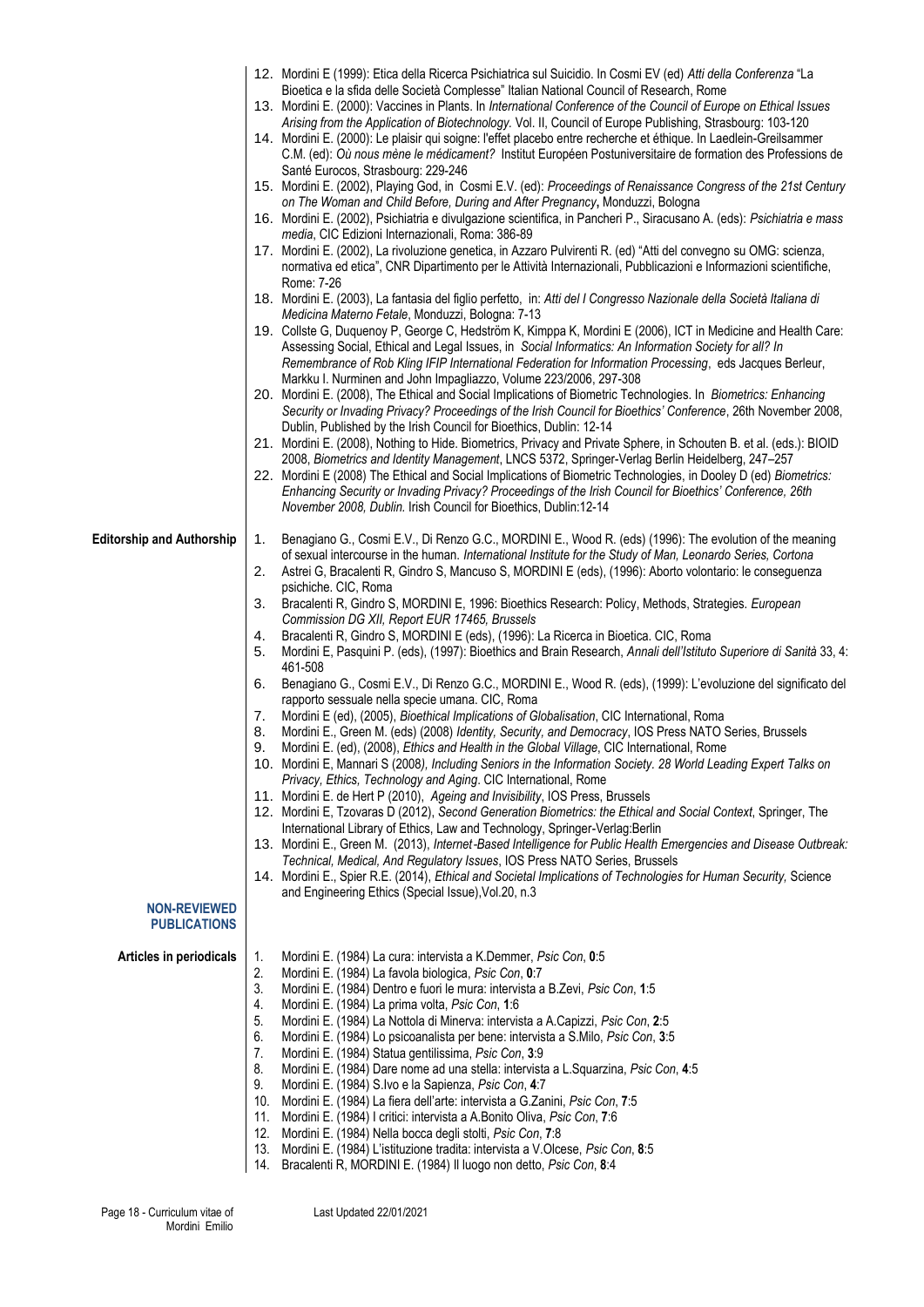|                                            |     | 12. Mordini E (1999): Etica della Ricerca Psichiatrica sul Suicidio. In Cosmi EV (ed) Atti della Conferenza "La                                     |
|--------------------------------------------|-----|-----------------------------------------------------------------------------------------------------------------------------------------------------|
|                                            |     | Bioetica e la sfida delle Società Complesse" Italian National Council of Research, Rome                                                             |
|                                            |     | 13. Mordini E. (2000): Vaccines in Plants. In International Conference of the Council of Europe on Ethical Issues                                   |
|                                            |     | Arising from the Application of Biotechnology. Vol. II, Council of Europe Publishing, Strasbourg: 103-120                                           |
|                                            |     | 14. Mordini E. (2000): Le plaisir qui soigne: l'effet placebo entre recherche et éthique. In Laedlein-Greilsammer                                   |
|                                            |     | C.M. (ed): Où nous mène le médicament? Institut Européen Postuniversitaire de formation des Professions de<br>Santé Eurocos, Strasbourg: 229-246    |
|                                            |     | 15. Mordini E. (2002), Playing God, in Cosmi E.V. (ed): Proceedings of Renaissance Congress of the 21st Century                                     |
|                                            |     | on The Woman and Child Before, During and After Pregnancy, Monduzzi, Bologna                                                                        |
|                                            |     | 16. Mordini E. (2002), Psichiatria e divulgazione scientifica, in Pancheri P., Siracusano A. (eds): Psichiatria e mass                              |
|                                            |     | media, CIC Edizioni Internazionali, Roma: 386-89                                                                                                    |
|                                            |     | 17. Mordini E. (2002), La rivoluzione genetica, in Azzaro Pulvirenti R. (ed) "Atti del convegno su OMG: scienza,                                    |
|                                            |     | normativa ed etica", CNR Dipartimento per le Attività Internazionali, Pubblicazioni e Informazioni scientifiche,                                    |
|                                            |     | Rome: 7-26                                                                                                                                          |
|                                            |     | 18. Mordini E. (2003), La fantasia del figlio perfetto, in: Atti del I Congresso Nazionale della Società Italiana di                                |
|                                            |     | Medicina Materno Fetale, Monduzzi, Bologna: 7-13                                                                                                    |
|                                            |     | 19. Collste G, Duquenoy P, George C, Hedström K, Kimppa K, Mordini E (2006), ICT in Medicine and Health Care:                                       |
|                                            |     | Assessing Social, Ethical and Legal Issues, in Social Informatics: An Information Society for all? In                                               |
|                                            |     | Remembrance of Rob Kling IFIP International Federation for Information Processing, eds Jacques Berleur,                                             |
|                                            |     | Markku I. Nurminen and John Impagliazzo, Volume 223/2006, 297-308                                                                                   |
|                                            |     | 20. Mordini E. (2008), The Ethical and Social Implications of Biometric Technologies. In Biometrics: Enhancing                                      |
|                                            |     | Security or Invading Privacy? Proceedings of the Irish Council for Bioethics' Conference, 26th November 2008,                                       |
|                                            |     | Dublin, Published by the Irish Council for Bioethics, Dublin: 12-14                                                                                 |
|                                            |     | 21. Mordini E. (2008), Nothing to Hide. Biometrics, Privacy and Private Sphere, in Schouten B. et al. (eds.): BIOID                                 |
|                                            |     | 2008, Biometrics and Identity Management, LNCS 5372, Springer-Verlag Berlin Heidelberg, 247-257                                                     |
|                                            |     | 22. Mordini E (2008) The Ethical and Social Implications of Biometric Technologies, in Dooley D (ed) Biometrics:                                    |
|                                            |     | Enhancing Security or Invading Privacy? Proceedings of the Irish Council for Bioethics' Conference, 26th                                            |
|                                            |     | November 2008, Dublin. Irish Council for Bioethics, Dublin:12-14                                                                                    |
|                                            |     |                                                                                                                                                     |
| <b>Editorship and Authorship</b>           | 1.  | Benagiano G., Cosmi E.V., Di Renzo G.C., MORDINI E., Wood R. (eds) (1996): The evolution of the meaning                                             |
|                                            |     | of sexual intercourse in the human. International Institute for the Study of Man, Leonardo Series, Cortona                                          |
|                                            | 2.  | Astrei G, Bracalenti R, Gindro S, Mancuso S, MORDINI E (eds), (1996): Aborto volontario: le conseguenza                                             |
|                                            |     | psichiche. CIC, Roma                                                                                                                                |
|                                            | 3.  | Bracalenti R, Gindro S, MORDINI E, 1996: Bioethics Research: Policy, Methods, Strategies. European<br>Commission DG XII, Report EUR 17465, Brussels |
|                                            | 4.  | Bracalenti R, Gindro S, MORDINI E (eds), (1996): La Ricerca in Bioetica. CIC, Roma                                                                  |
|                                            | 5.  | Mordini E, Pasquini P. (eds), (1997): Bioethics and Brain Research, Annali dell'Istituto Superiore di Sanità 33, 4:                                 |
|                                            |     | 461-508                                                                                                                                             |
|                                            | 6.  | Benagiano G., Cosmi E.V., Di Renzo G.C., MORDINI E., Wood R. (eds), (1999): L'evoluzione del significato del                                        |
|                                            |     | rapporto sessuale nella specie umana. CIC, Roma                                                                                                     |
|                                            | 7.  | Mordini E (ed), (2005), Bioethical Implications of Globalisation, CIC International, Roma                                                           |
|                                            | 8.  | Mordini E., Green M. (eds) (2008) Identity, Security, and Democracy, IOS Press NATO Series, Brussels                                                |
|                                            | 9.  | Mordini E. (ed), (2008), Ethics and Health in the Global Village, CIC International, Rome                                                           |
|                                            |     | 10. Mordini E, Mannari S (2008), Including Seniors in the Information Society. 28 World Leading Expert Talks on                                     |
|                                            |     | Privacy, Ethics, Technology and Aging. CIC International, Rome                                                                                      |
|                                            |     | 11. Mordini E. de Hert P (2010), Ageing and Invisibility, IOS Press, Brussels                                                                       |
|                                            |     | 12. Mordini E, Tzovaras D (2012), Second Generation Biometrics: the Ethical and Social Context, Springer, The                                       |
|                                            |     | International Library of Ethics, Law and Technology, Springer-Verlag:Berlin                                                                         |
|                                            |     | 13. Mordini E., Green M. (2013), Internet-Based Intelligence for Public Health Emergencies and Disease Outbreak:                                    |
|                                            |     | Technical, Medical, And Regulatory Issues, IOS Press NATO Series, Brussels                                                                          |
|                                            |     | 14. Mordini E., Spier R.E. (2014), Ethical and Societal Implications of Technologies for Human Security, Science                                    |
|                                            |     | and Engineering Ethics (Special Issue), Vol.20, n.3                                                                                                 |
| <b>NON-REVIEWED</b><br><b>PUBLICATIONS</b> |     |                                                                                                                                                     |
|                                            |     |                                                                                                                                                     |
| Articles in periodicals                    | 1.  | Mordini E. (1984) La cura: intervista a K.Demmer, Psic Con, 0:5                                                                                     |
|                                            | 2.  | Mordini E. (1984) La favola biologica, Psic Con, 0:7                                                                                                |
|                                            | 3.  | Mordini E. (1984) Dentro e fuori le mura: intervista a B.Zevi, Psic Con, 1:5                                                                        |
|                                            | 4.  | Mordini E. (1984) La prima volta, Psic Con, 1:6                                                                                                     |
|                                            | 5.  | Mordini E. (1984) La Nottola di Minerva: intervista a A.Capizzi, Psic Con, 2:5                                                                      |
|                                            | 6.  | Mordini E. (1984) Lo psicoanalista per bene: intervista a S.Milo, Psic Con, 3:5                                                                     |
|                                            | 7.  | Mordini E. (1984) Statua gentilissima, Psic Con, 3:9                                                                                                |
|                                            | 8.  | Mordini E. (1984) Dare nome ad una stella: intervista a L. Squarzina, Psic Con, 4:5                                                                 |
|                                            | 9.  | Mordini E. (1984) S.Ivo e la Sapienza, Psic Con, 4:7                                                                                                |
|                                            | 10. | Mordini E. (1984) La fiera dell'arte: intervista a G.Zanini, Psic Con, 7:5                                                                          |
|                                            | 11. | Mordini E. (1984) I critici: intervista a A.Bonito Oliva, Psic Con, 7:6                                                                             |
|                                            | 12. | Mordini E. (1984) Nella bocca degli stolti, Psic Con, 7:8                                                                                           |
|                                            | 13. | Mordini E. (1984) L'istituzione tradita: intervista a V.Olcese, Psic Con, 8:5                                                                       |
|                                            | 14. | Bracalenti R, MORDINI E. (1984) Il luogo non detto, Psic Con, 8:4                                                                                   |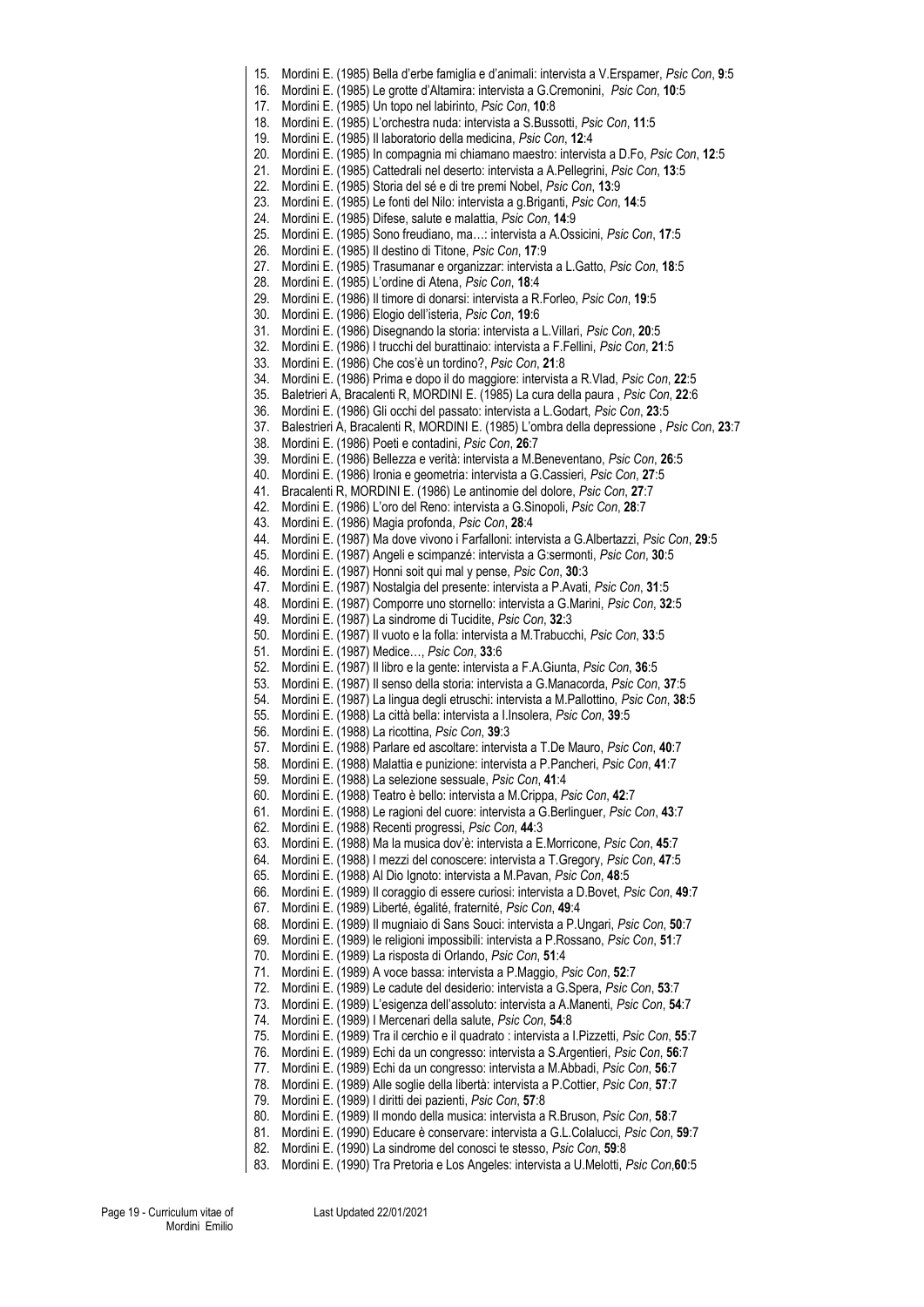15. Mordini E. (1985) Bella d'erbe famiglia e d'animali: intervista a V.Erspamer, *Psic Con*, **9**:5 16. Mordini E. (1985) Le grotte d'Altamira: intervista a G.Cremonini, *Psic Con*, **10**:5 17. Mordini E. (1985) Un topo nel labirinto, *Psic Con*, **10**:8 18. Mordini E. (1985) L'orchestra nuda: intervista a S.Bussotti, *Psic Con*, **11**:5 19. Mordini E. (1985) Il laboratorio della medicina, *Psic Con*, **12**:4 20. Mordini E. (1985) In compagnia mi chiamano maestro: intervista a D.Fo, *Psic Con*, **12**:5 21. Mordini E. (1985) Cattedrali nel deserto: intervista a A.Pellegrini, *Psic Con*, **13**:5 22. Mordini E. (1985) Storia del sé e di tre premi Nobel, *Psic Con*, **13**:9 23. Mordini E. (1985) Le fonti del Nilo: intervista a g.Briganti, *Psic Con*, **14**:5 24. Mordini E. (1985) Difese, salute e malattia, *Psic Con*, **14**:9 25. Mordini E. (1985) Sono freudiano, ma…: intervista a A.Ossicini, *Psic Con*, **17**:5 26. Mordini E. (1985) Il destino di Titone, *Psic Con*, **17**:9 27. Mordini E. (1985) Trasumanar e organizzar: intervista a L.Gatto, *Psic Con*, **18**:5 28. Mordini E. (1985) L'ordine di Atena, *Psic Con*, **18**:4 29. Mordini E. (1986) Il timore di donarsi: intervista a R.Forleo, *Psic Con*, **19**:5 30. Mordini E. (1986) Elogio dell'isteria, *Psic Con*, **19**:6 31. Mordini E. (1986) Disegnando la storia: intervista a L.Villari, *Psic Con*, **20**:5 32. Mordini E. (1986) I trucchi del burattinaio: intervista a F.Fellini, *Psic Con*, **21**:5 33. Mordini E. (1986) Che cos'è un tordino?, *Psic Con*, **21**:8 34. Mordini E. (1986) Prima e dopo il do maggiore: intervista a R.Vlad, *Psic Con*, **22**:5 35. Baletrieri A, Bracalenti R, MORDINI E. (1985) La cura della paura , *Psic Con*, **22**:6 36. Mordini E. (1986) Gli occhi del passato: intervista a L.Godart, *Psic Con*, **23**:5 37. Balestrieri A, Bracalenti R, MORDINI E. (1985) L'ombra della depressione , *Psic Con*, **23**:7 38. Mordini E. (1986) Poeti e contadini, *Psic Con*, **26**:7 39. Mordini E. (1986) Bellezza e verità: intervista a M.Beneventano, *Psic Con*, **26**:5 40. Mordini E. (1986) Ironia e geometria: intervista a G.Cassieri, *Psic Con*, **27**:5 41. Bracalenti R, MORDINI E. (1986) Le antinomie del dolore, *Psic Con*, **27**:7 42. Mordini E. (1986) L'oro del Reno: intervista a G.Sinopoli, *Psic Con*, **28**:7 43. Mordini E. (1986) Magia profonda, *Psic Con*, **28**:4 44. Mordini E. (1987) Ma dove vivono i Farfalloni: intervista a G.Albertazzi, *Psic Con*, **29**:5 45. Mordini E. (1987) Angeli e scimpanzé: intervista a G:sermonti, *Psic Con*, **30**:5 46. Mordini E. (1987) Honni soit qui mal y pense, *Psic Con*, **30**:3 47. Mordini E. (1987) Nostalgia del presente: intervista a P.Avati, *Psic Con*, **31**:5 48. Mordini E. (1987) Comporre uno stornello: intervista a G.Marini, *Psic Con*, **32**:5 49. Mordini E. (1987) La sindrome di Tucidite, *Psic Con*, **32**:3 50. Mordini E. (1987) Il vuoto e la folla: intervista a M.Trabucchi, *Psic Con*, **33**:5 51. Mordini E. (1987) Medice…, *Psic Con*, **33**:6 52. Mordini E. (1987) Il libro e la gente: intervista a F.A.Giunta, *Psic Con*, **36**:5 53. Mordini E. (1987) Il senso della storia: intervista a G.Manacorda, *Psic Con*, **37**:5 54. Mordini E. (1987) La lingua degli etruschi: intervista a M.Pallottino, *Psic Con*, **38**:5 55. Mordini E. (1988) La città bella: intervista a I.Insolera, *Psic Con*, **39**:5 56. Mordini E. (1988) La ricottina, *Psic Con*, **39**:3 57. Mordini E. (1988) Parlare ed ascoltare: intervista a T.De Mauro, *Psic Con*, **40**:7 58. Mordini E. (1988) Malattia e punizione: intervista a P.Pancheri, *Psic Con*, **41**:7 59. Mordini E. (1988) La selezione sessuale, *Psic Con*, **41**:4 60. Mordini E. (1988) Teatro è bello: intervista a M.Crippa, *Psic Con*, **42**:7 61. Mordini E. (1988) Le ragioni del cuore: intervista a G.Berlinguer, *Psic Con*, **43**:7 62. Mordini E. (1988) Recenti progressi, *Psic Con*, **44**:3 63. Mordini E. (1988) Ma la musica dov'è: intervista a E.Morricone, *Psic Con*, **45**:7 64. Mordini E. (1988) I mezzi del conoscere: intervista a T.Gregory, *Psic Con*, **47**:5 65. Mordini E. (1988) Al Dio Ignoto: intervista a M.Pavan, *Psic Con*, **48**:5 66. Mordini E. (1989) Il coraggio di essere curiosi: intervista a D.Bovet, *Psic Con*, **49**:7 67. Mordini E. (1989) Liberté, égalité, fraternité, *Psic Con*, **49**:4 68. Mordini E. (1989) Il mugniaio di Sans Souci: intervista a P.Ungari, *Psic Con*, **50**:7 69. Mordini E. (1989) le religioni impossibili: intervista a P.Rossano, *Psic Con*, **51**:7 70. Mordini E. (1989) La risposta di Orlando, *Psic Con*, **51**:4 71. Mordini E. (1989) A voce bassa: intervista a P.Maggio, *Psic Con*, **52**:7 72. Mordini E. (1989) Le cadute del desiderio: intervista a G.Spera, *Psic Con*, **53**:7 73. Mordini E. (1989) L'esigenza dell'assoluto: intervista a A.Manenti, *Psic Con*, **54**:7 74. Mordini E. (1989) I Mercenari della salute, *Psic Con*, **54**:8 75. Mordini E. (1989) Tra il cerchio e il quadrato : intervista a I.Pizzetti, *Psic Con*, **55**:7 76. Mordini E. (1989) Echi da un congresso: intervista a S.Argentieri, *Psic Con*, **56**:7 77. Mordini E. (1989) Echi da un congresso: intervista a M.Abbadi, *Psic Con*, **56**:7 78. Mordini E. (1989) Alle soglie della libertà: intervista a P.Cottier, *Psic Con*, **57**:7 79. Mordini E. (1989) I diritti dei pazienti, *Psic Con*, **57**:8 80. Mordini E. (1989) Il mondo della musica: intervista a R.Bruson, *Psic Con*, **58**:7 81. Mordini E. (1990) Educare è conservare: intervista a G.L.Colalucci, *Psic Con*, **59**:7 82. Mordini E. (1990) La sindrome del conosci te stesso, *Psic Con*, **59**:8 83. Mordini E. (1990) Tra Pretoria e Los Angeles: intervista a U.Melotti, *Psic Con*,**60**:5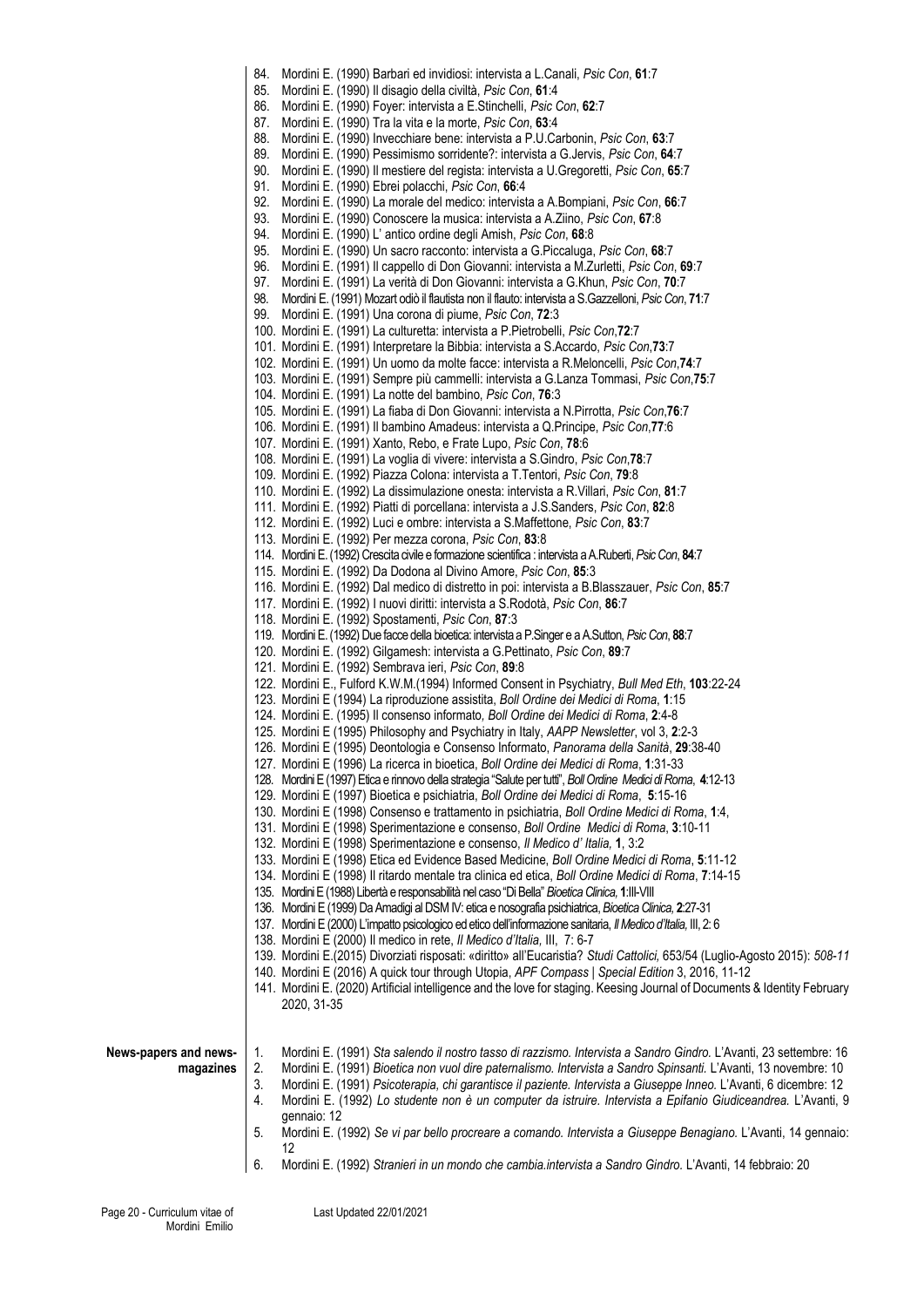84. Mordini E. (1990) Barbari ed invidiosi: intervista a L.Canali, *Psic Con*, **61**:7 85. Mordini E. (1990) Il disagio della civiltà, *Psic Con*, **61**:4 86. Mordini E. (1990) Foyer: intervista a E.Stinchelli, *Psic Con*, **62**:7 87. Mordini E. (1990) Tra la vita e la morte, *Psic Con*, **63**:4 88. Mordini E. (1990) Invecchiare bene: intervista a P.U.Carbonin, *Psic Con*, **63**:7 89. Mordini E. (1990) Pessimismo sorridente?: intervista a G.Jervis, *Psic Con*, **64**:7 90. Mordini E. (1990) Il mestiere del regista: intervista a U.Gregoretti, *Psic Con*, **65**:7 91. Mordini E. (1990) Ebrei polacchi, *Psic Con*, **66**:4 92. Mordini E. (1990) La morale del medico: intervista a A.Bompiani, *Psic Con*, **66**:7 93. Mordini E. (1990) Conoscere la musica: intervista a A.Ziino, *Psic Con*, **67**:8 94. Mordini E. (1990) L' antico ordine degli Amish, *Psic Con*, **68**:8 95. Mordini E. (1990) Un sacro racconto: intervista a G.Piccaluga, *Psic Con*, **68**:7 96. Mordini E. (1991) Il cappello di Don Giovanni: intervista a M.Zurletti, *Psic Con*, **69**:7 97. Mordini E. (1991) La verità di Don Giovanni: intervista a G.Khun, *Psic Con*, **70**:7 98. Mordini E. (1991) Mozart odiò il flautista non il flauto: intervista a S.Gazzelloni, *Psic Con*, **71**:7 99. Mordini E. (1991) Una corona di piume, *Psic Con*, **72**:3 100. Mordini E. (1991) La culturetta: intervista a P.Pietrobelli, *Psic Con*,**72**:7 101. Mordini E. (1991) Interpretare la Bibbia: intervista a S.Accardo, *Psic Con*,**73**:7 102. Mordini E. (1991) Un uomo da molte facce: intervista a R.Meloncelli, *Psic Con*,**74**:7 103. Mordini E. (1991) Sempre più cammelli: intervista a G.Lanza Tommasi, *Psic Con*,**75**:7 104. Mordini E. (1991) La notte del bambino, *Psic Con*, **76**:3 105. Mordini E. (1991) La fiaba di Don Giovanni: intervista a N.Pirrotta, *Psic Con*,**76**:7 106. Mordini E. (1991) Il bambino Amadeus: intervista a Q.Principe, *Psic Con*,**77**:6 107. Mordini E. (1991) Xanto, Rebo, e Frate Lupo, *Psic Con*, **78**:6 108. Mordini E. (1991) La voglia di vivere: intervista a S.Gindro, *Psic Con*,**78**:7 109. Mordini E. (1992) Piazza Colona: intervista a T.Tentori, *Psic Con*, **79**:8 110. Mordini E. (1992) La dissimulazione onesta: intervista a R.Villari, *Psic Con*, **81**:7 111. Mordini E. (1992) Piatti di porcellana: intervista a J.S.Sanders, *Psic Con*, **82**:8 112. Mordini E. (1992) Luci e ombre: intervista a S.Maffettone, *Psic Con*, **83**:7 113. Mordini E. (1992) Per mezza corona, *Psic Con*, **83**:8 114. Mordini E. (1992) Crescita civile e formazione scientifica : intervista a A.Ruberti, *Psic Con*, **84**:7 115. Mordini E. (1992) Da Dodona al Divino Amore, *Psic Con*, **85**:3 116. Mordini E. (1992) Dal medico di distretto in poi: intervista a B.Blasszauer, *Psic Con*, **85**:7 117. Mordini E. (1992) I nuovi diritti: intervista a S.Rodotà, *Psic Con*, **86**:7 118. Mordini E. (1992) Spostamenti, *Psic Con*, **87**:3 119. Mordini E. (1992) Due facce della bioetica: intervista a P.Singer e a A.Sutton, *Psic Con*, **88**:7 120. Mordini E. (1992) Gilgamesh: intervista a G.Pettinato, *Psic Con*, **89**:7 121. Mordini E. (1992) Sembrava ieri, *Psic Con*, **89**:8 122. Mordini E., Fulford K.W.M.(1994) Informed Consent in Psychiatry, *Bull Med Eth*, **103**:22-24 123. Mordini E (1994) La riproduzione assistita, *Boll Ordine dei Medici di Roma*, **1**:15 124. Mordini E. (1995) Il consenso informato*, Boll Ordine dei Medici di Roma*, **2**:4-8 125. Mordini E (1995) Philosophy and Psychiatry in Italy, *AAPP Newsletter*, vol 3, **2**:2-3 126. Mordini E (1995) Deontologia e Consenso Informato, *Panorama della Sanità*, **29**:38-40 127. Mordini E (1996) La ricerca in bioetica, *Boll Ordine dei Medici di Roma*, **1**:31-33 128. Mordini E (1997) Etica e rinnovo della strategia "Salute per tutti", *Boll Ordine Medici di Roma*, **4**:12-13 129. Mordini E (1997) Bioetica e psichiatria, *Boll Ordine dei Medici di Roma*, **5**:15-16 130. Mordini E (1998) Consenso e trattamento in psichiatria, *Boll Ordine Medici di Roma*, **1**:4, 131. Mordini E (1998) Sperimentazione e consenso, *Boll Ordine Medici di Roma*, **3**:10-11 132. Mordini E (1998) Sperimentazione e consenso, *Il Medico d' Italia,* **1**, 3:2 133. Mordini E (1998) Etica ed Evidence Based Medicine, *Boll Ordine Medici di Roma*, **5**:11-12 134. Mordini E (1998) Il ritardo mentale tra clinica ed etica, *Boll Ordine Medici di Roma*, **7**:14-15 135. Mordini E (1988) Libertà e responsabilità nel caso "Di Bella" *Bioetica Clinica,* **1**:III-VIII 136. Mordini E (1999) Da Amadigi al DSM IV: etica e nosografia psichiatrica, *Bioetica Clinica,* **2**:27-31 137. Mordini E (2000) L'impatto psicologico ed etico dell'informazione sanitaria, *Il Medico d'Italia,* III, 2: 6 138. Mordini E (2000) Il medico in rete, *Il Medico d'Italia,* III, 7: 6-7 139. Mordini E.(2015) Divorziati risposati: «diritto» all'Eucaristia? *Studi Cattolici,* 653/54 (Luglio-Agosto 2015): *508-11*  140. Mordini E (2016) A quick tour through Utopia, *APF Compass | Special Edition* 3, 2016, 11-12 141. Mordini E. (2020) Artificial intelligence and the love for staging. Keesing Journal of Documents & Identity February 2020, 31-35 **News-papers and newsmagazines** 1. Mordini E. (1991) *Sta salendo il nostro tasso di razzismo. Intervista a Sandro Gindro.* L'Avanti, 23 settembre: 16 2. Mordini E. (1991) *Bioetica non vuol dire paternalismo. Intervista a Sandro Spinsanti.* L'Avanti, 13 novembre: 10 3. Mordini E. (1991) *Psicoterapia, chi garantisce il paziente. Intervista a Giuseppe Inneo.* L'Avanti, 6 dicembre: 12 4. Mordini E. (1992) *Lo studente non è un computer da istruire. Intervista a Epifanio Giudiceandrea.* L'Avanti, 9 gennaio: 12 5. Mordini E. (1992) *Se vi par bello procreare a comando. Intervista a Giuseppe Benagiano.* L'Avanti, 14 gennaio: 12 6. Mordini E. (1992) *Stranieri in un mondo che cambia.intervista a Sandro Gindro.* L'Avanti, 14 febbraio: 20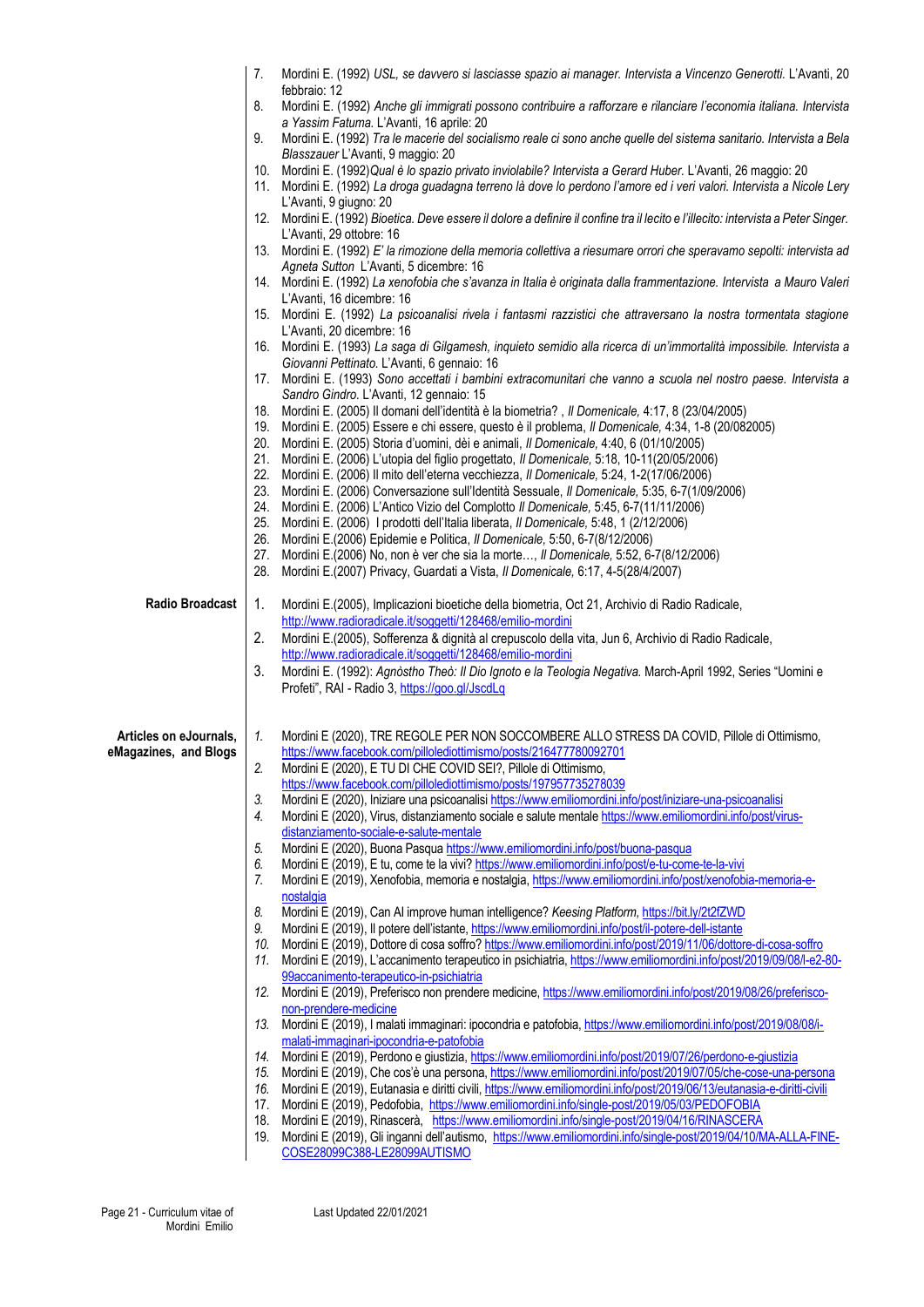|                        | 7.                               | Mordini E. (1992) USL, se davvero si lasciasse spazio ai manager. Intervista a Vincenzo Generotti. L'Avanti, 20                                                                                                                     |
|------------------------|----------------------------------|-------------------------------------------------------------------------------------------------------------------------------------------------------------------------------------------------------------------------------------|
|                        | febbraio: 12                     |                                                                                                                                                                                                                                     |
|                        | 8.                               | Mordini E. (1992) Anche gli immigrati possono contribuire a rafforzare e rilanciare l'economia italiana. Intervista<br>a Yassim Fatuma. L'Avanti, 16 aprile: 20                                                                     |
|                        | 9.                               | Mordini E. (1992) Tra le macerie del socialismo reale ci sono anche quelle del sistema sanitario. Intervista a Bela                                                                                                                 |
|                        |                                  | Blasszauer L'Avanti, 9 maggio: 20                                                                                                                                                                                                   |
|                        | 10.                              | Mordini E. (1992) Qual è lo spazio privato inviolabile? Intervista a Gerard Huber. L'Avanti, 26 maggio: 20<br>11. Mordini E. (1992) La droga guadagna terreno là dove lo perdono l'amore ed i veri valori. Intervista a Nicole Lery |
|                        | L'Avanti, 9 giugno: 20           |                                                                                                                                                                                                                                     |
|                        | 12.                              | Mordini E. (1992) Bioetica. Deve essere il dolore a definire il confine tra il lecito e l'illecito: intervista a Peter Singer.                                                                                                      |
|                        | L'Avanti, 29 ottobre: 16<br>13.  | Mordini E. (1992) E' la rimozione della memoria collettiva a riesumare orrori che speravamo sepolti: intervista ad                                                                                                                  |
|                        |                                  | Agneta Sutton L'Avanti, 5 dicembre: 16                                                                                                                                                                                              |
|                        |                                  | 14. Mordini E. (1992) La xenofobia che s'avanza in Italia è originata dalla frammentazione. Intervista a Mauro Valeri                                                                                                               |
|                        | L'Avanti, 16 dicembre: 16<br>15. | Mordini E. (1992) La psicoanalisi rivela i fantasmi razzistici che attraversano la nostra tormentata stagione                                                                                                                       |
|                        | L'Avanti, 20 dicembre: 16        |                                                                                                                                                                                                                                     |
|                        | 16.                              | Mordini E. (1993) La saga di Gilgamesh, inquieto semidio alla ricerca di un'immortalità impossibile. Intervista a                                                                                                                   |
|                        |                                  | Giovanni Pettinato. L'Avanti, 6 gennaio: 16                                                                                                                                                                                         |
|                        | 17.                              | Mordini E. (1993) Sono accettati i bambini extracomunitari che vanno a scuola nel nostro paese. Intervista a<br>Sandro Gindro. L'Avanti, 12 gennaio: 15                                                                             |
|                        |                                  | 18. Mordini E. (2005) Il domani dell'identità è la biometria?, Il Domenicale, 4:17, 8 (23/04/2005)                                                                                                                                  |
|                        |                                  | 19. Mordini E. (2005) Essere e chi essere, questo è il problema, Il Domenicale, 4:34, 1-8 (20/082005)                                                                                                                               |
|                        | 20.<br>21.                       | Mordini E. (2005) Storia d'uomini, dèi e animali, Il Domenicale, 4:40, 6 (01/10/2005)<br>Mordini E. (2006) L'utopia del figlio progettato, Il Domenicale, 5:18, 10-11(20/05/2006)                                                   |
|                        | 22.                              | Mordini E. (2006) Il mito dell'eterna vecchiezza, Il Domenicale, 5:24, 1-2(17/06/2006)                                                                                                                                              |
|                        | 23.                              | Mordini E. (2006) Conversazione sull'Identità Sessuale, Il Domenicale, 5:35, 6-7(1/09/2006)                                                                                                                                         |
|                        | 24.                              | Mordini E. (2006) L'Antico Vizio del Complotto Il Domenicale, 5:45, 6-7(11/11/2006)                                                                                                                                                 |
|                        | 25.                              | Mordini E. (2006) I prodotti dell'Italia liberata, Il Domenicale, 5:48, 1 (2/12/2006)                                                                                                                                               |
|                        | 26.<br>27.                       | Mordini E.(2006) Epidemie e Politica, Il Domenicale, 5:50, 6-7(8/12/2006)<br>Mordini E.(2006) No, non è ver che sia la morte, Il Domenicale, 5:52, 6-7(8/12/2006)                                                                   |
|                        | 28.                              | Mordini E.(2007) Privacy, Guardati a Vista, Il Domenicale, 6:17, 4-5(28/4/2007)                                                                                                                                                     |
|                        |                                  |                                                                                                                                                                                                                                     |
| <b>Radio Broadcast</b> | 1.                               | Mordini E.(2005), Implicazioni bioetiche della biometria, Oct 21, Archivio di Radio Radicale,<br>http://www.radioradicale.it/soggetti/128468/emilio-mordini                                                                         |
|                        | 2.                               | Mordini E.(2005), Sofferenza & dignità al crepuscolo della vita, Jun 6, Archivio di Radio Radicale,                                                                                                                                 |
|                        |                                  | http://www.radioradicale.it/soggetti/128468/emilio-mordini                                                                                                                                                                          |
|                        | 3.                               | Mordini E. (1992): Agnòstho Theò: Il Dio Ignoto e la Teologia Negativa. March-April 1992, Series "Uomini e                                                                                                                          |
|                        |                                  | Profeti", RAI - Radio 3, https://goo.gl/JscdLq                                                                                                                                                                                      |
|                        |                                  |                                                                                                                                                                                                                                     |
| Articles on eJournals, | 1.                               | Mordini E (2020), TRE REGOLE PER NON SOCCOMBERE ALLO STRESS DA COVID, Pillole di Ottimismo,<br>https://www.facebook.com/pillolediottimismo/posts/216477780092701                                                                    |
| eMagazines, and Blogs  | 2.                               | Mordini E (2020), E TU DI CHE COVID SEI?, Pillole di Ottimismo,                                                                                                                                                                     |
|                        |                                  | https://www.facebook.com/pillolediottimismo/posts/197957735278039                                                                                                                                                                   |
|                        |                                  | Mordini E (2020), Iniziare una psicoanalisi https://www.emiliomordini.info/post/iniziare-una-psicoanalisi                                                                                                                           |
|                        |                                  | Mordini E (2020), Virus, distanziamento sociale e salute mentale https://www.emiliomordini.info/post/virus-<br>distanziamento-sociale-e-salute-mentale                                                                              |
|                        |                                  | Mordini E (2020), Buona Pasqua https://www.emiliomordini.info/post/buona-pasqua                                                                                                                                                     |
|                        |                                  | Mordini E (2019), E tu, come te la vivi? https://www.emiliomordini.info/post/e-tu-come-te-la-vivi                                                                                                                                   |
|                        | 7.                               | Mordini E (2019), Xenofobia, memoria e nostalgia, https://www.emiliomordini.info/post/xenofobia-memoria-e-                                                                                                                          |
|                        | nostalgia<br>8.                  | Mordini E (2019), Can AI improve human intelligence? Keesing Platform, https://bit.ly/2t2fZWD                                                                                                                                       |
|                        | 9.                               | Mordini E (2019), Il potere dell'istante, https://www.emiliomordini.info/post/il-potere-dell-istante                                                                                                                                |
|                        | 10.                              | Mordini E (2019), Dottore di cosa soffro? https://www.emiliomordini.info/post/2019/11/06/dottore-di-cosa-soffro                                                                                                                     |
|                        | 11.                              | Mordini E (2019), L'accanimento terapeutico in psichiatria, https://www.emiliomordini.info/post/2019/09/08/l-e2-80-<br>99accanimento-terapeutico-in-psichiatria                                                                     |
|                        | 12.                              | Mordini E (2019), Preferisco non prendere medicine, https://www.emiliomordini.info/post/2019/08/26/preferisco-                                                                                                                      |
|                        | non-prendere-medicine            |                                                                                                                                                                                                                                     |
|                        | 13.                              | Mordini E (2019), I malati immaginari: ipocondria e patofobia, https://www.emiliomordini.info/post/2019/08/08/i-<br>malati-immaginari-ipocondria-e-patofobia                                                                        |
|                        | 14.                              | Mordini E (2019), Perdono e giustizia, https://www.emiliomordini.info/post/2019/07/26/perdono-e-giustizia                                                                                                                           |
|                        | 15.                              | Mordini E (2019), Che cos'è una persona, https://www.emiliomordini.info/post/2019/07/05/che-cose-una-persona                                                                                                                        |
|                        | 16.                              | Mordini E (2019), Eutanasia e diritti civili, https://www.emiliomordini.info/post/2019/06/13/eutanasia-e-diritti-civili                                                                                                             |
|                        | 17.                              | Mordini E (2019), Pedofobia, https://www.emiliomordini.info/single-post/2019/05/03/PEDOFOBIA                                                                                                                                        |
|                        | 18.<br>19.                       | Mordini E (2019), Rinascerà, https://www.emiliomordini.info/single-post/2019/04/16/RINASCERA<br>Mordini E (2019), Gli inganni dell'autismo, https://www.emiliomordini.info/single-post/2019/04/10/MA-ALLA-FINE-                     |
|                        |                                  | COSE28099C388-LE28099AUTISMO                                                                                                                                                                                                        |
|                        |                                  |                                                                                                                                                                                                                                     |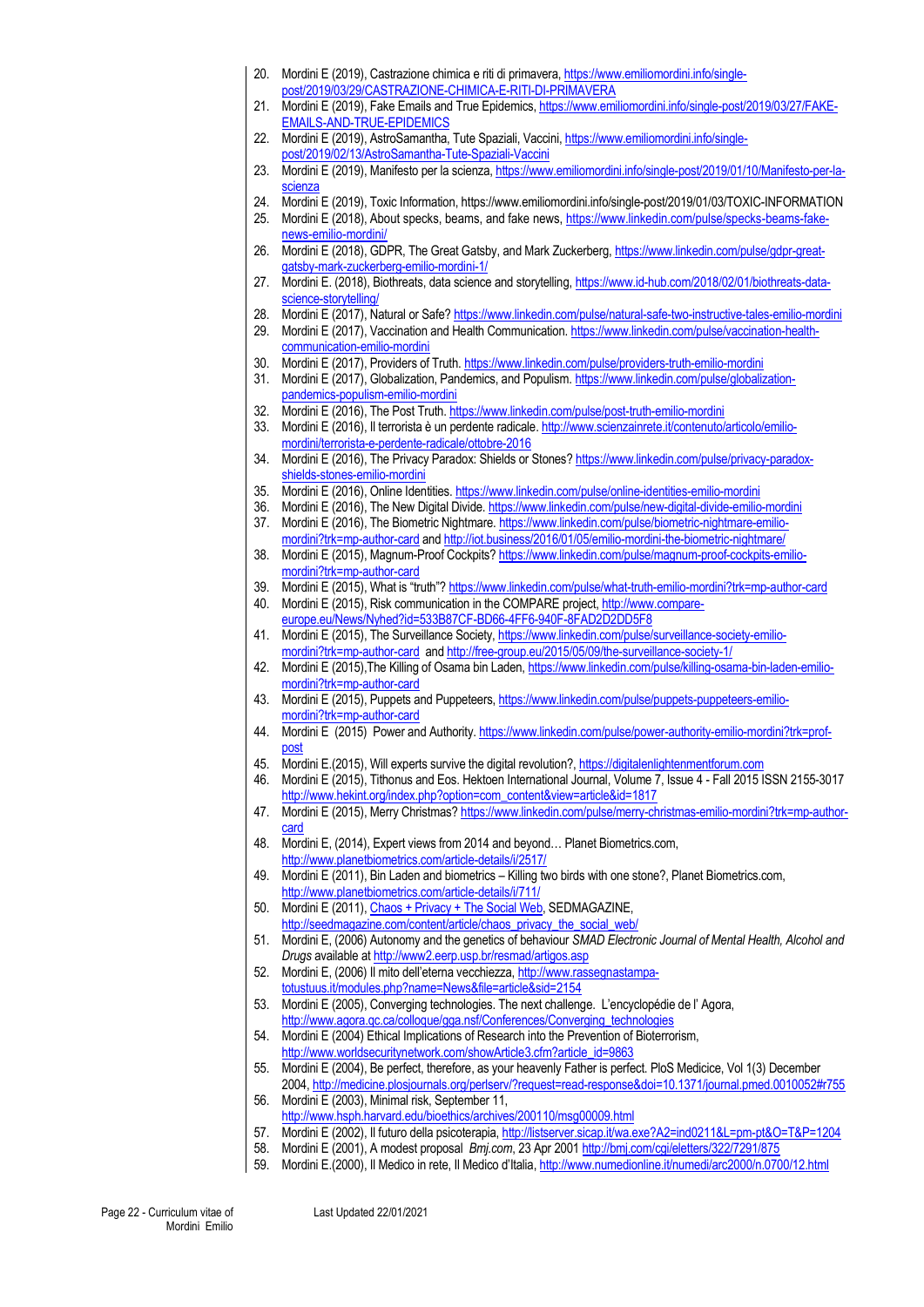- 20. Mordini E (2019), Castrazione chimica e riti di primavera[, https://www.emiliomordini.info/single](https://www.emiliomordini.info/single-post/2019/03/29/CASTRAZIONE-CHIMICA-E-RITI-DI-PRIMAVERA)[post/2019/03/29/CASTRAZIONE-CHIMICA-E-RITI-DI-PRIMAVERA](https://www.emiliomordini.info/single-post/2019/03/29/CASTRAZIONE-CHIMICA-E-RITI-DI-PRIMAVERA)
- 21. Mordini E (2019), Fake Emails and True Epidemics, [https://www.emiliomordini.info/single-post/2019/03/27/FAKE-](https://www.emiliomordini.info/single-post/2019/03/27/FAKE-EMAILS-AND-TRUE-EPIDEMICS)[EMAILS-AND-TRUE-EPIDEMICS](https://www.emiliomordini.info/single-post/2019/03/27/FAKE-EMAILS-AND-TRUE-EPIDEMICS)
- 22. Mordini E (2019), AstroSamantha, Tute Spaziali, Vaccini[, https://www.emiliomordini.info/single](https://www.emiliomordini.info/single-post/2019/02/13/AstroSamantha-Tute-Spaziali-Vaccini)[post/2019/02/13/AstroSamantha-Tute-Spaziali-Vaccini](https://www.emiliomordini.info/single-post/2019/02/13/AstroSamantha-Tute-Spaziali-Vaccini)
- 23. Mordini E (2019), Manifesto per la scienza[, https://www.emiliomordini.info/single-post/2019/01/10/Manifesto-per-la](https://www.emiliomordini.info/single-post/2019/01/10/Manifesto-per-la-scienza)[scienza](https://www.emiliomordini.info/single-post/2019/01/10/Manifesto-per-la-scienza)
- 24. Mordini E (2019), Toxic Information, https://www.emiliomordini.info/single-post/2019/01/03/TOXIC-INFORMATION
- 25. Mordini E (2018), About specks, beams, and fake news, [https://www.linkedin.com/pulse/specks-beams-fake](https://www.linkedin.com/pulse/specks-beams-fake-news-emilio-mordini/)[news-emilio-mordini/](https://www.linkedin.com/pulse/specks-beams-fake-news-emilio-mordini/)
- 26. Mordini E (2018), GDPR, The Great Gatsby, and Mark Zuckerberg[, https://www.linkedin.com/pulse/gdpr-great](https://www.linkedin.com/pulse/gdpr-great-gatsby-mark-zuckerberg-emilio-mordini-1/)[gatsby-mark-zuckerberg-emilio-mordini-1/](https://www.linkedin.com/pulse/gdpr-great-gatsby-mark-zuckerberg-emilio-mordini-1/)
- 27. Mordini E. (2018), Biothreats, data science and storytelling, [https://www.id-hub.com/2018/02/01/biothreats-data](https://www.id-hub.com/2018/02/01/biothreats-data-science-storytelling/)[science-storytelling/](https://www.id-hub.com/2018/02/01/biothreats-data-science-storytelling/)
- 28. Mordini E (2017), Natural or Safe[? https://www.linkedin.com/pulse/natural-safe-two-instructive-tales-emilio-mordini](https://www.linkedin.com/pulse/natural-safe-two-instructive-tales-emilio-mordini)
- 29. Mordini E (2017), Vaccination and Health Communication[. https://www.linkedin.com/pulse/vaccination-health](https://www.linkedin.com/pulse/vaccination-health-communication-emilio-mordini)[communication-emilio-mordini](https://www.linkedin.com/pulse/vaccination-health-communication-emilio-mordini)
- 30. Mordini E (2017), Providers of Truth[. https://www.linkedin.com/pulse/providers-truth-emilio-mordini](https://www.linkedin.com/pulse/providers-truth-emilio-mordini)
- 31. Mordini E (2017), Globalization, Pandemics, and Populism. [https://www.linkedin.com/pulse/globalization](https://www.linkedin.com/pulse/globalization-pandemics-populism-emilio-mordini)[pandemics-populism-emilio-mordini](https://www.linkedin.com/pulse/globalization-pandemics-populism-emilio-mordini)
- 32. Mordini E (2016), The Post Truth.<https://www.linkedin.com/pulse/post-truth-emilio-mordini>
- 33. Mordini E (2016), Il terrorista è un perdente radicale[. http://www.scienzainrete.it/contenuto/articolo/emilio](http://www.scienzainrete.it/contenuto/articolo/emilio-mordini/terrorista-e-perdente-radicale/ottobre-2016)[mordini/terrorista-e-perdente-radicale/ottobre-2016](http://www.scienzainrete.it/contenuto/articolo/emilio-mordini/terrorista-e-perdente-radicale/ottobre-2016)
- 34. Mordini E (2016), The Privacy Paradox: Shields or Stones[? https://www.linkedin.com/pulse/privacy-paradox](https://www.linkedin.com/pulse/privacy-paradox-shields-stones-emilio-mordini)[shields-stones-emilio-mordini](https://www.linkedin.com/pulse/privacy-paradox-shields-stones-emilio-mordini)
- 35. Mordini E (2016), Online Identities[. https://www.linkedin.com/pulse/online-identities-emilio-mordini](https://www.linkedin.com/pulse/online-identities-emilio-mordini)
- 36. Mordini E (2016), The New Digital Divide.<https://www.linkedin.com/pulse/new-digital-divide-emilio-mordini> 37. Mordini E (2016), The Biometric Nightmare. [https://www.linkedin.com/pulse/biometric-nightmare-emilio](https://www.linkedin.com/pulse/biometric-nightmare-emilio-mordini?trk=mp-author-card)
	- [mordini?trk=mp-author-card](https://www.linkedin.com/pulse/biometric-nightmare-emilio-mordini?trk=mp-author-card) an[d http://iot.business/2016/01/05/emilio-mordini-the-biometric-nightmare/](http://iot.business/2016/01/05/emilio-mordini-the-biometric-nightmare/)
- 38. Mordini E (2015), Magnum-Proof Cockpits[? https://www.linkedin.com/pulse/magnum-proof-cockpits-emilio](https://www.linkedin.com/pulse/magnum-proof-cockpits-emilio-mordini?trk=mp-author-card)[mordini?trk=mp-author-card](https://www.linkedin.com/pulse/magnum-proof-cockpits-emilio-mordini?trk=mp-author-card)
- 39. Mordini E (2015), What is "truth"? <https://www.linkedin.com/pulse/what-truth-emilio-mordini?trk=mp-author-card>
- 40. Mordini E (2015), Risk communication in the COMPARE project[, http://www.compare](http://www.compare-europe.eu/News/Nyhed?id=533B87CF-BD66-4FF6-940F-8FAD2D2DD5F8)[europe.eu/News/Nyhed?id=533B87CF-BD66-4FF6-940F-8FAD2D2DD5F8](http://www.compare-europe.eu/News/Nyhed?id=533B87CF-BD66-4FF6-940F-8FAD2D2DD5F8)
- 41. Mordini E (2015), The Surveillance Society[, https://www.linkedin.com/pulse/surveillance-society-emilio](https://www.linkedin.com/pulse/surveillance-society-emilio-mordini?trk=mp-author-card)[mordini?trk=mp-author-card](https://www.linkedin.com/pulse/surveillance-society-emilio-mordini?trk=mp-author-card) an[d http://free-group.eu/2015/05/09/the-surveillance-society-1/](http://free-group.eu/2015/05/09/the-surveillance-society-1/)
- 42. Mordini E (2015),The Killing of Osama bin Laden[, https://www.linkedin.com/pulse/killing-osama-bin-laden-emilio](https://www.linkedin.com/pulse/killing-osama-bin-laden-emilio-mordini?trk=mp-author-card)[mordini?trk=mp-author-card](https://www.linkedin.com/pulse/killing-osama-bin-laden-emilio-mordini?trk=mp-author-card)
- 43. Mordini E (2015), Puppets and Puppeteers[, https://www.linkedin.com/pulse/puppets-puppeteers-emilio](https://www.linkedin.com/pulse/puppets-puppeteers-emilio-mordini?trk=mp-author-card)[mordini?trk=mp-author-card](https://www.linkedin.com/pulse/puppets-puppeteers-emilio-mordini?trk=mp-author-card)
- 44. Mordini E (2015) Power and Authority[. https://www.linkedin.com/pulse/power-authority-emilio-mordini?trk=prof](https://www.linkedin.com/pulse/power-authority-emilio-mordini?trk=prof-post)[post](https://www.linkedin.com/pulse/power-authority-emilio-mordini?trk=prof-post)
- 45. Mordini E.(2015), Will experts survive the digital revolution?[, https://digitalenlightenmentforum.com](https://digitalenlightenmentforum.com/)
- 46. Mordini E (2015), Tithonus and Eos. Hektoen International Journal, Volume 7, Issue 4 Fall 2015 ISSN 2155-3017 [http://www.hekint.org/index.php?option=com\\_content&view=article&id=1817](http://www.hekint.org/index.php?option=com_content&view=article&id=1817)
- 47. Mordini E (2015), Merry Christmas[? https://www.linkedin.com/pulse/merry-christmas-emilio-mordini?trk=mp-author](https://www.linkedin.com/pulse/merry-christmas-emilio-mordini?trk=mp-author-card)[card](https://www.linkedin.com/pulse/merry-christmas-emilio-mordini?trk=mp-author-card)
- 48. Mordini E, (2014), Expert views from 2014 and beyond… Planet Biometrics.com, <http://www.planetbiometrics.com/article-details/i/2517/>
- 49. Mordini E (2011), Bin Laden and biometrics Killing two birds with one stone?, Planet Biometrics.com, <http://www.planetbiometrics.com/article-details/i/711/>
- 50. Mordini E (2011)[, Chaos + Privacy + The Social Web,](http://seedmagazine.com/content/article/chaos_privacy_the_social_web/) SEDMAGAZINE, [http://seedmagazine.com/content/article/chaos\\_privacy\\_the\\_social\\_web/](http://seedmagazine.com/content/article/chaos_privacy_the_social_web/)
- 51. Mordini E, (2006) Autonomy and the genetics of behaviour *SMAD Electronic Journal of Mental Health, Alcohol and Drugs* available at<http://www2.eerp.usp.br/resmad/artigos.asp>
- 52. Mordini E, (2006) Il mito dell'eterna vecchiezza, [http://www.rassegnastampa](http://www.rassegnastampa-totustuus.it/modules.php?name=News&file=article&sid=2154)[totustuus.it/modules.php?name=News&file=article&sid=2154](http://www.rassegnastampa-totustuus.it/modules.php?name=News&file=article&sid=2154)
- 53. Mordini E (2005), Converging technologies. The next challenge. L'encyclopédie de l' Agora, http://www.agora.gc.ca/colloque/gga.nsf/Conferences/Converging\_technologies
- 54. Mordini E (2004) Ethical Implications of Research into the Prevention of Bioterrorism, [http://www.worldsecuritynetwork.com/showArticle3.cfm?article\\_id=9863](http://www.worldsecuritynetwork.com/showArticle3.cfm?article_id=9863)
- 55. Mordini E (2004), Be perfect, therefore, as your heavenly Father is perfect. PloS Medicice, Vol 1(3) December 2004[, http://medicine.plosjournals.org/perlserv/?request=read-response&doi=10.1371/journal.pmed.0010052#r755](http://medicine.plosjournals.org/perlserv/?request=read-response&doi=10.1371/journal.pmed.0010052#r755)
- 56. Mordini E (2003), Minimal risk, September 11,
- <http://www.hsph.harvard.edu/bioethics/archives/200110/msg00009.html>
- 57. Mordini E (2002), Il futuro della psicoterapia,<http://listserver.sicap.it/wa.exe?A2=ind0211&L=pm-pt&O=T&P=1204>
- 58. Mordini E (2001), A modest proposal *Bmj.com*, 23 Apr 200[1 http://bmj.com/cgi/eletters/322/7291/875](http://bmj.com/cgi/eletters/322/7291/875)
- 59. Mordini E.(2000), Il Medico in rete, Il Medico d'Italia, <http://www.numedionline.it/numedi/arc2000/n.0700/12.html>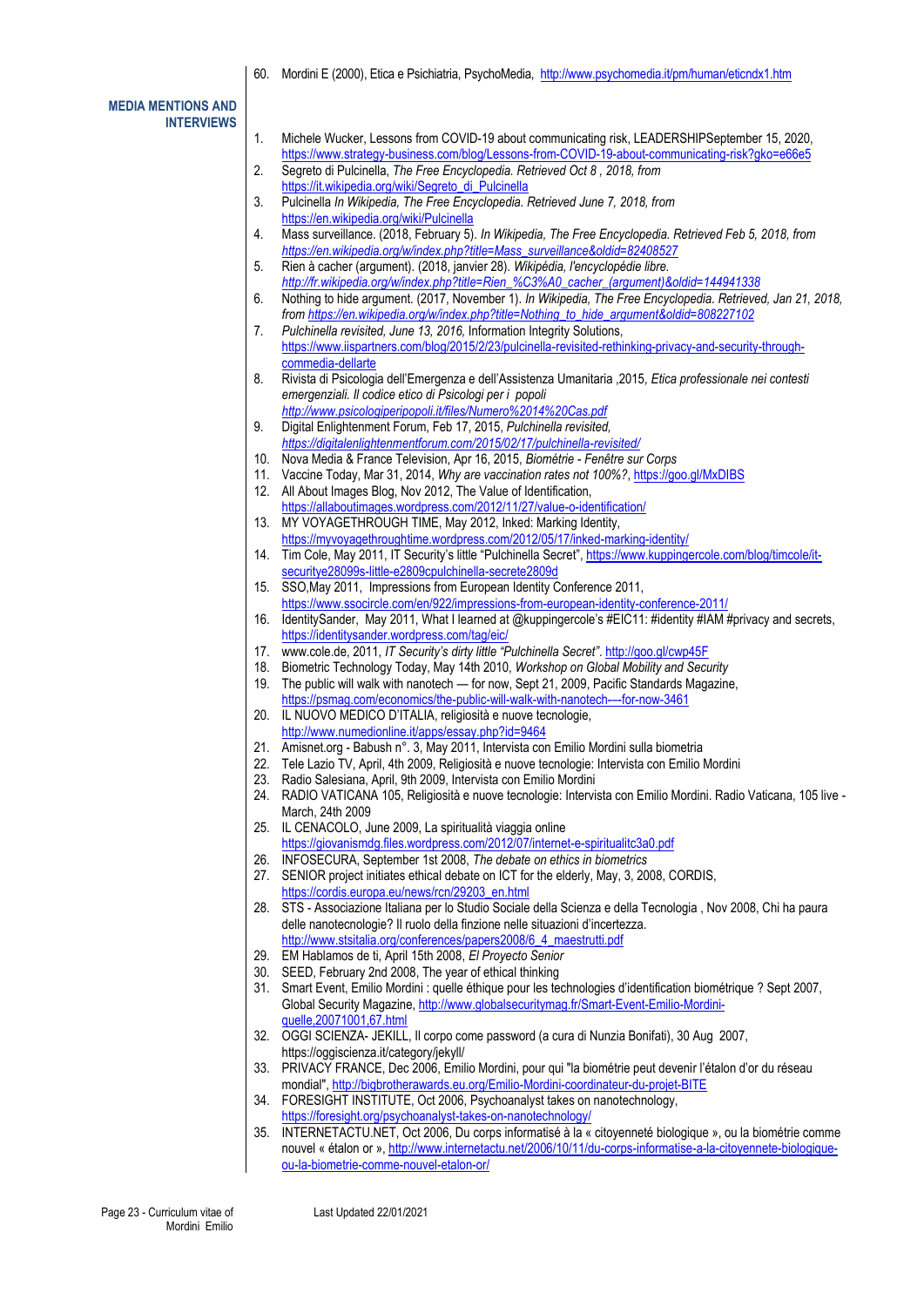60. Mordini E (2000), Etica e Psichiatria, PsychoMedia,<http://www.psychomedia.it/pm/human/eticndx1.htm>

**MEDIA MENTIONS AND INTERVIEWS**

| 1.  | Michele Wucker, Lessons from COVID-19 about communicating risk, LEADERSHIPSeptember 15, 2020,                  |
|-----|----------------------------------------------------------------------------------------------------------------|
|     | https://www.strategy-business.com/blog/Lessons-from-COVID-19-about-communicating-risk?gko=e66e5                |
|     |                                                                                                                |
| 2.  | Segreto di Pulcinella, The Free Encyclopedia. Retrieved Oct 8, 2018, from                                      |
|     | https://it.wikipedia.org/wiki/Segreto di Pulcinella                                                            |
| 3.  | Pulcinella In Wikipedia, The Free Encyclopedia. Retrieved June 7, 2018, from                                   |
|     | https://en.wikipedia.org/wiki/Pulcinella                                                                       |
| 4.  | Mass surveillance. (2018, February 5). In Wikipedia, The Free Encyclopedia. Retrieved Feb 5, 2018, from        |
|     |                                                                                                                |
|     | https://en.wikipedia.org/w/index.php?title=Mass_surveillance&oldid=82408527                                    |
| 5.  | Rien à cacher (argument). (2018, janvier 28). Wikipédia, l'encyclopédie libre.                                 |
|     | http://fr.wikipedia.org/w/index.php?title=Rien_%C3%A0_cacher_(argument)&oldid=144941338                        |
| 6.  | Nothing to hide argument. (2017, November 1). In Wikipedia, The Free Encyclopedia. Retrieved, Jan 21, 2018,    |
|     | from https://en.wikipedia.org/w/index.php?title=Nothing_to_hide_argument&oldid=808227102                       |
| 7.  | Pulchinella revisited, June 13, 2016, Information Integrity Solutions,                                         |
|     |                                                                                                                |
|     | https://www.iispartners.com/blog/2015/2/23/pulcinella-revisited-rethinking-privacy-and-security-through-       |
|     | commedia-dellarte                                                                                              |
| 8.  | Rivista di Psicologia dell'Emergenza e dell'Assistenza Umanitaria ,2015, Etica professionale nei contesti      |
|     | emergenziali. Il codice etico di Psicologi per i popoli                                                        |
|     | http://www.psicologiperipopoli.it/files/Numero%2014%20Cas.pdf                                                  |
| 9.  | Digital Enlightenment Forum, Feb 17, 2015, Pulchinella revisited,                                              |
|     |                                                                                                                |
|     | https://digitalenlightenmentforum.com/2015/02/17/pulchinella-revisited/                                        |
| 10. | Nova Media & France Television, Apr 16, 2015, Biométrie - Fenêtre sur Corps                                    |
| 11. | Vaccine Today, Mar 31, 2014, Why are vaccination rates not 100%?, https://goo.gl/MxDIBS                        |
| 12. | All About Images Blog, Nov 2012, The Value of Identification,                                                  |
|     | https://allaboutimages.wordpress.com/2012/11/27/value-o-identification/                                        |
| 13. | MY VOYAGETHROUGH TIME, May 2012, Inked: Marking Identity,                                                      |
|     |                                                                                                                |
|     | https://myvoyagethroughtime.wordpress.com/2012/05/17/inked-marking-identity/                                   |
| 14. | Tim Cole, May 2011, IT Security's little "Pulchinella Secret", https://www.kuppingercole.com/blog/timcole/it-  |
|     | securitye28099s-little-e2809cpulchinella-secrete2809d                                                          |
| 15. | SSO, May 2011, Impressions from European Identity Conference 2011,                                             |
|     | https://www.ssocircle.com/en/922/impressions-from-european-identity-conference-2011/                           |
|     | IdentitySander, May 2011, What I learned at @kuppingercole's #EIC11: #identity #IAM #privacy and secrets,      |
| 16. |                                                                                                                |
|     | https://identitysander.wordpress.com/tag/eic/                                                                  |
| 17. | www.cole.de, 2011, IT Security's dirty little "Pulchinella Secret". http://goo.gl/cwp45F                       |
| 18. | Biometric Technology Today, May 14th 2010, Workshop on Global Mobility and Security                            |
| 19. | The public will walk with nanotech - for now, Sept 21, 2009, Pacific Standards Magazine,                       |
|     | https://psmag.com/economics/the-public-will-walk-with-nanotech---for-now-3461                                  |
| 20. | IL NUOVO MEDICO D'ITALIA, religiosità e nuove tecnologie,                                                      |
|     |                                                                                                                |
|     | http://www.numedionline.it/apps/essay.php?id=9464                                                              |
| 21. | Amisnet.org - Babush n°. 3, May 2011, Intervista con Emilio Mordini sulla biometria                            |
| 22. | Tele Lazio TV, April, 4th 2009, Religiosità e nuove tecnologie: Intervista con Emilio Mordini                  |
| 23. | Radio Salesiana, April, 9th 2009, Intervista con Emilio Mordini                                                |
| 24. | RADIO VATICANA 105, Religiosità e nuove tecnologie: Intervista con Emilio Mordini. Radio Vaticana, 105 live -  |
|     |                                                                                                                |
|     | March, 24th 2009                                                                                               |
| 25. | IL CENACOLO, June 2009, La spiritualità viaggia online                                                         |
|     | https://giovanismdg.files.wordpress.com/2012/07/internet-e-spiritualitc3a0.pdf                                 |
| 26. | INFOSECURA, September 1st 2008, The debate on ethics in biometrics                                             |
| 27. | SENIOR project initiates ethical debate on ICT for the elderly, May, 3, 2008, CORDIS,                          |
|     | https://cordis.europa.eu/news/rcn/29203_en.html                                                                |
|     |                                                                                                                |
| 28. | STS - Associazione Italiana per lo Studio Sociale della Scienza e della Tecnologia, Nov 2008, Chi ha paura     |
|     | delle nanotecnologie? Il ruolo della finzione nelle situazioni d'incertezza.                                   |
|     | http://www.stsitalia.org/conferences/papers2008/6 4 maestrutti.pdf                                             |
| 29. | EM Hablamos de ti, April 15th 2008, El Proyecto Senior                                                         |
| 30. | SEED, February 2nd 2008, The year of ethical thinking                                                          |
| 31. | Smart Event, Emilio Mordini : quelle éthique pour les technologies d'identification biométrique ? Sept 2007,   |
|     | Global Security Magazine, http://www.globalsecuritymag.fr/Smart-Event-Emilio-Mordini-                          |
|     |                                                                                                                |
|     | guelle, 20071001, 67.html                                                                                      |
| 32. | OGGI SCIENZA- JEKILL, Il corpo come password (a cura di Nunzia Bonifati), 30 Aug 2007,                         |
|     | https://oggiscienza.it/category/jekyll/                                                                        |
| 33. | PRIVACY FRANCE, Dec 2006, Emilio Mordini, pour qui "la biométrie peut devenir l'étalon d'or du réseau          |
|     | mondial", http://bigbrotherawards.eu.org/Emilio-Mordini-coordinateur-du-projet-BITE                            |
|     |                                                                                                                |
| 34. | FORESIGHT INSTITUTE, Oct 2006, Psychoanalyst takes on nanotechnology,                                          |
|     | https://foresight.org/psychoanalyst-takes-on-nanotechnology/                                                   |
| 35. | INTERNETACTU.NET, Oct 2006, Du corps informatisé à la « citoyenneté biologique », ou la biométrie comme        |
|     | nouvel « étalon or », http://www.internetactu.net/2006/10/11/du-corps-informatise-a-la-citoyennete-biologique- |

Last Updated 22/01/2021

[ou-la-biometrie-comme-nouvel-etalon-or/](http://www.internetactu.net/2006/10/11/du-corps-informatise-a-la-citoyennete-biologique-ou-la-biometrie-comme-nouvel-etalon-or/)